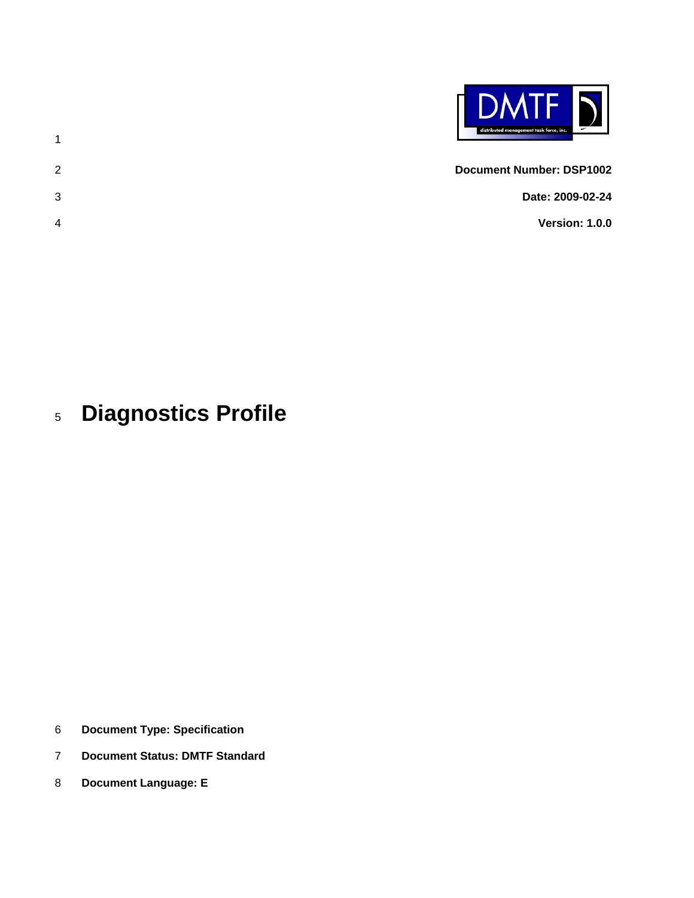

**Document Number: DSP1002 Date: 2009-02-24 Version: 1.0.0** 

# **Diagnostics Profile**

- **Document Type: Specification**
- **Document Status: DMTF Standard**
- **Document Language: E**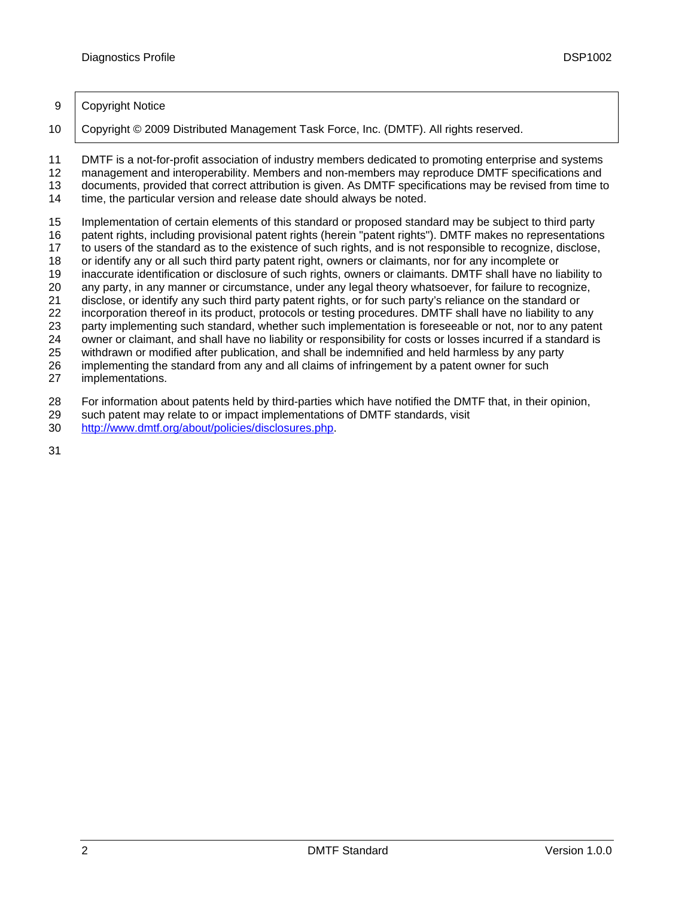#### 9 Copyright Notice

10 Copyright © 2009 Distributed Management Task Force, Inc. (DMTF). All rights reserved.

11 DMTF is a not-for-profit association of industry members dedicated to promoting enterprise and systems

12 management and interoperability. Members and non-members may reproduce DMTF specifications and

13 documents, provided that correct attribution is given. As DMTF specifications may be revised from time to

14 time, the particular version and release date should always be noted.

15 Implementation of certain elements of this standard or proposed standard may be subject to third party

16 patent rights, including provisional patent rights (herein "patent rights"). DMTF makes no representations

17 to users of the standard as to the existence of such rights, and is not responsible to recognize, disclose,

18 or identify any or all such third party patent right, owners or claimants, nor for any incomplete or<br>19 inaccurate identification or disclosure of such rights, owners or claimants. DMTF shall have no li

inaccurate identification or disclosure of such rights, owners or claimants. DMTF shall have no liability to 20 any party, in any manner or circumstance, under any legal theory whatsoever, for failure to recognize,

21 disclose, or identify any such third party patent rights, or for such party's reliance on the standard or

22 incorporation thereof in its product, protocols or testing procedures. DMTF shall have no liability to any

23 party implementing such standard, whether such implementation is foreseeable or not, nor to any patent

24 owner or claimant, and shall have no liability or responsibility for costs or losses incurred if a standard is<br>25 withdrawn or modified after publication, and shall be indemnified and held harmless by any party withdrawn or modified after publication, and shall be indemnified and held harmless by any party

26 implementing the standard from any and all claims of infringement by a patent owner for such

27 implementations.

28 For information about patents held by third-parties which have notified the DMTF that, in their opinion,

- 29 such patent may relate to or impact implementations of DMTF standards, visit
- 30 <http://www.dmtf.org/about/policies/disclosures.php>.

31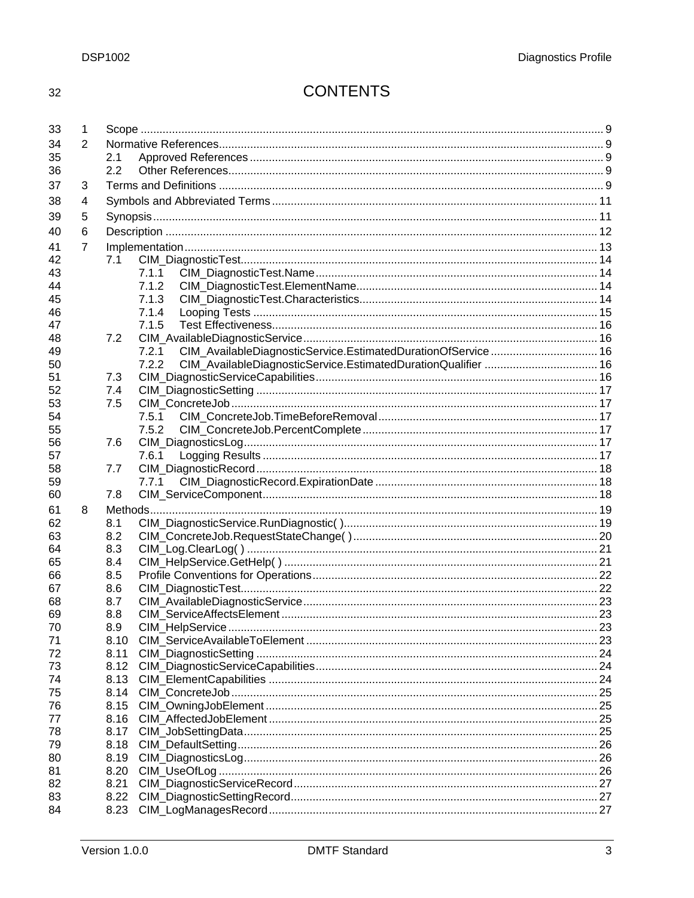# **CONTENTS**

| 33       | 1 |              |                                                                        |     |  |
|----------|---|--------------|------------------------------------------------------------------------|-----|--|
| 34       | 2 |              |                                                                        |     |  |
| 35       |   | 2.1          |                                                                        |     |  |
| 36       |   | 2.2          |                                                                        |     |  |
| 37       | 3 |              |                                                                        |     |  |
| 38       | 4 |              |                                                                        |     |  |
| 39       | 5 |              |                                                                        |     |  |
| 40       | 6 |              |                                                                        |     |  |
|          |   |              |                                                                        |     |  |
| 41       | 7 |              |                                                                        |     |  |
| 42<br>43 |   | 7.1          | 7.1.1                                                                  |     |  |
| 44       |   |              | 7.1.2                                                                  |     |  |
| 45       |   |              | 7.1.3                                                                  |     |  |
| 46       |   |              | 7.1.4                                                                  |     |  |
| 47       |   |              | 7.1.5                                                                  |     |  |
| 48       |   | 7.2          |                                                                        |     |  |
| 49       |   |              | CIM_AvailableDiagnosticService.EstimatedDurationOfService  16<br>7.2.1 |     |  |
| 50       |   |              | 7.2.2<br>CIM_AvailableDiagnosticService.EstimatedDurationQualifier  16 |     |  |
| 51       |   | 7.3          |                                                                        |     |  |
| 52       |   | 7.4          |                                                                        |     |  |
| 53       |   | 7.5          |                                                                        |     |  |
| 54       |   |              | 7.5.1                                                                  |     |  |
| 55       |   |              | 7.5.2                                                                  |     |  |
| 56       |   | 7.6          |                                                                        |     |  |
| 57       |   |              | 7.6.1                                                                  |     |  |
| 58       |   | 7.7          |                                                                        |     |  |
| 59       |   |              | 7.7.1                                                                  |     |  |
| 60       |   | 7.8          |                                                                        |     |  |
| 61       | 8 |              |                                                                        |     |  |
| 62<br>63 |   | 8.1<br>8.2   |                                                                        |     |  |
| 64       |   | 8.3          |                                                                        |     |  |
| 65       |   | 8.4          |                                                                        |     |  |
| 66       |   | 8.5          |                                                                        |     |  |
| 67       |   | 8.6          |                                                                        |     |  |
| 68       |   | 8.7          |                                                                        |     |  |
| 69       |   | 8.8          |                                                                        |     |  |
| 70       |   | 8.9          | CIM HelpService                                                        | .23 |  |
| 71       |   |              |                                                                        |     |  |
| 72       |   | 8.11         |                                                                        |     |  |
| 73       |   | 8.12         |                                                                        |     |  |
| 74       |   | 8.13         |                                                                        |     |  |
| 75       |   | 8.14         |                                                                        |     |  |
| 76       |   | 8.15         |                                                                        |     |  |
| 77       |   | 8.16         |                                                                        |     |  |
| 78       |   | 8.17         |                                                                        |     |  |
| 79       |   | 8.18         |                                                                        |     |  |
| 80       |   | 8.19         |                                                                        |     |  |
| 81       |   | 8.20         |                                                                        |     |  |
| 82       |   | 8.21         |                                                                        |     |  |
| 83<br>84 |   | 8.22<br>8.23 |                                                                        |     |  |
|          |   |              |                                                                        |     |  |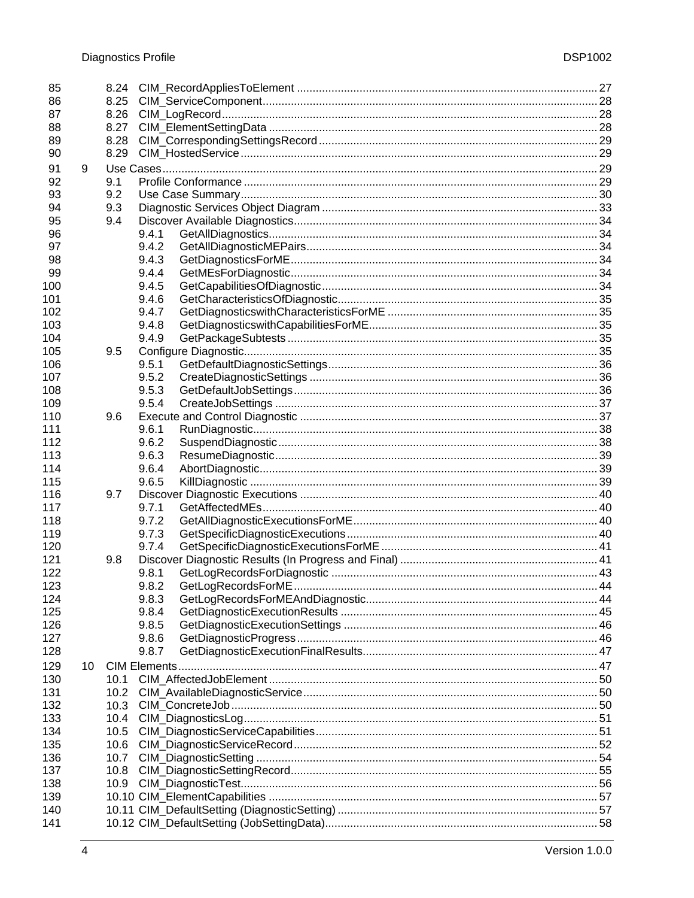| 85<br>86<br>87<br>88<br>89 |    | 8.24<br>8.25<br>8.26<br>8.27<br>8.28 |                |  |
|----------------------------|----|--------------------------------------|----------------|--|
| 90                         |    | 8.29                                 |                |  |
| 91                         | 9  |                                      |                |  |
| 92                         |    | 9.1                                  |                |  |
| 93                         |    | 9.2                                  |                |  |
| 94                         |    | 9.3                                  |                |  |
| 95                         |    | 9.4                                  |                |  |
| 96                         |    |                                      | 9.4.1          |  |
| 97                         |    |                                      | 9.4.2          |  |
| 98                         |    |                                      | 9.4.3          |  |
| 99                         |    |                                      | 9.4.4          |  |
| 100                        |    |                                      | 9.4.5          |  |
| 101                        |    |                                      | 9.4.6          |  |
| 102                        |    |                                      | 9.4.7          |  |
| 103                        |    |                                      | 9.4.8          |  |
| 104                        |    |                                      | 9.4.9          |  |
| 105                        |    | 9.5                                  |                |  |
| 106                        |    |                                      | 9.5.1          |  |
| 107                        |    |                                      | 9.5.2          |  |
| 108                        |    |                                      | 9.5.3<br>9.5.4 |  |
| 109<br>110                 |    | 9.6                                  |                |  |
| 111                        |    |                                      | 9.6.1          |  |
| 112                        |    |                                      | 9.6.2          |  |
| 113                        |    |                                      | 9.6.3          |  |
| 114                        |    |                                      | 9.6.4          |  |
| 115                        |    |                                      | 9.6.5          |  |
| 116                        |    | 9.7                                  |                |  |
| 117                        |    |                                      | 9.7.1          |  |
| 118                        |    |                                      | 9.7.2          |  |
| 119                        |    |                                      | 9.7.3          |  |
| 120                        |    |                                      | 9.7.4          |  |
| 121                        |    | 9.8                                  |                |  |
| 122                        |    |                                      | 9.8.1          |  |
| 123                        |    |                                      | 9.8.2          |  |
| 124                        |    |                                      | 9.8.3          |  |
| 125<br>126                 |    |                                      | 9.8.4          |  |
| 127                        |    |                                      | 9.8.5<br>9.8.6 |  |
| 128                        |    |                                      | 9.8.7          |  |
| 129                        | 10 |                                      |                |  |
| 130                        |    | 10.1                                 |                |  |
| 131                        |    | 10.2                                 |                |  |
| 132                        |    | 10.3                                 |                |  |
| 133                        |    | 10.4                                 |                |  |
| 134                        |    | 10.5                                 |                |  |
| 135                        |    | 10.6                                 |                |  |
| 136                        |    | 10.7                                 |                |  |
| 137                        |    | 10.8                                 |                |  |
| 138                        |    |                                      |                |  |
| 139                        |    |                                      |                |  |
| 140                        |    |                                      |                |  |
| 141                        |    |                                      |                |  |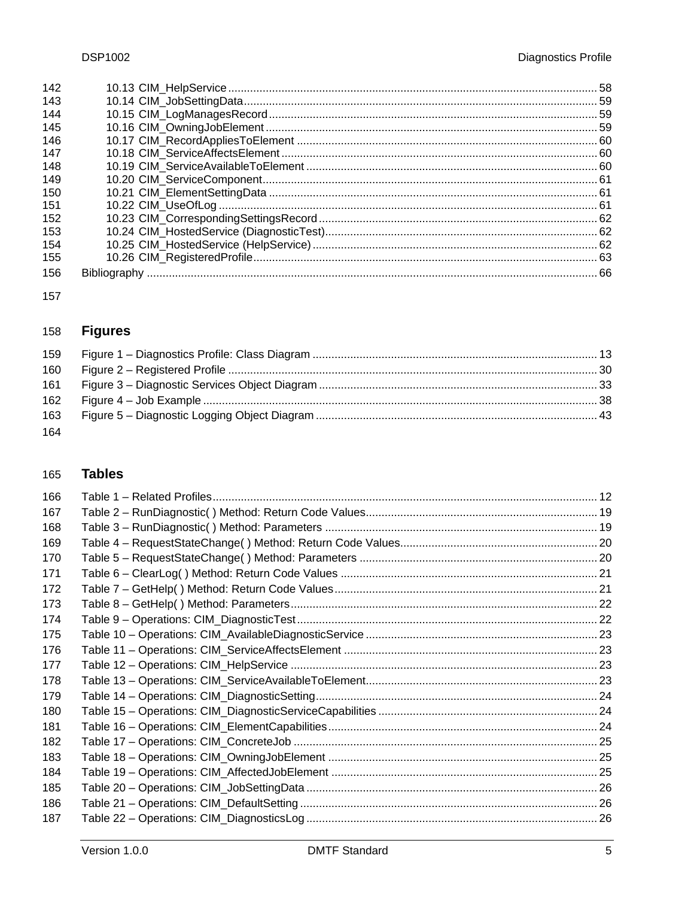| 142 |  |
|-----|--|
| 143 |  |
| 144 |  |
| 145 |  |
| 146 |  |
| 147 |  |
| 148 |  |
| 149 |  |
| 150 |  |
| 151 |  |
| 152 |  |
| 153 |  |
| 154 |  |
| 155 |  |
| 156 |  |
|     |  |

#### **Figures** 158

| 159 |  |
|-----|--|
| 160 |  |
| 161 |  |
| 162 |  |
| 163 |  |
| 164 |  |

#### **Tables** 165

| 166 |  |
|-----|--|
| 167 |  |
| 168 |  |
| 169 |  |
| 170 |  |
| 171 |  |
| 172 |  |
| 173 |  |
| 174 |  |
| 175 |  |
| 176 |  |
| 177 |  |
| 178 |  |
| 179 |  |
| 180 |  |
| 181 |  |
| 182 |  |
| 183 |  |
| 184 |  |
| 185 |  |
| 186 |  |
| 187 |  |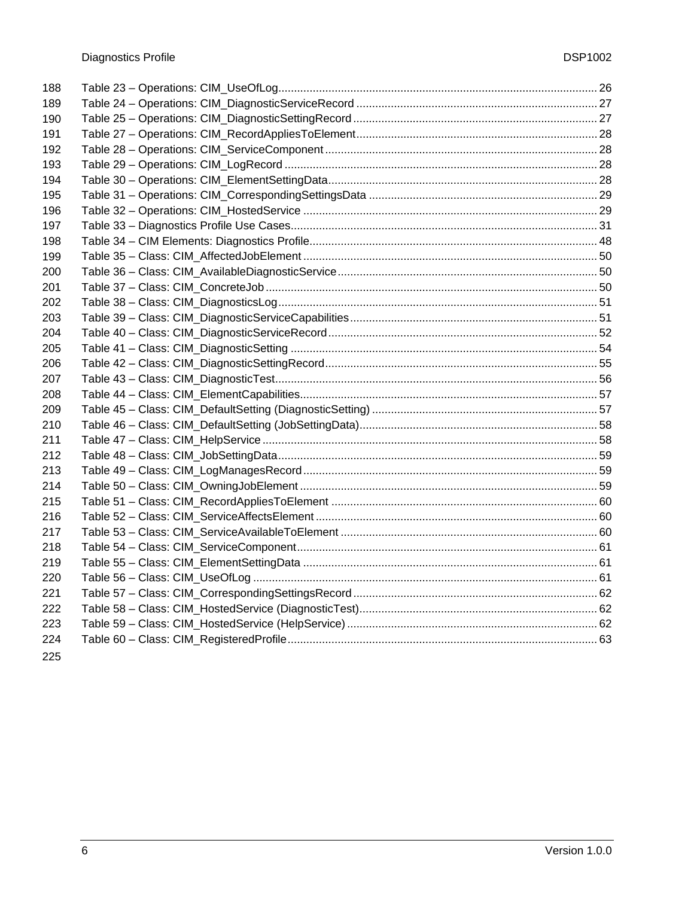| 188 |  |
|-----|--|
| 189 |  |
| 190 |  |
| 191 |  |
| 192 |  |
| 193 |  |
| 194 |  |
| 195 |  |
| 196 |  |
| 197 |  |
| 198 |  |
| 199 |  |
| 200 |  |
| 201 |  |
| 202 |  |
| 203 |  |
| 204 |  |
| 205 |  |
| 206 |  |
| 207 |  |
| 208 |  |
| 209 |  |
| 210 |  |
| 211 |  |
| 212 |  |
| 213 |  |
| 214 |  |
| 215 |  |
| 216 |  |
| 217 |  |
| 218 |  |
| 219 |  |
| 220 |  |
| 221 |  |
| 222 |  |
| 223 |  |
| 224 |  |
|     |  |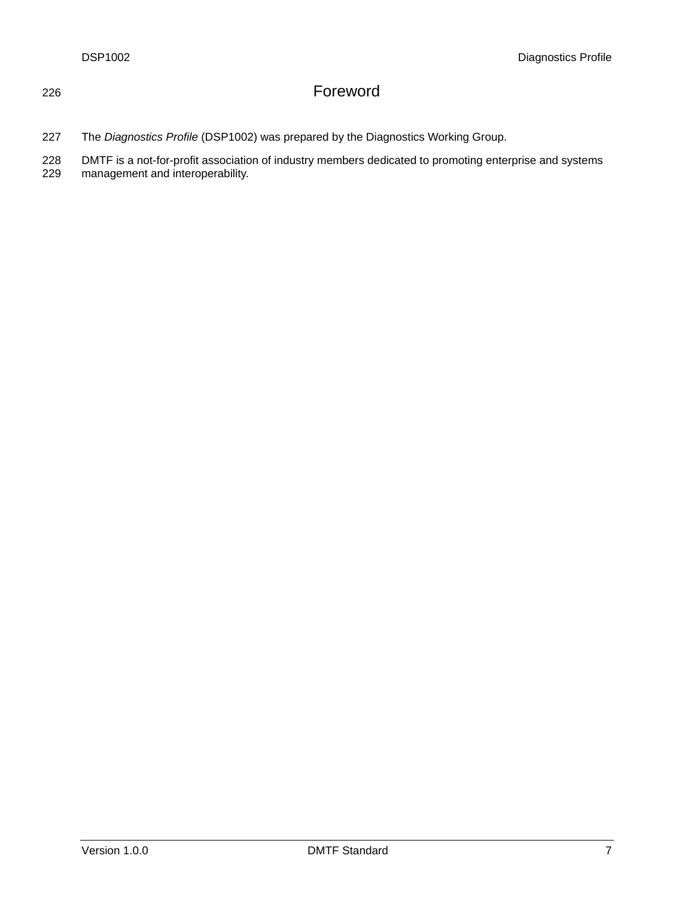# 226 Foreword

227 The *Diagnostics Profile* (DSP1002) was prepared by the Diagnostics Working Group.

228 DMTF is a not-for-profit association of industry members dedicated to promoting enterprise and systems 229 management and interoperability.

management and interoperability.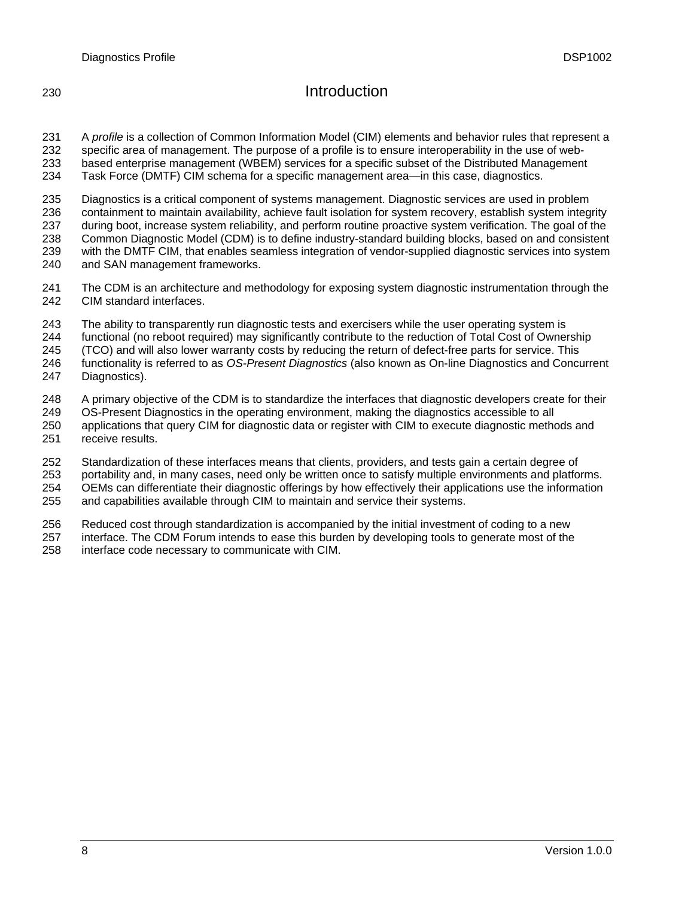# 230 Introduction

231 A *profile* is a collection of Common Information Model (CIM) elements and behavior rules that represent a 232 specific area of management. The purpose of a profile is to ensure interoperability in the use of web-233 based enterprise management (WBEM) services for a specific subset of the Distributed Management 234 Task Force (DMTF) CIM schema for a specific management area—in this case, diagnostics.

235 Diagnostics is a critical component of systems management. Diagnostic services are used in problem 236 containment to maintain availability, achieve fault isolation for system recovery, establish system integrity 237 during boot, increase system reliability, and perform routine proactive system verification. The goal of the 238 Common Diagnostic Model (CDM) is to define industry-standard building blocks, based on and consistent 239 with the DMTF CIM, that enables seamless integration of vendor-supplied diagnostic services into system 240 and SAN management frameworks.

- 241 The CDM is an architecture and methodology for exposing system diagnostic instrumentation through the 242 CIM standard interfaces.
- 243 The ability to transparently run diagnostic tests and exercisers while the user operating system is
- 244 functional (no reboot required) may significantly contribute to the reduction of Total Cost of Ownership
- 245 (TCO) and will also lower warranty costs by reducing the return of defect-free parts for service. This
- 246 functionality is referred to as *OS-Present Diagnostics* (also known as On-line Diagnostics and Concurrent
- 247 Diagnostics).
- 248 A primary objective of the CDM is to standardize the interfaces that diagnostic developers create for their
- 249 OS-Present Diagnostics in the operating environment, making the diagnostics accessible to all
- 250 applications that query CIM for diagnostic data or register with CIM to execute diagnostic methods and 251 receive results.
- 252 Standardization of these interfaces means that clients, providers, and tests gain a certain degree of
- 253 portability and, in many cases, need only be written once to satisfy multiple environments and platforms. 254 OEMs can differentiate their diagnostic offerings by how effectively their applications use the information
- 255 and capabilities available through CIM to maintain and service their systems.
- 256 Reduced cost through standardization is accompanied by the initial investment of coding to a new
- 257 interface. The CDM Forum intends to ease this burden by developing tools to generate most of the 258 interface code necessary to communicate with CIM.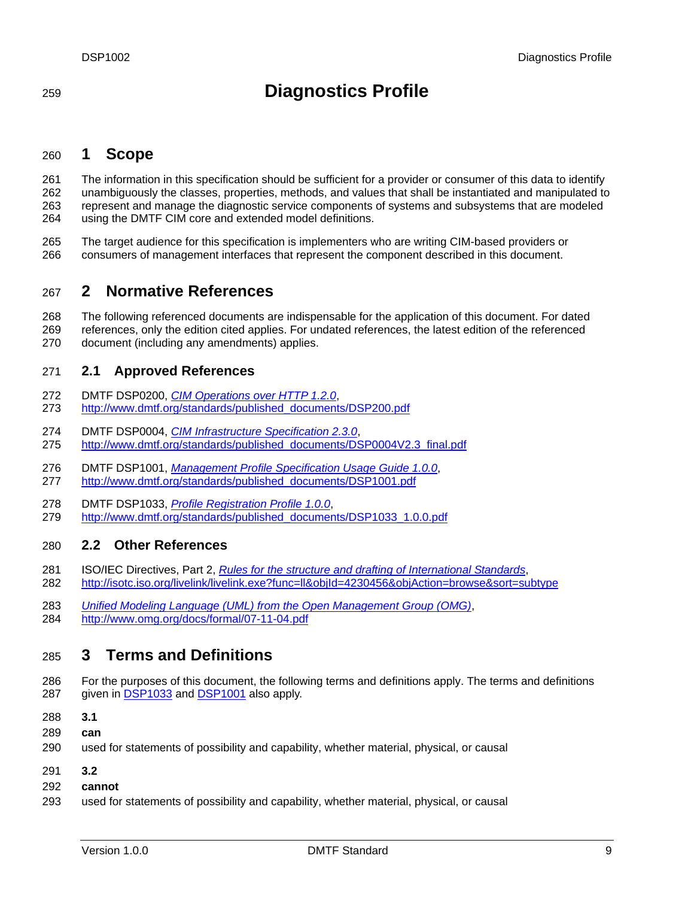# <span id="page-8-0"></span><sup>259</sup>**Diagnostics Profile**

# <span id="page-8-1"></span>260 **1 Scope**

261 The information in this specification should be sufficient for a provider or consumer of this data to identify 262 unambiguously the classes, properties, methods, and values that shall be instantiated and manipulated to 263 represent and manage the diagnostic service components of systems and subsystems that are modeled 264 using the DMTF CIM core and extended model definitions.

265 The target audience for this specification is implementers who are writing CIM-based providers or 266 consumers of management interfaces that represent the component described in this document.

# <span id="page-8-2"></span>267 **2 Normative References**

- 268 The following referenced documents are indispensable for the application of this document. For dated
- 269 references, only the edition cited applies. For undated references, the latest edition of the referenced 270 document (including any amendments) applies.

#### <span id="page-8-3"></span>271 **2.1 Approved References**

- 272 DMTF DSP0200, *[CIM Operations over HTTP 1.2.0](http://www.dmtf.org/standards/published_documents/DSP200.pdf)*,
- 273 http://www.dmtf.org/standards/published\_documents/DSP200.pdf
- 274 DMTF DSP0004, *[CIM Infrastructure Specification 2.3.0](http://www.dmtf.org/standards/published_documents/DSP0004V2.3_final.pdf)*,
- 275 http://www.dmtf.org/standards/published\_documents/DSP0004V2.3\_final.pdf
- 276 DMTF DSP1001, *[Management Profile Specification Usage Guide 1.0.0](http://www.dmtf.org/standards/published_documents/DSP1001.pdf)*, 277 http://www.dmtf.org/standards/published\_documents/DSP1001.pdf
- 278 DMTF DSP1033, *[Profile Registration Profile 1.0.0](http://www.dmtf.org/standards/published_documents/DSP1033_1.0.0.pdf)*,
- 279 http://www.dmtf.org/standards/published\_documents/DSP1033\_1.0.0.pdf

#### <span id="page-8-4"></span>280 **2.2 Other References**

- 281 ISO/IEC Directives, Part 2, *[Rules for the structure and drafting of International Standards](http://isotc.iso.org/livelink/livelink.exe?func=ll&objId=4230456&objAction=browse&sort=subtype)*, 282 <http://isotc.iso.org/livelink/livelink.exe?func=ll&objId=4230456&objAction=browse&sort=subtype>
- 283 *[Unified Modeling Language \(UML\) from the Open Management Group \(OMG\)](http://www.uml.org/)*, 284 http://www.omg.org/docs/formal/07-11-04.pdf

# <span id="page-8-5"></span>285 **3 Terms and Definitions**

- 286 For the purposes of this document, the following terms and definitions apply. The terms and definitions 287 given in **DSP1033** and **DSP1001** also apply.
- 288 **3.1**
- 289 **can**
- 290 used for statements of possibility and capability, whether material, physical, or causal
- 291 **3.2**
- 292 **cannot**
- 293 used for statements of possibility and capability, whether material, physical, or causal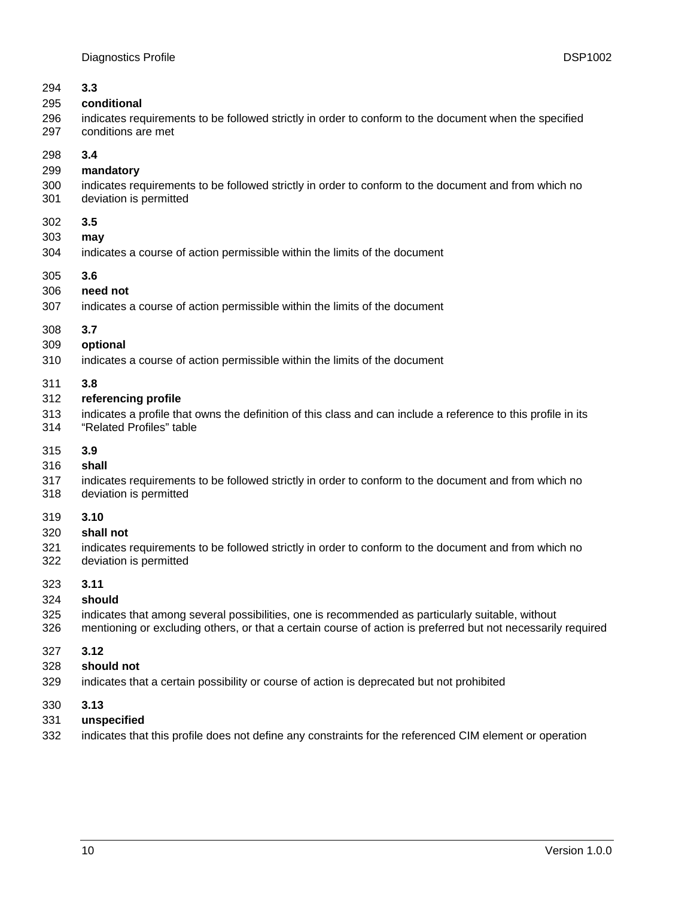| 294<br>295<br>296<br>297 | 3.3<br>conditional<br>indicates requirements to be followed strictly in order to conform to the document when the specified<br>conditions are met                                                                                  |
|--------------------------|------------------------------------------------------------------------------------------------------------------------------------------------------------------------------------------------------------------------------------|
| 298<br>299<br>300<br>301 | 3.4<br>mandatory<br>indicates requirements to be followed strictly in order to conform to the document and from which no<br>deviation is permitted                                                                                 |
| 302<br>303<br>304        | 3.5<br>may<br>indicates a course of action permissible within the limits of the document                                                                                                                                           |
| 305<br>306<br>307        | 3.6<br>need not<br>indicates a course of action permissible within the limits of the document                                                                                                                                      |
| 308<br>309<br>310        | 3.7<br>optional<br>indicates a course of action permissible within the limits of the document                                                                                                                                      |
| 311<br>312<br>313<br>314 | 3.8<br>referencing profile<br>indicates a profile that owns the definition of this class and can include a reference to this profile in its<br>"Related Profiles" table                                                            |
| 315<br>316<br>317<br>318 | 3.9<br>shall<br>indicates requirements to be followed strictly in order to conform to the document and from which no<br>deviation is permitted                                                                                     |
| 319<br>320<br>321<br>322 | 3.10<br>shall not<br>indicates requirements to be followed strictly in order to conform to the document and from which no<br>deviation is permitted                                                                                |
| 323<br>324<br>325<br>326 | 3.11<br>should<br>indicates that among several possibilities, one is recommended as particularly suitable, without<br>mentioning or excluding others, or that a certain course of action is preferred but not necessarily required |
| 327<br>328<br>329        | 3.12<br>should not<br>indicates that a certain possibility or course of action is deprecated but not prohibited                                                                                                                    |
| 330                      | 3.13                                                                                                                                                                                                                               |

- 331 **unspecified**
- 332 indicates that this profile does not define any constraints for the referenced CIM element or operation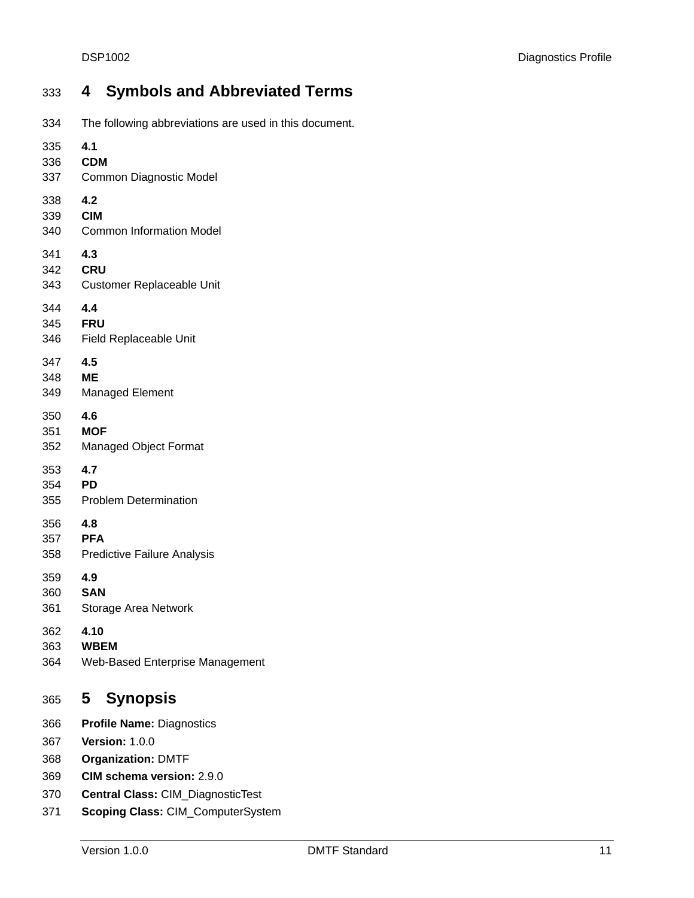# <span id="page-10-1"></span><span id="page-10-0"></span>**4 Symbols and Abbreviated Terms**

| 334 | The following abbreviations are used in this document. |
|-----|--------------------------------------------------------|
| 335 | 4.1                                                    |
| 336 | <b>CDM</b>                                             |
| 337 | Common Diagnostic Model                                |
| 338 | 4.2                                                    |
| 339 | <b>CIM</b>                                             |
| 340 | <b>Common Information Model</b>                        |
| 341 | 4.3                                                    |
| 342 | <b>CRU</b>                                             |
| 343 | <b>Customer Replaceable Unit</b>                       |
| 344 | 4.4                                                    |
| 345 | <b>FRU</b>                                             |
| 346 | Field Replaceable Unit                                 |
| 347 | 4.5                                                    |
| 348 | <b>ME</b>                                              |
| 349 | Managed Element                                        |
| 350 | 4.6                                                    |
| 351 | <b>MOF</b>                                             |
| 352 | <b>Managed Object Format</b>                           |
| 353 | 4.7                                                    |
| 354 | <b>PD</b>                                              |
| 355 | <b>Problem Determination</b>                           |
| 356 | 4.8                                                    |
| 357 | <b>PFA</b>                                             |
| 358 | <b>Predictive Failure Analysis</b>                     |
| 359 | 4.9                                                    |
| 360 | <b>SAN</b>                                             |
| 361 | <b>Storage Area Network</b>                            |
| 362 | 4.10                                                   |
| 363 | <b>WBEM</b>                                            |
| 364 | Web-Based Enterprise Management                        |

# <span id="page-10-2"></span>**5 Synopsis**

- **Profile Name:** Diagnostics
- **Version:** 1.0.0
- **Organization:** DMTF
- **CIM schema version:** 2.9.0
- **Central Class:** CIM\_DiagnosticTest
- **Scoping Class:** CIM\_ComputerSystem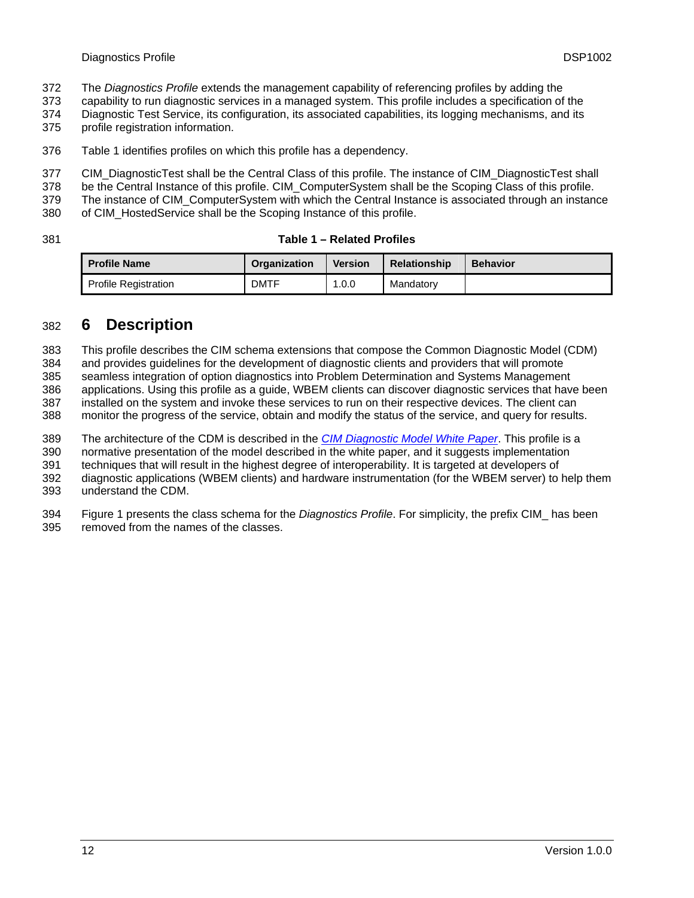- <span id="page-11-0"></span>372 The *Diagnostics Profile* extends the management capability of referencing profiles by adding the
- 373 capability to run diagnostic services in a managed system. This profile includes a specification of the
- 374 Diagnostic Test Service, its configuration, its associated capabilities, its logging mechanisms, and its
- 375 profile registration information.
- 376 [Table 1](#page-11-2) identifies profiles on which this profile has a dependency.

377 CIM\_DiagnosticTest shall be the Central Class of this profile. The instance of CIM\_DiagnosticTest shall

- 378 be the Central Instance of this profile. CIM\_ComputerSystem shall be the Scoping Class of this profile.
- 379 The instance of CIM\_ComputerSystem with which the Central Instance is associated through an instance
- 380 of CIM\_HostedService shall be the Scoping Instance of this profile.
- <span id="page-11-2"></span>

#### 381 **Table 1 – Related Profiles**

| <b>Profile Name</b>         | <b>Organization</b> | <b>Version</b> | Relationship | <b>Behavior</b> |
|-----------------------------|---------------------|----------------|--------------|-----------------|
| <b>Profile Registration</b> | <b>DMTF</b>         | 1.0.0          | Mandatory    |                 |

# <span id="page-11-1"></span>382 **6 Description**

383 This profile describes the CIM schema extensions that compose the Common Diagnostic Model (CDM)

384 and provides guidelines for the development of diagnostic clients and providers that will promote

385 seamless integration of option diagnostics into Problem Determination and Systems Management

386 applications. Using this profile as a guide, WBEM clients can discover diagnostic services that have been

387 installed on the system and invoke these services to run on their respective devices. The client can 388 monitor the progress of the service, obtain and modify the status of the service, and query for results.

389 The architecture of the CDM is described in the *[CIM Diagnostic Model White Paper](http://www.dmtf.org/standards/published_documents/DSP2000.pdf)*. This profile is a

390 normative presentation of the model described in the white paper, and it suggests implementation

391 techniques that will result in the highest degree of interoperability. It is targeted at developers of

392 diagnostic applications (WBEM clients) and hardware instrumentation (for the WBEM server) to help them 393 understand the CDM.

394 [Figure 1](#page-12-2) presents the class schema for the *Diagnostics Profile*. For simplicity, the prefix CIM\_ has been 395 removed from the names of the classes.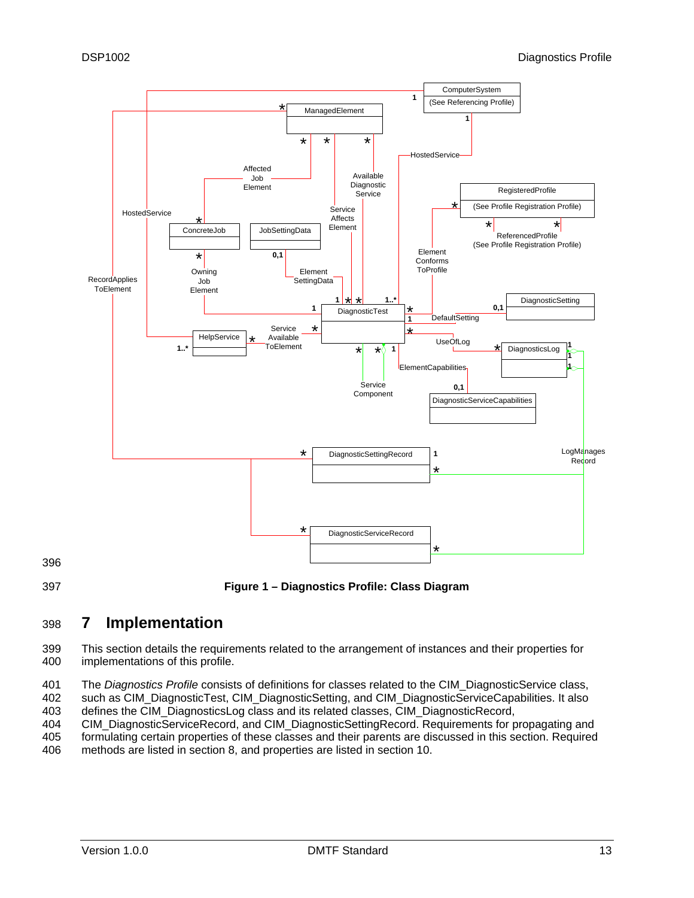<span id="page-12-0"></span>

<span id="page-12-2"></span>397 **Figure 1 – Diagnostics Profile: Class Diagram** 

# <span id="page-12-1"></span>398 **7 Implementation**

399 This section details the requirements related to the arrangement of instances and their properties for 400 implementations of this profile.

401 The *Diagnostics Profile* consists of definitions for classes related to the CIM\_DiagnosticService class, 402 such as CIM\_DiagnosticTest, CIM\_DiagnosticSetting, and CIM\_DiagnosticServiceCapabilities. It also 403 defines the CIM\_DiagnosticsLog class and its related classes, CIM\_DiagnosticRecord,

404 CIM\_DiagnosticServiceRecord, and CIM\_DiagnosticSettingRecord. Requirements for propagating and

405 formulating certain properties of these classes and their parents are discussed in this section. Required 406 methods are listed in section [8](#page-18-1), and properties are listed in section [10.](#page-46-2)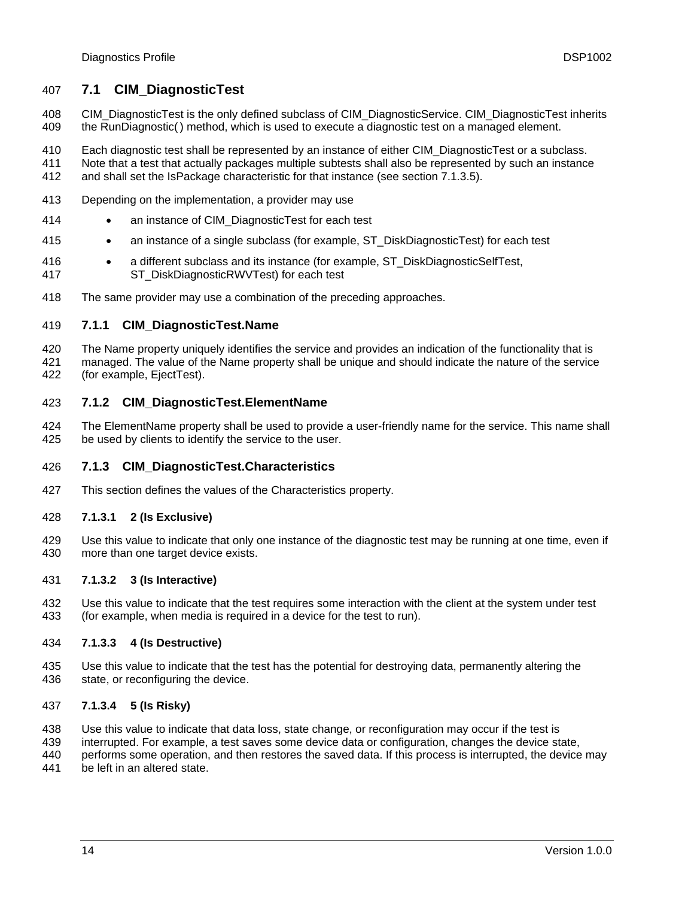#### <span id="page-13-1"></span><span id="page-13-0"></span>407 **7.1 CIM\_DiagnosticTest**

- 408 CIM\_DiagnosticTest is the only defined subclass of CIM\_DiagnosticService. CIM\_DiagnosticTest inherits 409 the RunDiagnostic( ) method, which is used to execute a diagnostic test on a managed element.
- 410 Each diagnostic test shall be represented by an instance of either CIM\_DiagnosticTest or a subclass.
- 411 Note that a test that actually packages multiple subtests shall also be represented by such an instance 412 and shall set the IsPackage characteristic for that instance (see section [7.1.3.5\)](#page-14-2).
- 413 Depending on the implementation, a provider may use
- 414 an instance of CIM\_DiagnosticTest for each test
- 415 an instance of a single subclass (for example, ST\_DiskDiagnosticTest) for each test
- 416 a different subclass and its instance (for example, ST\_DiskDiagnosticSelfTest, 417 ST\_DiskDiagnosticRWVTest) for each test
- 418 The same provider may use a combination of the preceding approaches.

#### <span id="page-13-2"></span>419 **7.1.1 CIM\_DiagnosticTest.Name**

- 420 The Name property uniquely identifies the service and provides an indication of the functionality that is 421 managed. The value of the Name property shall be unique and should indicate the nature of the service 422 (for example, EjectTest).
- <span id="page-13-3"></span>423 **7.1.2 CIM\_DiagnosticTest.ElementName**
- 424 The ElementName property shall be used to provide a user-friendly name for the service. This name shall 425 be used by clients to identify the service to the user.

#### <span id="page-13-4"></span>426 **7.1.3 CIM\_DiagnosticTest.Characteristics**

427 This section defines the values of the Characteristics property.

#### 428 **7.1.3.1 2 (Is Exclusive)**

429 Use this value to indicate that only one instance of the diagnostic test may be running at one time, even if 430 more than one target device exists.

#### 431 **7.1.3.2 3 (Is Interactive)**

432 Use this value to indicate that the test requires some interaction with the client at the system under test 433 (for example, when media is required in a device for the test to run).

#### 434 **7.1.3.3 4 (Is Destructive)**

435 Use this value to indicate that the test has the potential for destroying data, permanently altering the 436 state, or reconfiguring the device.

#### 437 **7.1.3.4 5 (Is Risky)**

- 438 Use this value to indicate that data loss, state change, or reconfiguration may occur if the test is
- 439 interrupted. For example, a test saves some device data or configuration, changes the device state,
- 440 performs some operation, and then restores the saved data. If this process is interrupted, the device may
- 441 be left in an altered state.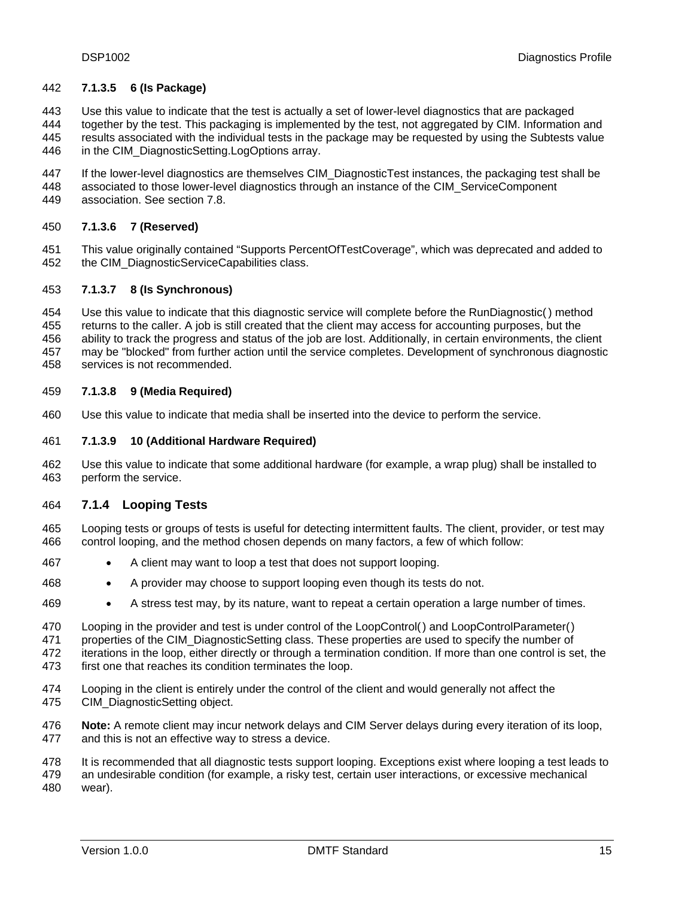#### <span id="page-14-2"></span><span id="page-14-0"></span>442 **7.1.3.5 6 (Is Package)**

443 Use this value to indicate that the test is actually a set of lower-level diagnostics that are packaged

- 444 together by the test. This packaging is implemented by the test, not aggregated by CIM. Information and 445 results associated with the individual tests in the package may be requested by using the Subtests value 446 in the CIM\_DiagnosticSetting.LogOptions array.
- 447 If the lower-level diagnostics are themselves CIM\_DiagnosticTest instances, the packaging test shall be 448 associated to those lower-level diagnostics through an instance of the CIM\_ServiceComponent
- 449 association. See section [7.8](#page-17-4).

#### 450 **7.1.3.6 7 (Reserved)**

451 This value originally contained "Supports PercentOfTestCoverage", which was deprecated and added to 452 the CIM\_DiagnosticServiceCapabilities class.

#### 453 **7.1.3.7 8 (Is Synchronous)**

- 454 Use this value to indicate that this diagnostic service will complete before the RunDiagnostic( ) method
- 455 returns to the caller. A job is still created that the client may access for accounting purposes, but the
- 456 ability to track the progress and status of the job are lost. Additionally, in certain environments, the client
- 457 may be "blocked" from further action until the service completes. Development of synchronous diagnostic 458 services is not recommended.

#### 459 **7.1.3.8 9 (Media Required)**

460 Use this value to indicate that media shall be inserted into the device to perform the service.

#### 461 **7.1.3.9 10 (Additional Hardware Required)**

462 Use this value to indicate that some additional hardware (for example, a wrap plug) shall be installed to 463 perform the service.

#### <span id="page-14-1"></span>464 **7.1.4 Looping Tests**

- 465 Looping tests or groups of tests is useful for detecting intermittent faults. The client, provider, or test may 466 control looping, and the method chosen depends on many factors, a few of which follow:
- 467 A client may want to loop a test that does not support looping.
- 468 A provider may choose to support looping even though its tests do not.
- 469 A stress test may, by its nature, want to repeat a certain operation a large number of times.
- 470 Looping in the provider and test is under control of the LoopControl() and LoopControlParameter()
- 471 properties of the CIM\_DiagnosticSetting class. These properties are used to specify the number of
- 472 iterations in the loop, either directly or through a termination condition. If more than one control is set, the 473 first one that reaches its condition terminates the loop.
- 474 Looping in the client is entirely under the control of the client and would generally not affect the 475 CIM\_DiagnosticSetting object.
- 476 **Note:** A remote client may incur network delays and CIM Server delays during every iteration of its loop, 477 and this is not an effective way to stress a device.
- 478 It is recommended that all diagnostic tests support looping. Exceptions exist where looping a test leads to
- 479 an undesirable condition (for example, a risky test, certain user interactions, or excessive mechanical 480 wear).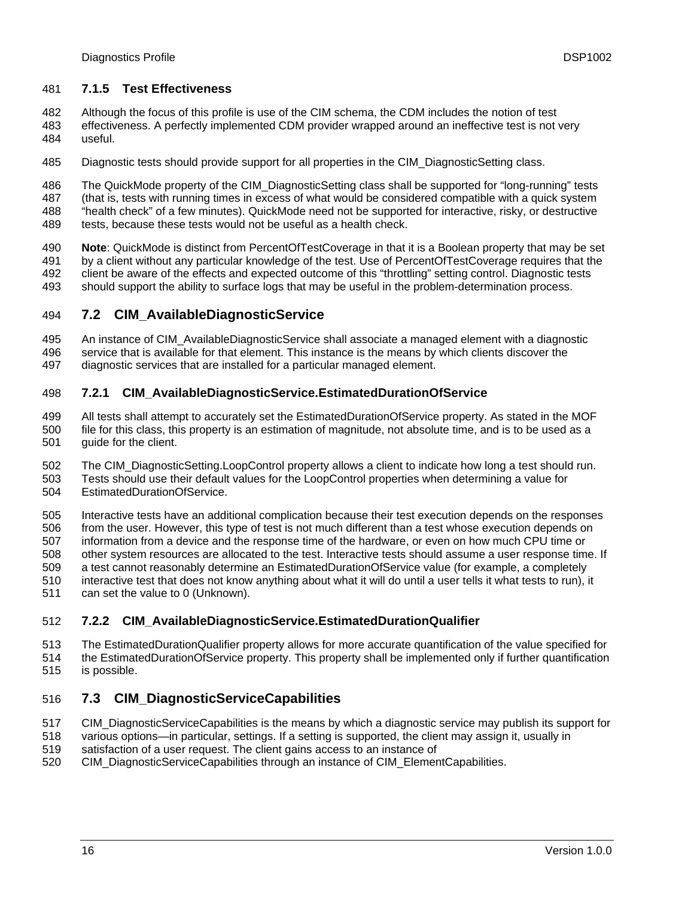#### <span id="page-15-1"></span><span id="page-15-0"></span>481 **7.1.5 Test Effectiveness**

482 Although the focus of this profile is use of the CIM schema, the CDM includes the notion of test

- 483 effectiveness. A perfectly implemented CDM provider wrapped around an ineffective test is not very 484 useful.
- 485 Diagnostic tests should provide support for all properties in the CIM\_DiagnosticSetting class.
- 486 The QuickMode property of the CIM\_DiagnosticSetting class shall be supported for "long-running" tests
- 487 (that is, tests with running times in excess of what would be considered compatible with a quick system
- 488 "health check" of a few minutes). QuickMode need not be supported for interactive, risky, or destructive
- 489 tests, because these tests would not be useful as a health check.
- 490 **Note**: QuickMode is distinct from PercentOfTestCoverage in that it is a Boolean property that may be set 491 by a client without any particular knowledge of the test. Use of PercentOfTestCoverage requires that the
- 492 client be aware of the effects and expected outcome of this "throttling" setting control. Diagnostic tests
- 493 should support the ability to surface logs that may be useful in the problem-determination process.

## <span id="page-15-2"></span>494 **7.2 CIM\_AvailableDiagnosticService**

495 An instance of CIM\_AvailableDiagnosticService shall associate a managed element with a diagnostic 496 service that is available for that element. This instance is the means by which clients discover the

497 diagnostic services that are installed for a particular managed element.

#### <span id="page-15-3"></span>498 **7.2.1 CIM\_AvailableDiagnosticService.EstimatedDurationOfService**

499 All tests shall attempt to accurately set the EstimatedDurationOfService property. As stated in the MOF 500 file for this class, this property is an estimation of magnitude, not absolute time, and is to be used as a 501 guide for the client.

502 The CIM\_DiagnosticSetting.LoopControl property allows a client to indicate how long a test should run.

503 Tests should use their default values for the LoopControl properties when determining a value for 504 EstimatedDurationOfService.

505 Interactive tests have an additional complication because their test execution depends on the responses 506 from the user. However, this type of test is not much different than a test whose execution depends on 507 information from a device and the response time of the hardware, or even on how much CPU time or 508 other system resources are allocated to the test. Interactive tests should assume a user response time. If 509 a test cannot reasonably determine an EstimatedDurationOfService value (for example, a completely 510 interactive test that does not know anything about what it will do until a user tells it what tests to run), it

511 can set the value to 0 (Unknown).

#### <span id="page-15-4"></span>512 **7.2.2 CIM\_AvailableDiagnosticService.EstimatedDurationQualifier**

513 The EstimatedDurationQualifier property allows for more accurate quantification of the value specified for 514 the EstimatedDurationOfService property. This property shall be implemented only if further quantification

515 is possible.

## <span id="page-15-5"></span>516 **7.3 CIM\_DiagnosticServiceCapabilities**

517 CIM\_DiagnosticServiceCapabilities is the means by which a diagnostic service may publish its support for

- 518 various options—in particular, settings. If a setting is supported, the client may assign it, usually in
- 519 satisfaction of a user request. The client gains access to an instance of
- 520 CIM\_DiagnosticServiceCapabilities through an instance of CIM\_ElementCapabilities.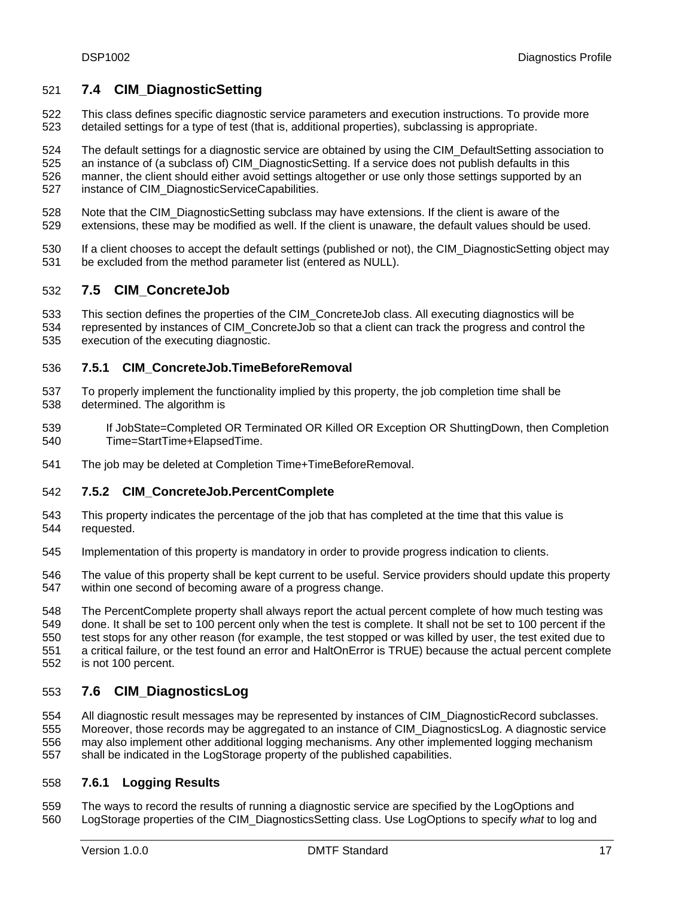### <span id="page-16-1"></span><span id="page-16-0"></span>521 **7.4 CIM\_DiagnosticSetting**

- 522 This class defines specific diagnostic service parameters and execution instructions. To provide more 523 detailed settings for a type of test (that is, additional properties), subclassing is appropriate.
- 524 The default settings for a diagnostic service are obtained by using the CIM\_DefaultSetting association to
- 525 an instance of (a subclass of) CIM\_DiagnosticSetting. If a service does not publish defaults in this 526 manner, the client should either avoid settings altogether or use only those settings supported by an 527 instance of CIM\_DiagnosticServiceCapabilities.
- 528 Note that the CIM\_DiagnosticSetting subclass may have extensions. If the client is aware of the 529 extensions, these may be modified as well. If the client is unaware, the default values should be used.
- 530 If a client chooses to accept the default settings (published or not), the CIM\_DiagnosticSetting object may 531 be excluded from the method parameter list (entered as NULL).

#### <span id="page-16-2"></span>532 **7.5 CIM\_ConcreteJob**

- 533 This section defines the properties of the CIM\_ConcreteJob class. All executing diagnostics will be
- 534 represented by instances of CIM\_ConcreteJob so that a client can track the progress and control the 535 execution of the executing diagnostic.

#### <span id="page-16-3"></span>536 **7.5.1 CIM\_ConcreteJob.TimeBeforeRemoval**

- 537 To properly implement the functionality implied by this property, the job completion time shall be 538 determined. The algorithm is
- 539 If JobState=Completed OR Terminated OR Killed OR Exception OR ShuttingDown, then Completion 540 Time=StartTime+ElapsedTime.
- 541 The job may be deleted at Completion Time+TimeBeforeRemoval.

#### <span id="page-16-4"></span>542 **7.5.2 CIM\_ConcreteJob.PercentComplete**

- 543 This property indicates the percentage of the job that has completed at the time that this value is 544 requested.
- 545 Implementation of this property is mandatory in order to provide progress indication to clients.
- 546 The value of this property shall be kept current to be useful. Service providers should update this property 547 within one second of becoming aware of a progress change.
- 548 The PercentComplete property shall always report the actual percent complete of how much testing was 549 done. It shall be set to 100 percent only when the test is complete. It shall not be set to 100 percent if the 550 test stops for any other reason (for example, the test stopped or was killed by user, the test exited due to 551 a critical failure, or the test found an error and HaltOnError is TRUE) because the actual percent complete 552 is not 100 percent.

#### <span id="page-16-5"></span>553 **7.6 CIM\_DiagnosticsLog**

554 All diagnostic result messages may be represented by instances of CIM\_DiagnosticRecord subclasses. 555 Moreover, those records may be aggregated to an instance of CIM\_DiagnosticsLog. A diagnostic service 556 may also implement other additional logging mechanisms. Any other implemented logging mechanism 557 shall be indicated in the LogStorage property of the published capabilities.

#### <span id="page-16-6"></span>558 **7.6.1 Logging Results**

559 The ways to record the results of running a diagnostic service are specified by the LogOptions and 560 LogStorage properties of the CIM\_DiagnosticsSetting class. Use LogOptions to specify *what* to log and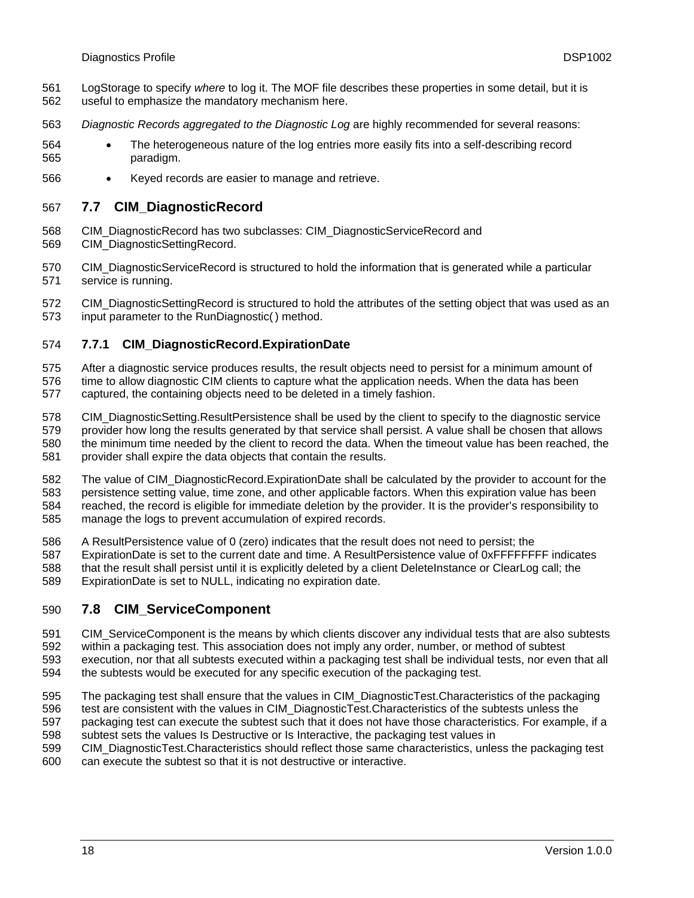- <span id="page-17-0"></span>561 LogStorage to specify *where* to log it. The MOF file describes these properties in some detail, but it is 562 useful to emphasize the mandatory mechanism here.
- 563 *Diagnostic Records aggregated to the Diagnostic Log* are highly recommended for several reasons:
- 564 The heterogeneous nature of the log entries more easily fits into a self-describing record 565 paradigm.
- 566 Keyed records are easier to manage and retrieve.

#### <span id="page-17-1"></span>567 **7.7 CIM\_DiagnosticRecord**

- 568 CIM\_DiagnosticRecord has two subclasses: CIM\_DiagnosticServiceRecord and
- 569 CIM\_DiagnosticSettingRecord.
- 570 CIM\_DiagnosticServiceRecord is structured to hold the information that is generated while a particular 571 service is running.

572 CIM DiagnosticSettingRecord is structured to hold the attributes of the setting object that was used as an 573 input parameter to the RunDiagnostic( ) method.

#### <span id="page-17-2"></span>574 **7.7.1 CIM\_DiagnosticRecord.ExpirationDate**

- 575 After a diagnostic service produces results, the result objects need to persist for a minimum amount of
- 576 time to allow diagnostic CIM clients to capture what the application needs. When the data has been 577 captured, the containing objects need to be deleted in a timely fashion.
- 578 CIM\_DiagnosticSetting.ResultPersistence shall be used by the client to specify to the diagnostic service 579 provider how long the results generated by that service shall persist. A value shall be chosen that allows 580 the minimum time needed by the client to record the data. When the timeout value has been reached, the 581 provider shall expire the data objects that contain the results.
- 582 The value of CIM\_DiagnosticRecord.ExpirationDate shall be calculated by the provider to account for the 583 persistence setting value, time zone, and other applicable factors. When this expiration value has been 584 reached, the record is eligible for immediate deletion by the provider. It is the provider's responsibility to 585 manage the logs to prevent accumulation of expired records.
- <span id="page-17-4"></span>586 A ResultPersistence value of 0 (zero) indicates that the result does not need to persist; the
- 587 ExpirationDate is set to the current date and time. A ResultPersistence value of 0xFFFFFFFF indicates 588 that the result shall persist until it is explicitly deleted by a client DeleteInstance or ClearLog call; the
- 589 ExpirationDate is set to NULL, indicating no expiration date.

## <span id="page-17-3"></span>590 **7.8 CIM\_ServiceComponent**

- 591 CIM\_ServiceComponent is the means by which clients discover any individual tests that are also subtests
- 592 within a packaging test. This association does not imply any order, number, or method of subtest
- 593 execution, nor that all subtests executed within a packaging test shall be individual tests, nor even that all 594 the subtests would be executed for any specific execution of the packaging test.
- 595 The packaging test shall ensure that the values in CIM\_DiagnosticTest.Characteristics of the packaging
- 596 test are consistent with the values in CIM\_DiagnosticTest.Characteristics of the subtests unless the
- 597 packaging test can execute the subtest such that it does not have those characteristics. For example, if a
- 598 subtest sets the values Is Destructive or Is Interactive, the packaging test values in 599 CIM\_DiagnosticTest.Characteristics should reflect those same characteristics, unless the packaging test
- 600 can execute the subtest so that it is not destructive or interactive.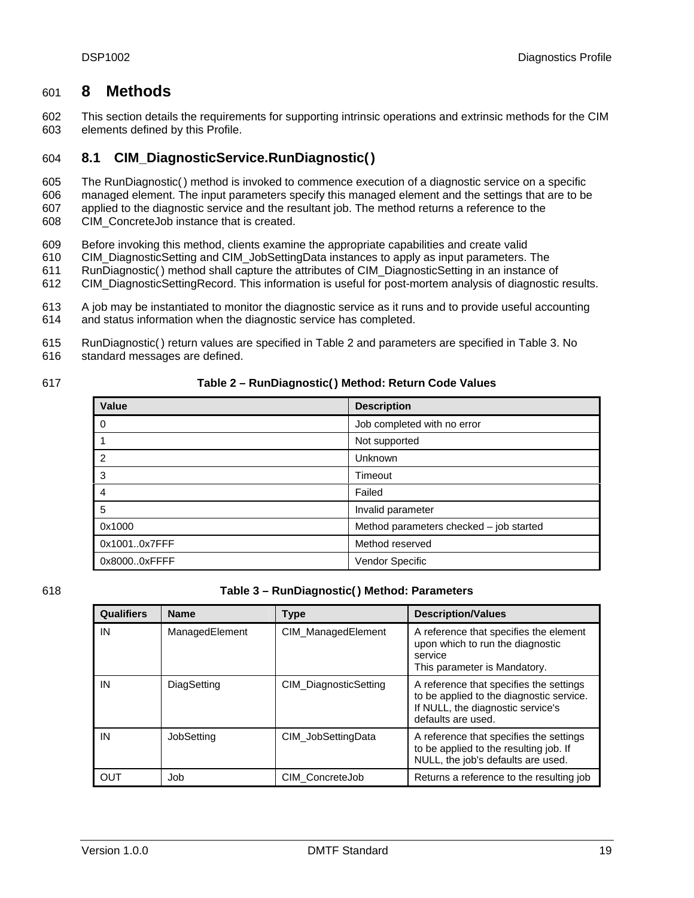# <span id="page-18-1"></span><span id="page-18-0"></span>601 **8 Methods**

602 This section details the requirements for supporting intrinsic operations and extrinsic methods for the CIM 603 elements defined by this Profile.

#### <span id="page-18-2"></span>604 **8.1 CIM\_DiagnosticService.RunDiagnostic()**

605 The RunDiagnostic() method is invoked to commence execution of a diagnostic service on a specific 606 managed element. The input parameters specify this managed element and the settings that are to be

607 applied to the diagnostic service and the resultant job. The method returns a reference to the

- 608 CIM\_ConcreteJob instance that is created.
- <span id="page-18-5"></span>609 Before invoking this method, clients examine the appropriate capabilities and create valid
- 610 CIM\_DiagnosticSetting and CIM\_JobSettingData instances to apply as input parameters. The
- 611 RunDiagnostic() method shall capture the attributes of CIM\_DiagnosticSetting in an instance of
- 612 CIM\_DiagnosticSettingRecord. This information is useful for post-mortem analysis of diagnostic results.
- 613 A job may be instantiated to monitor the diagnostic service as it runs and to provide useful accounting 614 and status information when the diagnostic service has completed.
- 615 RunDiagnostic() return values are specified in [Table 2](#page-18-5) and parameters are specified in [Table 3](#page-18-4). No
- 616 standard messages are defined.

<span id="page-18-3"></span>

| ٩ |  |
|---|--|
|---|--|

#### 617 **Table 2 – RunDiagnostic() Method: Return Code Values**

| Value        | <b>Description</b>                      |  |
|--------------|-----------------------------------------|--|
| $\Omega$     | Job completed with no error             |  |
|              | Not supported                           |  |
| 2            | Unknown                                 |  |
| 3            | Timeout                                 |  |
| 4            | Failed                                  |  |
| 5            | Invalid parameter                       |  |
| 0x1000       | Method parameters checked - job started |  |
| 0x10010x7FFF | Method reserved                         |  |
| 0x80000xFFFF | Vendor Specific                         |  |

<span id="page-18-4"></span>

#### 618 **Table 3 – RunDiagnostic() Method: Parameters**

| <b>Qualifiers</b> | <b>Name</b>    | <b>Type</b>           | <b>Description/Values</b>                                                                                                                      |
|-------------------|----------------|-----------------------|------------------------------------------------------------------------------------------------------------------------------------------------|
| IN                | ManagedElement | CIM_ManagedElement    | A reference that specifies the element<br>upon which to run the diagnostic<br>service<br>This parameter is Mandatory.                          |
| IN                | DiagSetting    | CIM_DiagnosticSetting | A reference that specifies the settings<br>to be applied to the diagnostic service.<br>If NULL, the diagnostic service's<br>defaults are used. |
| IN                | JobSettina     | CIM JobSettingData    | A reference that specifies the settings<br>to be applied to the resulting job. If<br>NULL, the job's defaults are used.                        |
| <b>OUT</b>        | Job            | CIM ConcreteJob       | Returns a reference to the resulting job                                                                                                       |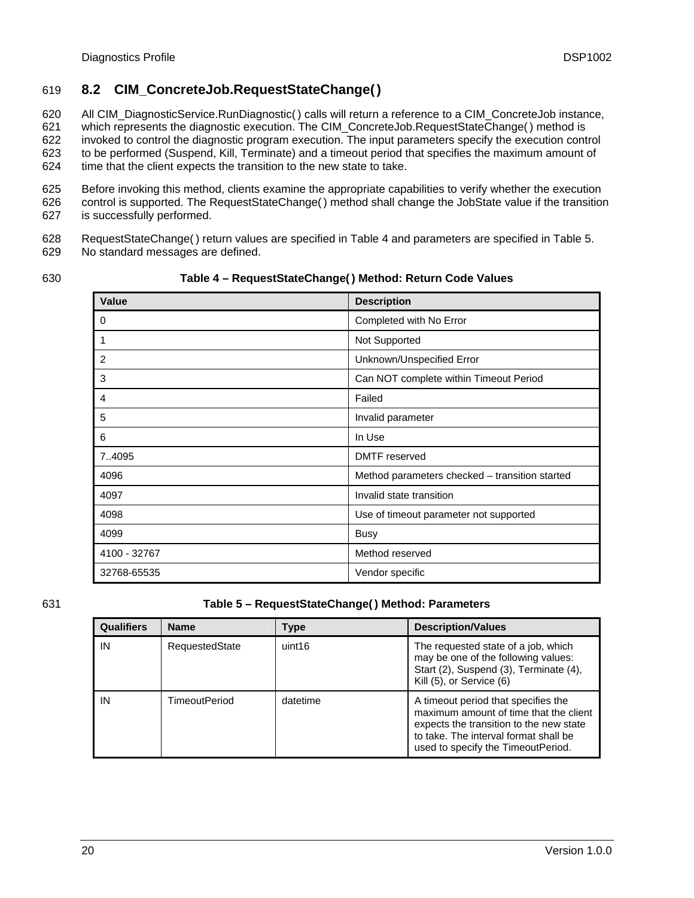## <span id="page-19-1"></span><span id="page-19-0"></span>619 **8.2 CIM\_ConcreteJob.RequestStateChange()**

620 All CIM\_DiagnosticService.RunDiagnostic( ) calls will return a reference to a CIM\_ConcreteJob instance,

621 which represents the diagnostic execution. The CIM\_ConcreteJob.RequestStateChange( ) method is

622 invoked to control the diagnostic program execution. The input parameters specify the execution control 623 to be performed (Suspend, Kill, Terminate) and a timeout period that specifies the maximum amount of 624 time that the client expects the transition to the new state to take.

625 Before invoking this method, clients examine the appropriate capabilities to verify whether the execution 626 control is supported. The RequestStateChange() method shall change the JobState value if the transition 627 is successfully performed.

628 RequestStateChange( ) return values are specified in [Table 4](#page-19-2) and parameters are specified in [Table 5.](#page-19-3) 629 No standard messages are defined.

<span id="page-19-2"></span>

630 **Table 4 – RequestStateChange( ) Method: Return Code Values** 

| <b>Value</b> | <b>Description</b>                             |
|--------------|------------------------------------------------|
| 0            | Completed with No Error                        |
| 1            | Not Supported                                  |
| 2            | Unknown/Unspecified Error                      |
| 3            | Can NOT complete within Timeout Period         |
| 4            | Failed                                         |
| 5            | Invalid parameter                              |
| 6            | In Use                                         |
| 7.4095       | DMTF reserved                                  |
| 4096         | Method parameters checked - transition started |
| 4097         | Invalid state transition                       |
| 4098         | Use of timeout parameter not supported         |
| 4099         | Busy                                           |
| 4100 - 32767 | Method reserved                                |
| 32768-65535  | Vendor specific                                |

#### <span id="page-19-3"></span>631 **Table 5 – RequestStateChange( ) Method: Parameters**

| <b>Qualifiers</b> | <b>Name</b>          | Type     | <b>Description/Values</b>                                                                                                                                                                               |
|-------------------|----------------------|----------|---------------------------------------------------------------------------------------------------------------------------------------------------------------------------------------------------------|
| IN                | RequestedState       | uint16   | The requested state of a job, which<br>may be one of the following values:<br>Start (2), Suspend (3), Terminate (4),<br>Kill (5), or Service (6)                                                        |
| ΙN                | <b>TimeoutPeriod</b> | datetime | A timeout period that specifies the<br>maximum amount of time that the client<br>expects the transition to the new state<br>to take. The interval format shall be<br>used to specify the TimeoutPeriod. |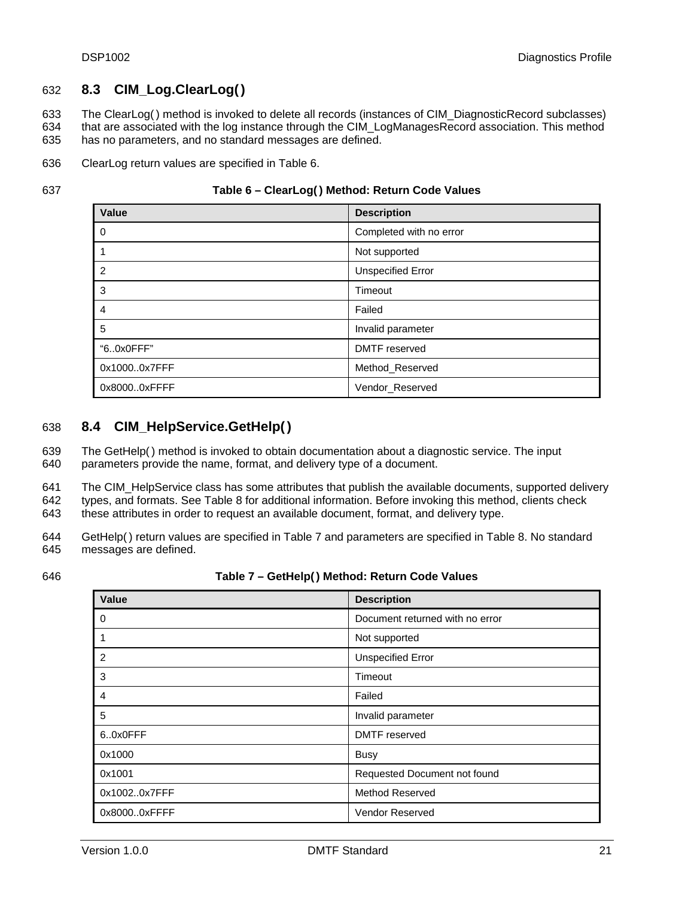#### <span id="page-20-1"></span><span id="page-20-0"></span>632 **8.3 CIM\_Log.ClearLog()**

633 The ClearLog( ) method is invoked to delete all records (instances of CIM\_DiagnosticRecord subclasses) 634 that are associated with the log instance through the CIM\_LogManagesRecord association. This method 635 has no parameters, and no standard messages are defined.

636 ClearLog return values are specified in [Table 6](#page-20-3).

<span id="page-20-3"></span>

#### 637 **Table 6 – ClearLog( ) Method: Return Code Values**

| Value        | <b>Description</b>       |
|--------------|--------------------------|
| 0            | Completed with no error  |
|              | Not supported            |
| 2            | <b>Unspecified Error</b> |
| 3            | Timeout                  |
| 4            | Failed                   |
| 5            | Invalid parameter        |
| "60x0FFF"    | <b>DMTF</b> reserved     |
| 0x10000x7FFF | Method_Reserved          |
| 0x80000xFFFF | Vendor Reserved          |

#### <span id="page-20-2"></span>638 **8.4 CIM\_HelpService.GetHelp()**

639 The GetHelp() method is invoked to obtain documentation about a diagnostic service. The input 640 parameters provide the name, format, and delivery type of a document.

641 The CIM HelpService class has some attributes that publish the available documents, supported delivery 642 types, and formats. See [Table 8](#page-21-3) for additional information. Before invoking this method, clients check 643 these attributes in order to request an available document, format, and delivery type.

644 GetHelp() return values are specified in [Table 7](#page-20-4) and parameters are specified in [Table 8.](#page-21-3) No standard 645 messages are defined.

<span id="page-20-4"></span>646 **Table 7 – GetHelp() Method: Return Code Values** 

| Value          | <b>Description</b>              |
|----------------|---------------------------------|
| - 0            | Document returned with no error |
| $\overline{1}$ | Not supported                   |
| $\overline{2}$ | <b>Unspecified Error</b>        |
| -3             | Timeout                         |
| $\overline{4}$ | Failed                          |
| 5              | Invalid parameter               |
| 60x0FFF        | <b>DMTF</b> reserved            |
| 0x1000         | <b>Busy</b>                     |
| 0x1001         | Requested Document not found    |
| 0x10020x7FFF   | <b>Method Reserved</b>          |
| 0x80000xFFFF   | <b>Vendor Reserved</b>          |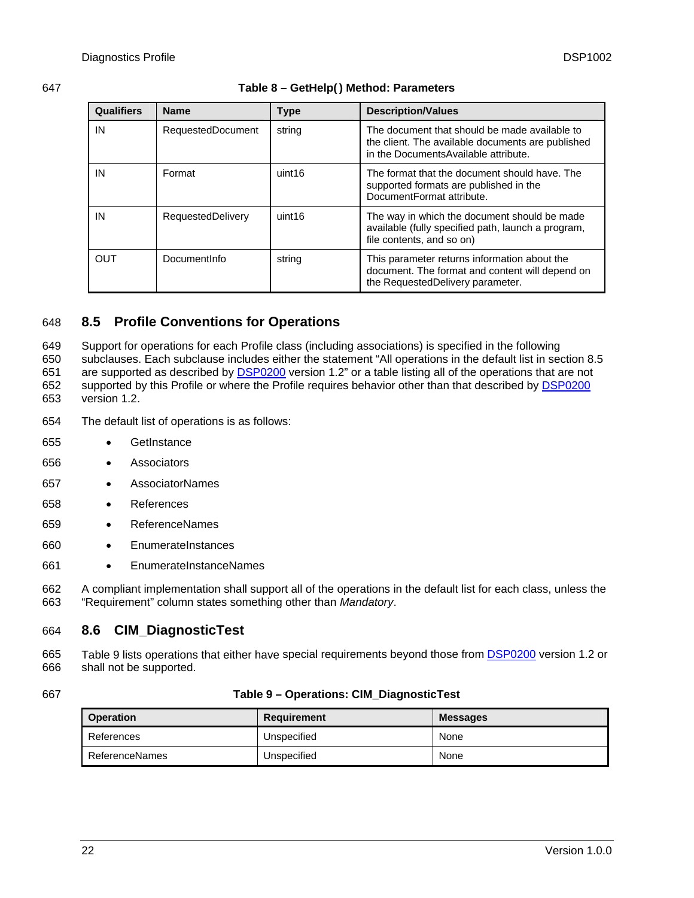#### <span id="page-21-3"></span><span id="page-21-0"></span>647 **Table 8 – GetHelp() Method: Parameters**

| <b>Qualifiers</b> | <b>Name</b>              | <b>Type</b> | <b>Description/Values</b>                                                                                                                   |
|-------------------|--------------------------|-------------|---------------------------------------------------------------------------------------------------------------------------------------------|
| IN                | <b>RequestedDocument</b> | string      | The document that should be made available to<br>the client. The available documents are published<br>in the Documents Available attribute. |
| IN                | Format                   | uint16      | The format that the document should have. The<br>supported formats are published in the<br>DocumentFormat attribute.                        |
| IN                | RequestedDelivery        | uint16      | The way in which the document should be made<br>available (fully specified path, launch a program,<br>file contents, and so on)             |
| <b>OUT</b>        | DocumentInfo             | string      | This parameter returns information about the<br>document. The format and content will depend on<br>the RequestedDelivery parameter.         |

## <span id="page-21-1"></span>648 **8.5 Profile Conventions for Operations**

649 Support for operations for each Profile class (including associations) is specified in the following 650 subclauses. Each subclause includes either the statement "All operations in the default list in section [8.5](#page-21-1) 651 are supported as described by [DSP0200](#page-8-0) version 1.2" or a table listing all of the operations that are not 652 supported by this Profile or where the Profile requires behavior other than that described by [DSP0200](#page-8-0) 653 version 1.2.

- 654 The default list of operations is as follows:
- 655 GetInstance
- 656 Associators
- 657 AssociatorNames
- 658 References
- 659 ReferenceNames
- 660 EnumerateInstances
- 661 EnumerateInstanceNames

662 A compliant implementation shall support all of the operations in the default list for each class, unless the 663 "Requirement" column states something other than *Mandatory*.

## <span id="page-21-2"></span>664 **8.6 CIM\_DiagnosticTest**

665 [Table 9](#page-21-4) lists operations that either have special requirements beyond those from [DSP0200](#page-8-0) version 1.2 or 666 shall not be supported.

#### <span id="page-21-4"></span>667 **Table 9 – Operations: CIM\_DiagnosticTest**

| <b>Operation</b> | Requirement | <b>Messages</b> |
|------------------|-------------|-----------------|
| References       | Unspecified | None            |
| ReferenceNames   | Unspecified | None            |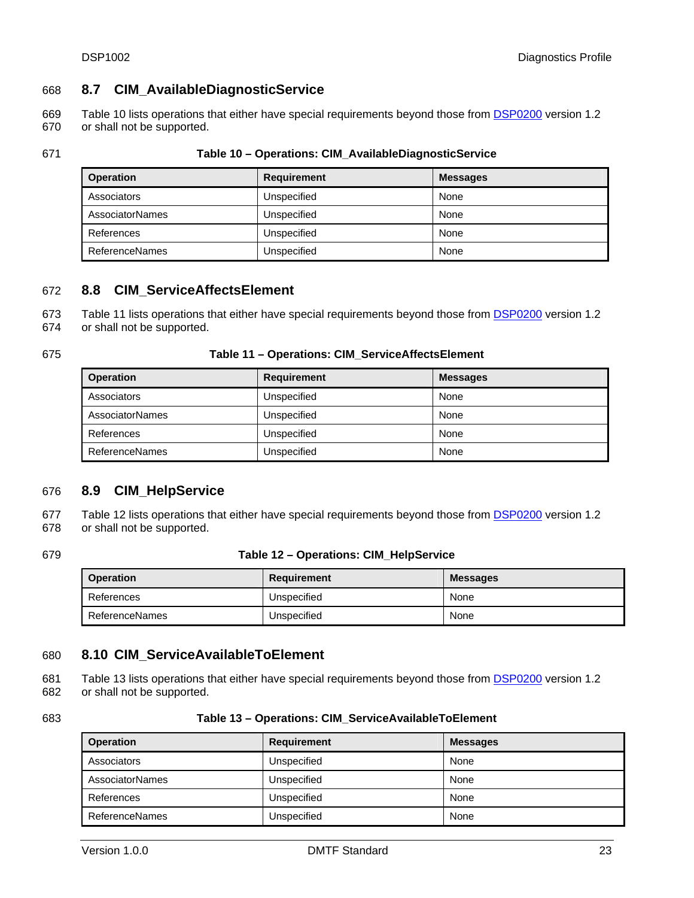#### <span id="page-22-1"></span><span id="page-22-0"></span>668 **8.7 CIM\_AvailableDiagnosticService**

- 669 [Table 10](#page-22-5) lists operations that either have special requirements beyond those from **[DSP0200](#page-8-0)** version 1.2 670 or shall not be supported.
- 

#### <span id="page-22-5"></span>671 **Table 10 – Operations: CIM\_AvailableDiagnosticService**

| <b>Operation</b>       | <b>Requirement</b> | <b>Messages</b> |
|------------------------|--------------------|-----------------|
| Associators            | Unspecified        | None            |
| <b>AssociatorNames</b> | Unspecified        | None            |
| References             | Unspecified        | None            |
| <b>ReferenceNames</b>  | Unspecified        | None            |

#### <span id="page-22-2"></span>672 **8.8 CIM\_ServiceAffectsElement**

673 [Table 11](#page-22-6) lists operations that either have special requirements beyond those from [DSP0200](#page-8-0) version 1.2

- 674 or shall not be supported.
- <span id="page-22-6"></span>

#### 675 **Table 11 – Operations: CIM\_ServiceAffectsElement**

| <b>Operation</b>       | Requirement | <b>Messages</b> |
|------------------------|-------------|-----------------|
| Associators            | Unspecified | None            |
| <b>AssociatorNames</b> | Unspecified | None            |
| References             | Unspecified | None            |
| <b>ReferenceNames</b>  | Unspecified | None            |

#### <span id="page-22-3"></span>676 **8.9 CIM\_HelpService**

677 [Table 12](#page-22-7) lists operations that either have special requirements beyond those from **[DSP0200](#page-8-0)** version 1.2 678 or shall not be supported.

#### <span id="page-22-7"></span>679 **Table 12 – Operations: CIM\_HelpService**

| <b>Operation</b> | Requirement | <b>Messages</b> |
|------------------|-------------|-----------------|
| References       | Unspecified | None            |
| ReferenceNames   | Unspecified | None            |

#### <span id="page-22-4"></span>680 **8.10 CIM\_ServiceAvailableToElement**

681 [Table 13](#page-22-8) lists operations that either have special requirements beyond those from **[DSP0200](#page-8-0)** version 1.2 682 or shall not be supported.

<span id="page-22-8"></span>

| 683 | Table 13 – Operations: CIM ServiceAvailableToElement |
|-----|------------------------------------------------------|
|-----|------------------------------------------------------|

| <b>Operation</b> | Requirement | <b>Messages</b> |
|------------------|-------------|-----------------|
| Associators      | Unspecified | None            |
| AssociatorNames  | Unspecified | None            |
| References       | Unspecified | None            |
| ReferenceNames   | Unspecified | None            |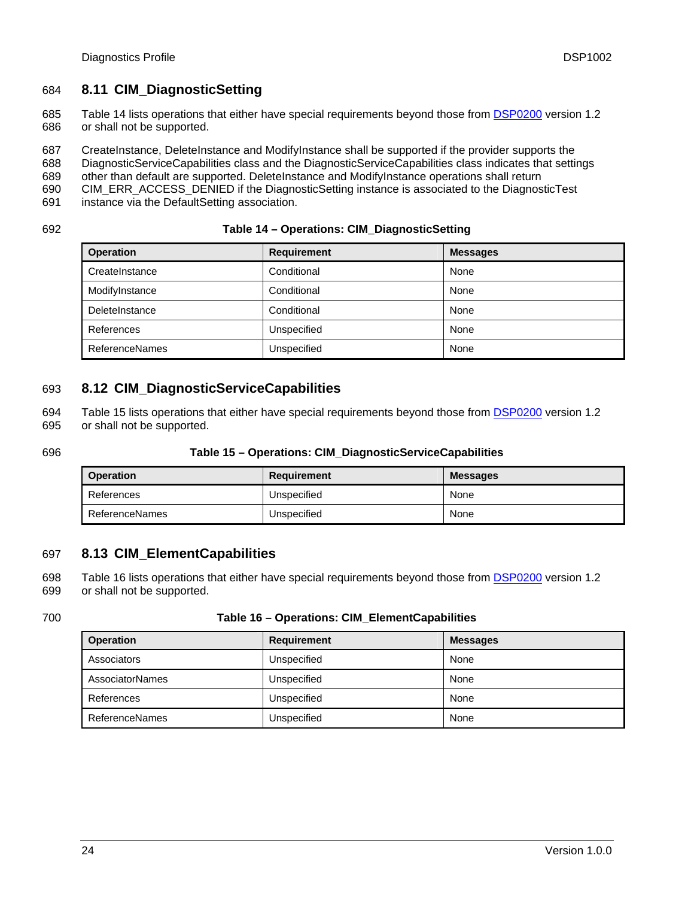### <span id="page-23-1"></span><span id="page-23-0"></span>684 **8.11 CIM\_DiagnosticSetting**

685 [Table 14](#page-23-4) lists operations that either have special requirements beyond those from [DSP0200](#page-8-0) version 1.2 686 or shall not be supported.

687 CreateInstance, DeleteInstance and ModifyInstance shall be supported if the provider supports the

- 688 DiagnosticServiceCapabilities class and the DiagnosticServiceCapabilities class indicates that settings
- 689 other than default are supported. DeleteInstance and ModifyInstance operations shall return
- 690 CIM\_ERR\_ACCESS\_DENIED if the DiagnosticSetting instance is associated to the DiagnosticTest
- 691 instance via the DefaultSetting association.

#### <span id="page-23-4"></span>692 **Table 14 – Operations: CIM\_DiagnosticSetting**

| <b>Operation</b> | <b>Requirement</b> | <b>Messages</b> |
|------------------|--------------------|-----------------|
| CreateInstance   | Conditional        | None            |
| ModifyInstance   | Conditional        | None            |
| DeleteInstance   | Conditional        | None            |
| References       | Unspecified        | None            |
| ReferenceNames   | Unspecified        | None            |

#### <span id="page-23-2"></span>693 **8.12 CIM\_DiagnosticServiceCapabilities**

694 [Table 15](#page-23-5) lists operations that either have special requirements beyond those from [DSP0200](#page-8-0) version 1.2 695 or shall not be supported.

#### <span id="page-23-5"></span>696 **Table 15 – Operations: CIM\_DiagnosticServiceCapabilities**

| <b>Operation</b> | Requirement | <b>Messages</b> |
|------------------|-------------|-----------------|
| References       | Unspecified | None            |
| ReferenceNames   | Unspecified | None            |

#### <span id="page-23-3"></span>697 **8.13 CIM\_ElementCapabilities**

698 [Table 16](#page-23-6) lists operations that either have special requirements beyond those from [DSP0200](#page-8-0) version 1.2 699 or shall not be supported.

#### <span id="page-23-6"></span>700 **Table 16 – Operations: CIM\_ElementCapabilities**

| <b>Operation</b> | Requirement | <b>Messages</b> |
|------------------|-------------|-----------------|
| Associators      | Unspecified | None            |
| AssociatorNames  | Unspecified | None            |
| References       | Unspecified | None            |
| ReferenceNames   | Unspecified | None            |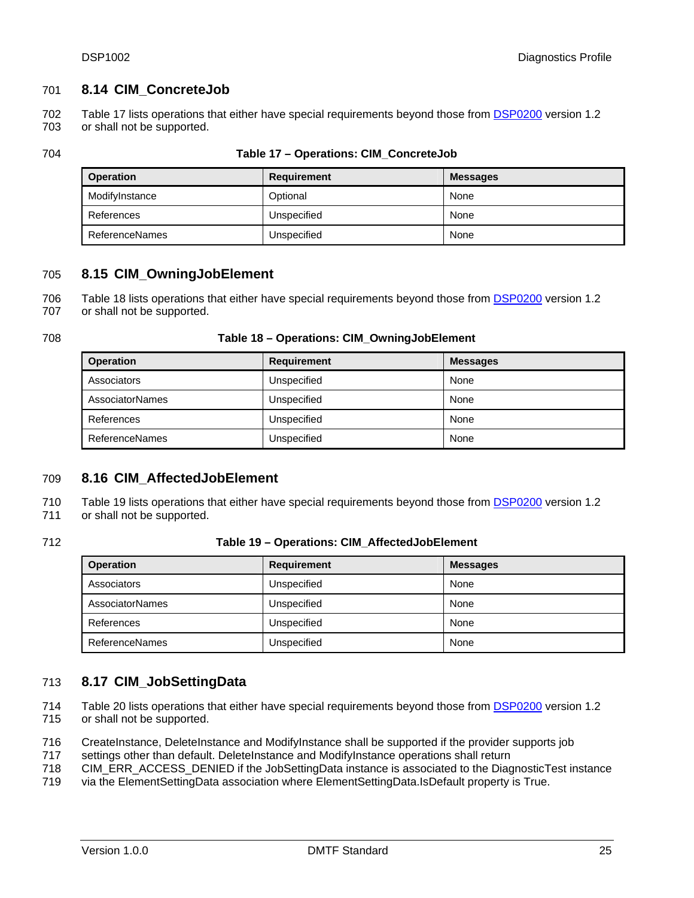#### <span id="page-24-1"></span><span id="page-24-0"></span>701 **8.14 CIM\_ConcreteJob**

702 [Table 17](#page-24-5) lists operations that either have special requirements beyond those from [DSP0200](#page-8-0) version 1.2 703 or shall not be supported.

<span id="page-24-5"></span>

#### 704 **Table 17 – Operations: CIM\_ConcreteJob**

| <b>Operation</b>      | <b>Requirement</b> | <b>Messages</b> |
|-----------------------|--------------------|-----------------|
| ModifyInstance        | Optional           | None            |
| References            | Unspecified        | None            |
| <b>ReferenceNames</b> | Unspecified        | None            |

#### <span id="page-24-2"></span>705 **8.15 CIM\_OwningJobElement**

706 [Table 18](#page-24-6) lists operations that either have special requirements beyond those from **[DSP0200](#page-8-0)** version 1.2 707 or shall not be supported.

#### <span id="page-24-6"></span>708 **Table 18 – Operations: CIM\_OwningJobElement**

| <b>Operation</b>       | <b>Requirement</b> | <b>Messages</b> |
|------------------------|--------------------|-----------------|
| Associators            | Unspecified        | None            |
| <b>AssociatorNames</b> | Unspecified        | None            |
| References             | Unspecified        | None            |
| ReferenceNames         | Unspecified        | None            |

#### <span id="page-24-3"></span>709 **8.16 CIM\_AffectedJobElement**

710 [Table 19](#page-24-7) lists operations that either have special requirements beyond those from [DSP0200](#page-8-0) version 1.2

711 or shall not be supported.

#### <span id="page-24-7"></span>712 **Table 19 – Operations: CIM\_AffectedJobElement**

| <b>Operation</b>       | <b>Requirement</b> | <b>Messages</b> |
|------------------------|--------------------|-----------------|
| Associators            | Unspecified        | None            |
| <b>AssociatorNames</b> | Unspecified        | None            |
| References             | Unspecified        | None            |
| <b>ReferenceNames</b>  | Unspecified        | None            |

#### <span id="page-24-4"></span>713 **8.17 CIM\_JobSettingData**

714 [Table 20](#page-25-4) lists operations that either have special requirements beyond those from [DSP0200](#page-8-0) version 1.2 715 or shall not be supported.

716 CreateInstance, DeleteInstance and ModifyInstance shall be supported if the provider supports job

717 settings other than default. DeleteInstance and ModifyInstance operations shall return

718 CIM\_ERR\_ACCESS\_DENIED if the JobSettingData instance is associated to the DiagnosticTest instance

719 via the ElementSettingData association where ElementSettingData.IsDefault property is True.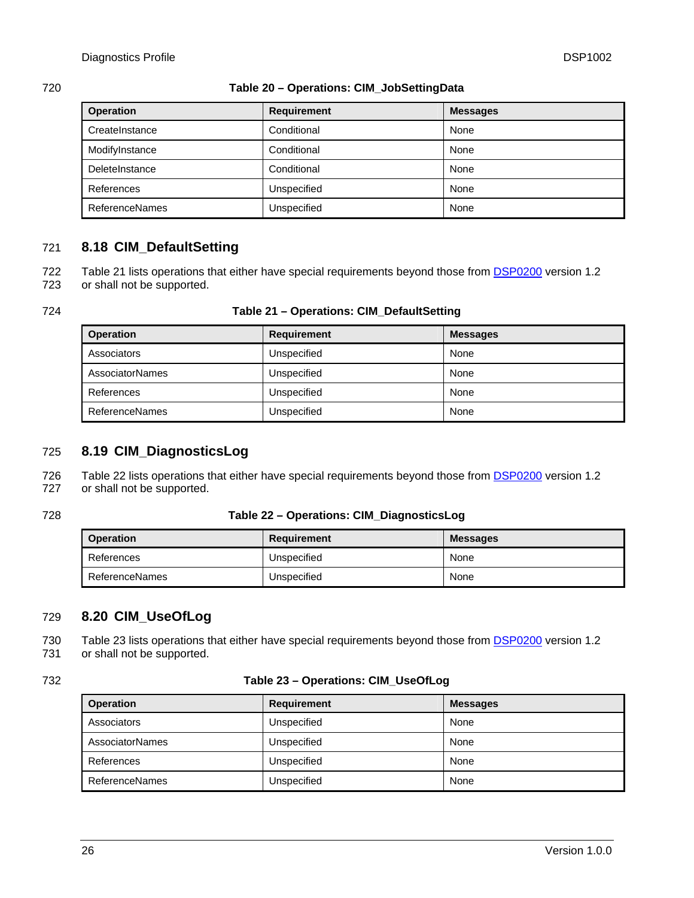#### <span id="page-25-4"></span><span id="page-25-0"></span>720 **Table 20 – Operations: CIM\_JobSettingData**

| <b>Operation</b>      | <b>Requirement</b> | <b>Messages</b> |
|-----------------------|--------------------|-----------------|
| CreateInstance        | Conditional        | None            |
| ModifyInstance        | Conditional        | None            |
| DeleteInstance        | Conditional        | None            |
| References            | Unspecified        | None            |
| <b>ReferenceNames</b> | Unspecified        | None            |

## <span id="page-25-1"></span>721 **8.18 CIM\_DefaultSetting**

722 [Table 21](#page-25-5) lists operations that either have special requirements beyond those from **[DSP0200](#page-8-0)** version 1.2 723 or shall not be supported.

<span id="page-25-5"></span>

#### 724 **Table 21 – Operations: CIM\_DefaultSetting**

| <b>Operation</b>       | <b>Requirement</b> | <b>Messages</b> |
|------------------------|--------------------|-----------------|
| Associators            | Unspecified        | None            |
| <b>AssociatorNames</b> | Unspecified        | None            |
| References             | Unspecified        | None            |
| <b>ReferenceNames</b>  | Unspecified        | None            |

## <span id="page-25-2"></span>725 **8.19 CIM\_DiagnosticsLog**

726 [Table 22](#page-25-6) lists operations that either have special requirements beyond those from **[DSP0200](#page-8-0)** version 1.2 727 or shall not be supported.

#### <span id="page-25-6"></span>728 **Table 22 – Operations: CIM\_DiagnosticsLog**

| <b>Operation</b> | Requirement | <b>Messages</b> |
|------------------|-------------|-----------------|
| References       | Unspecified | None            |
| ReferenceNames   | Unspecified | None            |

## <span id="page-25-3"></span>729 **8.20 CIM\_UseOfLog**

730 [Table 23](#page-25-7) lists operations that either have special requirements beyond those from **[DSP0200](#page-8-0)** version 1.2 731 or shall not be supported.

#### <span id="page-25-7"></span>732 **Table 23 – Operations: CIM\_UseOfLog**

| <b>Operation</b>       | <b>Requirement</b> | <b>Messages</b> |
|------------------------|--------------------|-----------------|
| Associators            | Unspecified        | None            |
| <b>AssociatorNames</b> | Unspecified        | None            |
| References             | Unspecified        | None            |
| <b>ReferenceNames</b>  | Unspecified        | None            |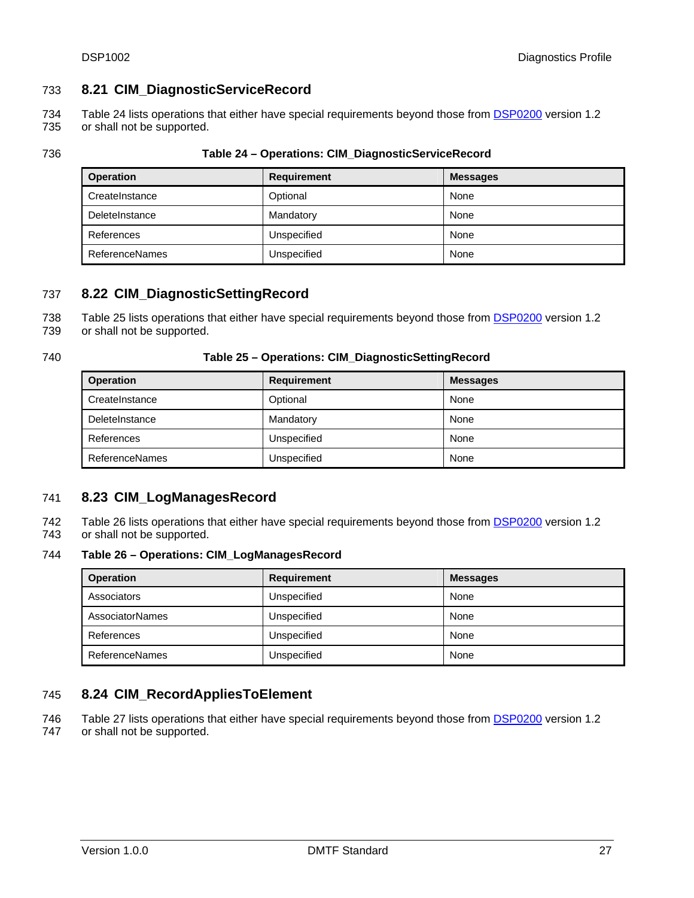#### <span id="page-26-1"></span><span id="page-26-0"></span>733 **8.21 CIM\_DiagnosticServiceRecord**

734 [Table 24](#page-26-5) lists operations that either have special requirements beyond those from **[DSP0200](#page-8-0)** version 1.2 735 or shall not be supported.

<span id="page-26-5"></span>

| ×<br>۰, | ×<br>۰. |
|---------|---------|

#### 736 **Table 24 – Operations: CIM\_DiagnosticServiceRecord**

| <b>Operation</b>      | <b>Requirement</b> | <b>Messages</b> |
|-----------------------|--------------------|-----------------|
| CreateInstance        | Optional           | None            |
| DeleteInstance        | Mandatory          | None            |
| References            | Unspecified        | None            |
| <b>ReferenceNames</b> | Unspecified        | None            |

#### <span id="page-26-2"></span>737 **8.22 CIM\_DiagnosticSettingRecord**

738 [Table 25](#page-26-6) lists operations that either have special requirements beyond those from [DSP0200](#page-8-0) version 1.2

739 or shall not be supported.

#### <span id="page-26-6"></span>740 **Table 25 – Operations: CIM\_DiagnosticSettingRecord**

| <b>Operation</b>      | <b>Requirement</b> | <b>Messages</b> |
|-----------------------|--------------------|-----------------|
| CreateInstance        | Optional           | None            |
| DeleteInstance        | Mandatory          | None            |
| References            | Unspecified        | None            |
| <b>ReferenceNames</b> | Unspecified        | None            |

#### <span id="page-26-3"></span>741 **8.23 CIM\_LogManagesRecord**

742 [Table 26](#page-26-7) lists operations that either have special requirements beyond those from **[DSP0200](#page-8-0)** version 1.2 743 or shall not be supported.

#### <span id="page-26-7"></span>744 **Table 26 – Operations: CIM\_LogManagesRecord**

| <b>Operation</b>       | <b>Requirement</b> | <b>Messages</b> |
|------------------------|--------------------|-----------------|
| Associators            | Unspecified        | None            |
| <b>AssociatorNames</b> | Unspecified        | None            |
| References             | Unspecified        | None            |
| <b>ReferenceNames</b>  | Unspecified        | None            |

## <span id="page-26-4"></span>745 **8.24 CIM\_RecordAppliesToElement**

746 [Table 27](#page-27-4) lists operations that either have special requirements beyond those from [DSP0200](#page-8-0) version 1.2 747 or shall not be supported.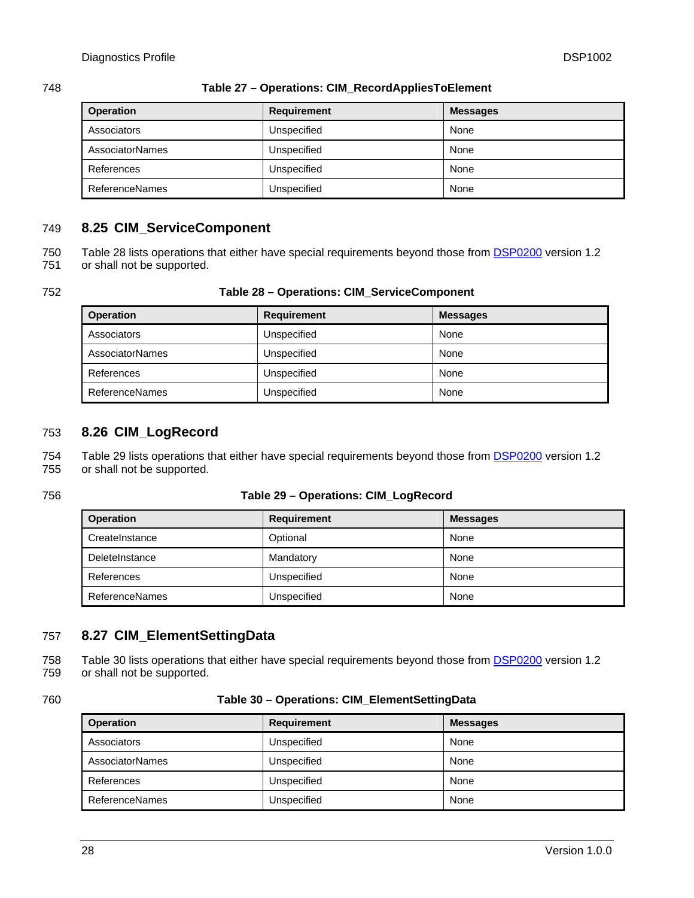<span id="page-27-4"></span>

#### <span id="page-27-0"></span>748 **Table 27 – Operations: CIM\_RecordAppliesToElement**

| <b>Operation</b>       | <b>Requirement</b> | <b>Messages</b> |
|------------------------|--------------------|-----------------|
| Associators            | Unspecified        | None            |
| <b>AssociatorNames</b> | Unspecified        | None            |
| References             | Unspecified        | None            |
| <b>ReferenceNames</b>  | Unspecified        | None            |

### <span id="page-27-1"></span>749 **8.25 CIM\_ServiceComponent**

| 750 | Table 28 lists operations that either have special requirements beyond those from <b>DSP0200</b> version 1.2 |
|-----|--------------------------------------------------------------------------------------------------------------|
| 751 | or shall not be supported.                                                                                   |

#### <span id="page-27-5"></span>752 **Table 28 – Operations: CIM\_ServiceComponent**

| <b>Operation</b>       | <b>Requirement</b> | <b>Messages</b> |
|------------------------|--------------------|-----------------|
| Associators            | Unspecified        | None            |
| <b>AssociatorNames</b> | Unspecified        | None            |
| References             | Unspecified        | None            |
| <b>ReferenceNames</b>  | Unspecified        | None            |

#### <span id="page-27-2"></span>753 **8.26 CIM\_LogRecord**

754 [Table 29](#page-27-6) lists operations that either have special requirements beyond those from **[DSP0200](#page-8-0)** version 1.2 755 or shall not be supported.

#### <span id="page-27-6"></span>756 **Table 29 – Operations: CIM\_LogRecord**

| <b>Operation</b>      | Requirement | <b>Messages</b> |
|-----------------------|-------------|-----------------|
| CreateInstance        | Optional    | None            |
| DeleteInstance        | Mandatory   | None            |
| References            | Unspecified | None            |
| <b>ReferenceNames</b> | Unspecified | None            |

## <span id="page-27-3"></span>757 **8.27 CIM\_ElementSettingData**

758 [Table 30](#page-27-7) lists operations that either have special requirements beyond those from **[DSP0200](#page-8-0)** version 1.2 759 or shall not be supported.

#### <span id="page-27-7"></span>760 **Table 30 – Operations: CIM\_ElementSettingData**

| <b>Operation</b> | <b>Requirement</b> | <b>Messages</b> |
|------------------|--------------------|-----------------|
| Associators      | Unspecified        | None            |
| AssociatorNames  | Unspecified        | None            |
| References       | Unspecified        | None            |
| ReferenceNames   | Unspecified        | None            |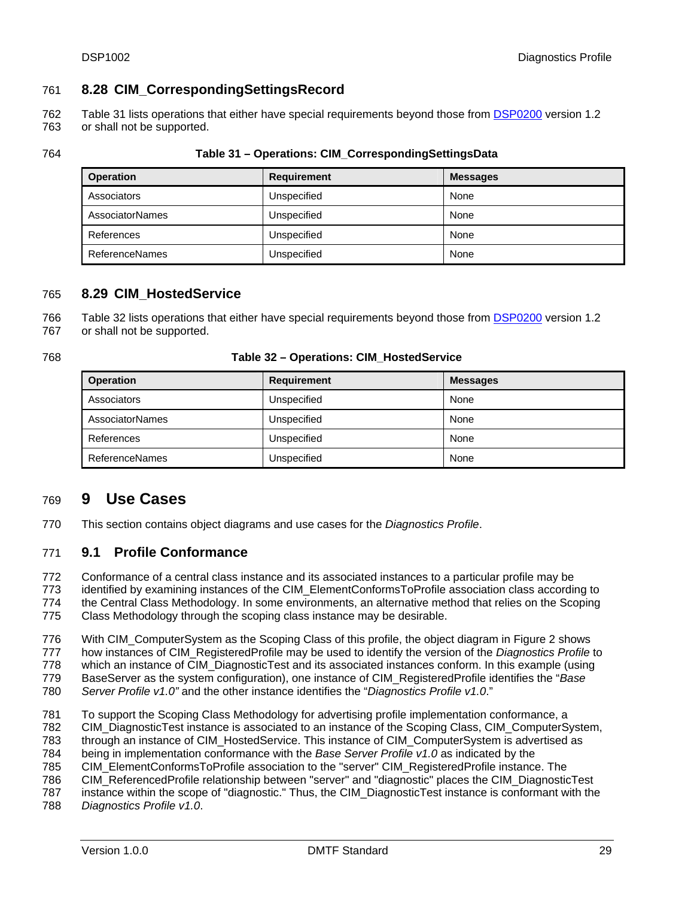### <span id="page-28-1"></span><span id="page-28-0"></span>761 **8.28 CIM\_CorrespondingSettingsRecord**

762 [Table 31](#page-28-5) lists operations that either have special requirements beyond those from [DSP0200](#page-8-0) version 1.2 763 or shall not be supported.

<span id="page-28-5"></span>

| ×<br>۰. |
|---------|

#### 764 **Table 31 – Operations: CIM\_CorrespondingSettingsData**

| <b>Operation</b>      | <b>Requirement</b> | <b>Messages</b> |
|-----------------------|--------------------|-----------------|
| Associators           | Unspecified        | None            |
| AssociatorNames       | Unspecified        | None            |
| References            | Unspecified        | None            |
| <b>ReferenceNames</b> | Unspecified        | None            |

#### <span id="page-28-2"></span>765 **8.29 CIM\_HostedService**

766 [Table 32](#page-28-6) lists operations that either have special requirements beyond those from [DSP0200](#page-8-0) version 1.2 767 or shall not be supported.

#### <span id="page-28-6"></span>768 **Table 32 – Operations: CIM\_HostedService**

| <b>Operation</b>       | <b>Requirement</b> | <b>Messages</b> |
|------------------------|--------------------|-----------------|
| Associators            | Unspecified        | None            |
| <b>AssociatorNames</b> | Unspecified        | None            |
| References             | Unspecified        | None            |
| ReferenceNames         | Unspecified        | None            |

## <span id="page-28-3"></span>769 **9 Use Cases**

770 This section contains object diagrams and use cases for the *Diagnostics Profile*.

#### <span id="page-28-4"></span>771 **9.1 Profile Conformance**

772 Conformance of a central class instance and its associated instances to a particular profile may be 773 identified by examining instances of the CIM\_ElementConformsToProfile association class according to 774 the Central Class Methodology. In some environments, an alternative method that relies on the Scoping

775 Class Methodology through the scoping class instance may be desirable.

776 With CIM ComputerSystem as the Scoping Class of this profile, the object diagram in [Figure 2](#page-29-2) shows

777 how instances of CIM\_RegisteredProfile may be used to identify the version of the *Diagnostics Profile* to 778 which an instance of CIM\_DiagnosticTest and its associated instances conform. In this example (using

779 BaseServer as the system configuration), one instance of CIM\_RegisteredProfile identifies the "*Base* 

780 *Server Profile v1.0"* and the other instance identifies the "*Diagnostics Profile v1.0*."

781 To support the Scoping Class Methodology for advertising profile implementation conformance, a

782 CIM\_DiagnosticTest instance is associated to an instance of the Scoping Class, CIM\_ComputerSystem,

783 through an instance of CIM\_HostedService. This instance of CIM\_ComputerSystem is advertised as

784 being in implementation conformance with the *Base Server Profile v1.0* as indicated by the

785 CIM\_ElementConformsToProfile association to the "server" CIM\_RegisteredProfile instance. The

786 CIM\_ReferencedProfile relationship between "server" and "diagnostic" places the CIM\_DiagnosticTest

787 instance within the scope of "diagnostic." Thus, the CIM\_DiagnosticTest instance is conformant with the

788 *Diagnostics Profile v1.0*.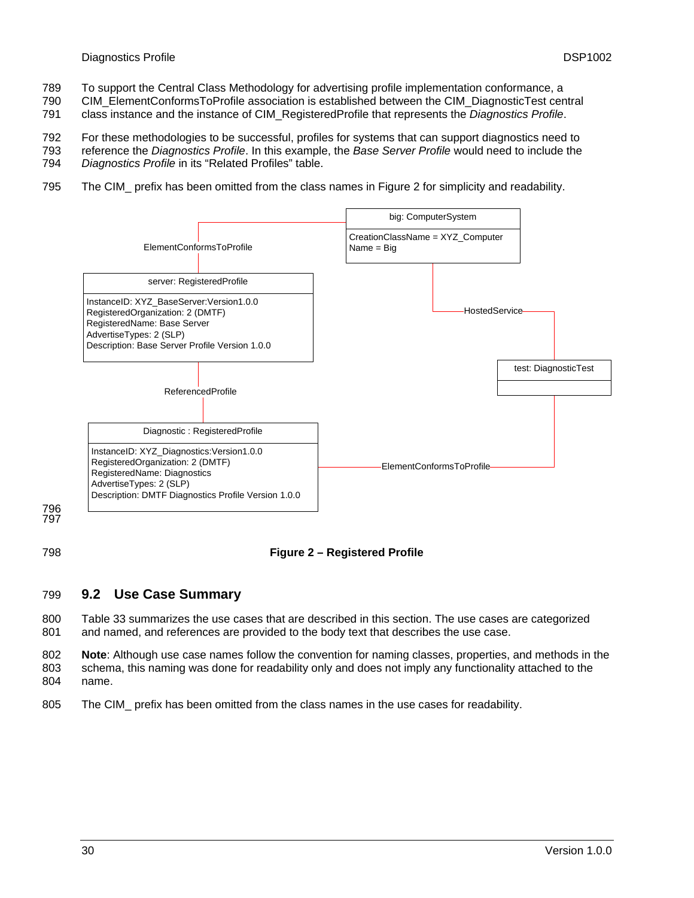- <span id="page-29-0"></span>789 To support the Central Class Methodology for advertising profile implementation conformance, a
- 790 CIM\_ElementConformsToProfile association is established between the CIM\_DiagnosticTest central
- 791 class instance and the instance of CIM\_RegisteredProfile that represents the *Diagnostics Profile*.
- 792 For these methodologies to be successful, profiles for systems that can support diagnostics need to
- 793 reference the *Diagnostics Profile*. In this example, the *Base Server Profile* would need to include the
- 794 *Diagnostics Profile* in its "Related Profiles" table.
- 795 The CIM\_ prefix has been omitted from the class names in [Figure 2](#page-29-2) for simplicity and readability.



#### <span id="page-29-2"></span>798 **Figure 2 – Registered Profile**

#### <span id="page-29-1"></span>799 **9.2 Use Case Summary**

800 [Table 33](#page-30-0) summarizes the use cases that are described in this section. The use cases are categorized 801 and named, and references are provided to the body text that describes the use case.

802 **Note**: Although use case names follow the convention for naming classes, properties, and methods in the 803 schema, this naming was done for readability only and does not imply any functionality attached to the 804 name.

805 The CIM\_ prefix has been omitted from the class names in the use cases for readability.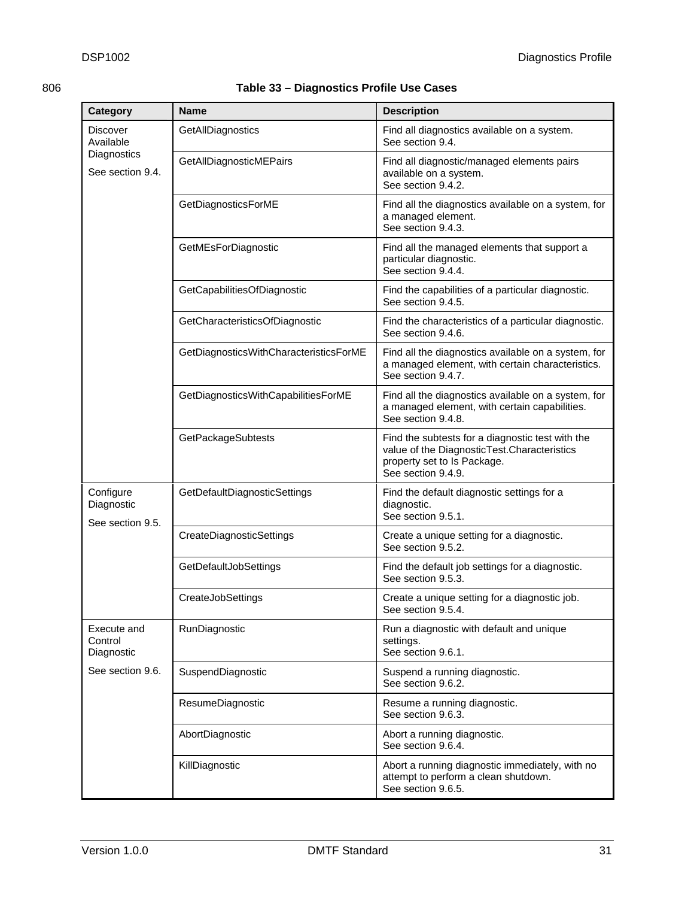<span id="page-30-0"></span>

| Category                                    | Name                                   | <b>Description</b>                                                                                                                                   |
|---------------------------------------------|----------------------------------------|------------------------------------------------------------------------------------------------------------------------------------------------------|
| <b>Discover</b><br>Available                | GetAllDiagnostics                      | Find all diagnostics available on a system.<br>See section 9.4.                                                                                      |
| Diagnostics<br>See section 9.4.             | GetAllDiagnosticMEPairs                | Find all diagnostic/managed elements pairs<br>available on a system.<br>See section 9.4.2.                                                           |
|                                             | GetDiagnosticsForME                    | Find all the diagnostics available on a system, for<br>a managed element.<br>See section 9.4.3.                                                      |
|                                             | GetMEsForDiagnostic                    | Find all the managed elements that support a<br>particular diagnostic.<br>See section 9.4.4.                                                         |
|                                             | GetCapabilitiesOfDiagnostic            | Find the capabilities of a particular diagnostic.<br>See section 9.4.5.                                                                              |
|                                             | GetCharacteristicsOfDiagnostic         | Find the characteristics of a particular diagnostic.<br>See section 9.4.6.                                                                           |
|                                             | GetDiagnosticsWithCharacteristicsForME | Find all the diagnostics available on a system, for<br>a managed element, with certain characteristics.<br>See section 9.4.7.                        |
|                                             | GetDiagnosticsWithCapabilitiesForME    | Find all the diagnostics available on a system, for<br>a managed element, with certain capabilities.<br>See section 9.4.8.                           |
|                                             | <b>GetPackageSubtests</b>              | Find the subtests for a diagnostic test with the<br>value of the DiagnosticTest.Characteristics<br>property set to Is Package.<br>See section 9.4.9. |
| Configure<br>Diagnostic<br>See section 9.5. | GetDefaultDiagnosticSettings           | Find the default diagnostic settings for a<br>diagnostic.<br>See section 9.5.1.                                                                      |
|                                             | CreateDiagnosticSettings               | Create a unique setting for a diagnostic.<br>See section 9.5.2.                                                                                      |
|                                             | GetDefaultJobSettings                  | Find the default job settings for a diagnostic.<br>See section 9.5.3.                                                                                |
|                                             | CreateJobSettings                      | Create a unique setting for a diagnostic job.<br>See section 9.5.4.                                                                                  |
| Execute and<br>Control<br>Diagnostic        | RunDiagnostic                          | Run a diagnostic with default and unique<br>settings.<br>See section 9.6.1.                                                                          |
| See section 9.6.                            | SuspendDiagnostic                      | Suspend a running diagnostic.<br>See section 9.6.2.                                                                                                  |
|                                             | ResumeDiagnostic                       | Resume a running diagnostic.<br>See section 9.6.3.                                                                                                   |
|                                             | AbortDiagnostic                        | Abort a running diagnostic.<br>See section 9.6.4.                                                                                                    |
|                                             | KillDiagnostic                         | Abort a running diagnostic immediately, with no<br>attempt to perform a clean shutdown.<br>See section 9.6.5.                                        |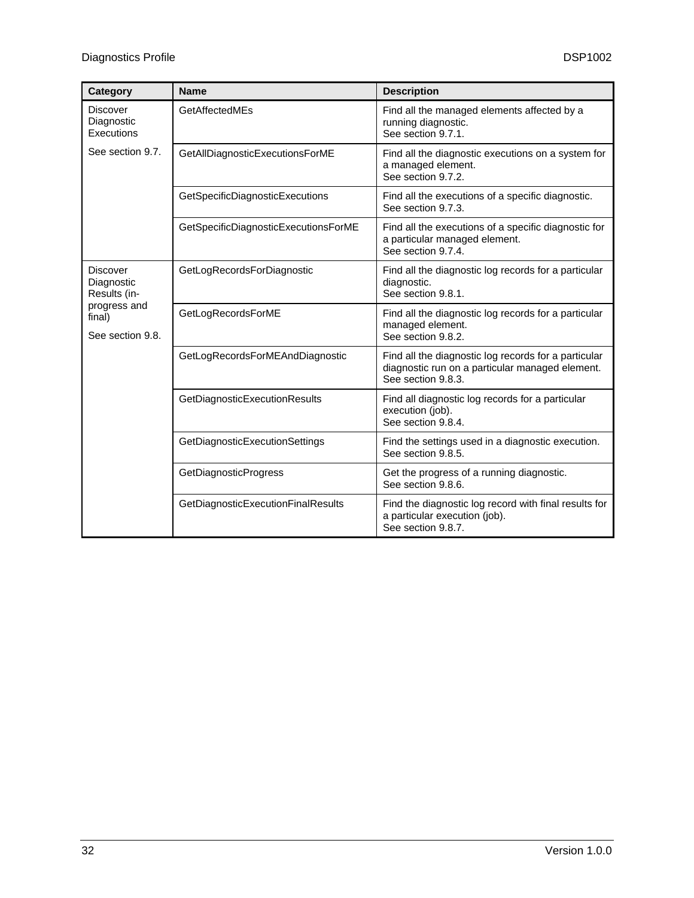| Category                                      | <b>Name</b>                          | <b>Description</b>                                                                                                            |
|-----------------------------------------------|--------------------------------------|-------------------------------------------------------------------------------------------------------------------------------|
| <b>Discover</b><br>Diagnostic<br>Executions   | GetAffectedMEs                       | Find all the managed elements affected by a<br>running diagnostic.<br>See section 9.7.1.                                      |
| See section 9.7.                              | GetAllDiagnosticExecutionsForME      | Find all the diagnostic executions on a system for<br>a managed element.<br>See section 9.7.2.                                |
|                                               | GetSpecificDiagnosticExecutions      | Find all the executions of a specific diagnostic.<br>See section 9.7.3.                                                       |
|                                               | GetSpecificDiagnosticExecutionsForME | Find all the executions of a specific diagnostic for<br>a particular managed element.<br>See section 9.7.4.                   |
| <b>Discover</b><br>Diagnostic<br>Results (in- | GetLogRecordsForDiagnostic           | Find all the diagnostic log records for a particular<br>diagnostic.<br>See section 9.8.1.                                     |
| progress and<br>final)<br>See section 9.8.    | GetLogRecordsForME                   | Find all the diagnostic log records for a particular<br>managed element.<br>See section 9.8.2.                                |
|                                               | GetLogRecordsForMEAndDiagnostic      | Find all the diagnostic log records for a particular<br>diagnostic run on a particular managed element.<br>See section 9.8.3. |
|                                               | GetDiagnosticExecutionResults        | Find all diagnostic log records for a particular<br>execution (job).<br>See section 9.8.4.                                    |
|                                               | GetDiagnosticExecutionSettings       | Find the settings used in a diagnostic execution.<br>See section 9.8.5.                                                       |
|                                               | GetDiagnosticProgress                | Get the progress of a running diagnostic.<br>See section 9.8.6.                                                               |
|                                               | GetDiagnosticExecutionFinalResults   | Find the diagnostic log record with final results for<br>a particular execution (job).<br>See section 9.8.7.                  |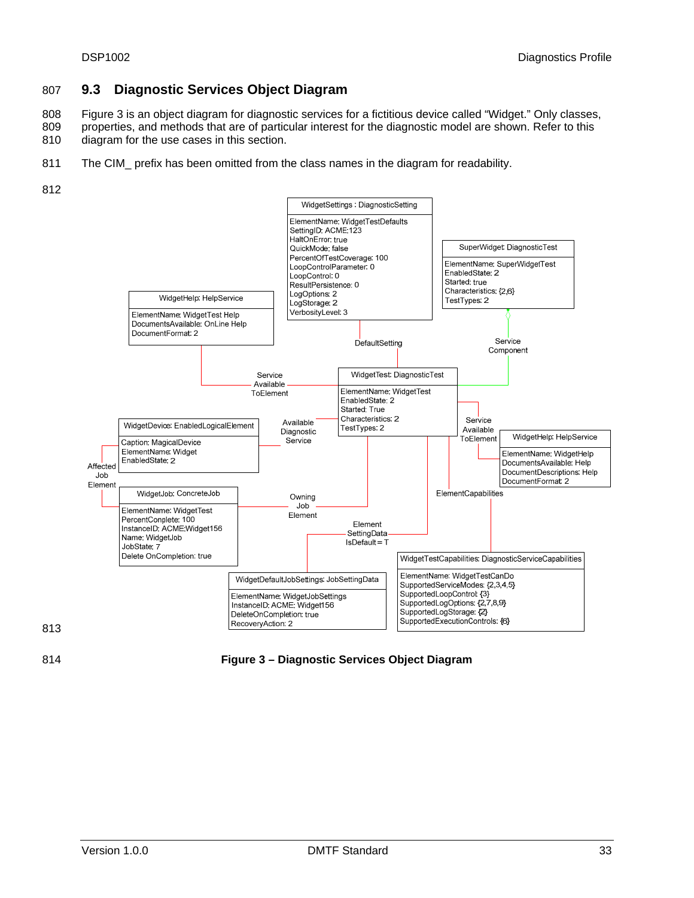#### <span id="page-32-1"></span><span id="page-32-0"></span>807 **9.3 Diagnostic Services Object Diagram**

808 [Figure 3](#page-32-2) is an object diagram for diagnostic services for a fictitious device called "Widget." Only classes, 809 properties, and methods that are of particular interest for the diagnostic model are shown. Refer to this

- 810 diagram for the use cases in this section.
- 811 The CIM\_ prefix has been omitted from the class names in the diagram for readability.
- 812



813

<span id="page-32-2"></span>814 **Figure 3 – Diagnostic Services Object Diagram**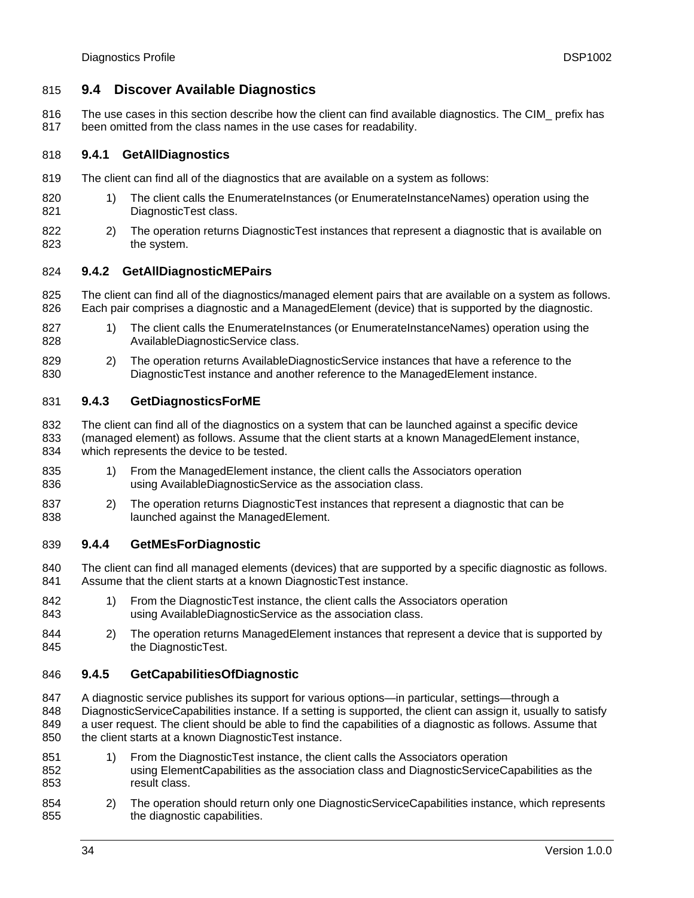#### <span id="page-33-1"></span><span id="page-33-0"></span>815 **9.4 Discover Available Diagnostics**

816 The use cases in this section describe how the client can find available diagnostics. The CIM\_ prefix has 817 been omitted from the class names in the use cases for readability.

#### <span id="page-33-2"></span>818 **9.4.1 GetAllDiagnostics**

- 819 The client can find all of the diagnostics that are available on a system as follows:
- 820 1) The client calls the EnumerateInstances (or EnumerateInstanceNames) operation using the 821 DiagnosticTest class.
- 822 2) The operation returns DiagnosticTest instances that represent a diagnostic that is available on 823 the system.

#### <span id="page-33-3"></span>824 **9.4.2 GetAllDiagnosticMEPairs**

825 The client can find all of the diagnostics/managed element pairs that are available on a system as follows. 826 Each pair comprises a diagnostic and a ManagedElement (device) that is supported by the diagnostic.

- 827 1) The client calls the EnumerateInstances (or EnumerateInstanceNames) operation using the 828 AvailableDiagnosticService class.
- 829 2) The operation returns AvailableDiagnosticService instances that have a reference to the 830 DiagnosticTest instance and another reference to the ManagedElement instance.

#### <span id="page-33-4"></span>831 **9.4.3 GetDiagnosticsForME**

832 The client can find all of the diagnostics on a system that can be launched against a specific device 833 (managed element) as follows. Assume that the client starts at a known ManagedElement instance, 834 which represents the device to be tested.

- 835 1) From the ManagedElement instance, the client calls the Associators operation 836 using AvailableDiagnosticService as the association class.
- 837 2) The operation returns DiagnosticTest instances that represent a diagnostic that can be 838 launched against the ManagedElement.

#### <span id="page-33-5"></span>839 **9.4.4 GetMEsForDiagnostic**

840 The client can find all managed elements (devices) that are supported by a specific diagnostic as follows. 841 Assume that the client starts at a known DiagnosticTest instance.

- 842 1) From the DiagnosticTest instance, the client calls the Associators operation 843 using AvailableDiagnosticService as the association class.
- 844 2) The operation returns ManagedElement instances that represent a device that is supported by 845 the DiagnosticTest.

#### <span id="page-33-6"></span>846 **9.4.5 GetCapabilitiesOfDiagnostic**

847 A diagnostic service publishes its support for various options—in particular, settings—through a 848 DiagnosticServiceCapabilities instance. If a setting is supported, the client can assign it, usually to satisfy 849 a user request. The client should be able to find the capabilities of a diagnostic as follows. Assume that 850 the client starts at a known DiagnosticTest instance.

- 851 1) From the DiagnosticTest instance, the client calls the Associators operation 852 using ElementCapabilities as the association class and DiagnosticServiceCapabilities as the 853 result class.
- 854 2) The operation should return only one DiagnosticServiceCapabilities instance, which represents 855 the diagnostic capabilities.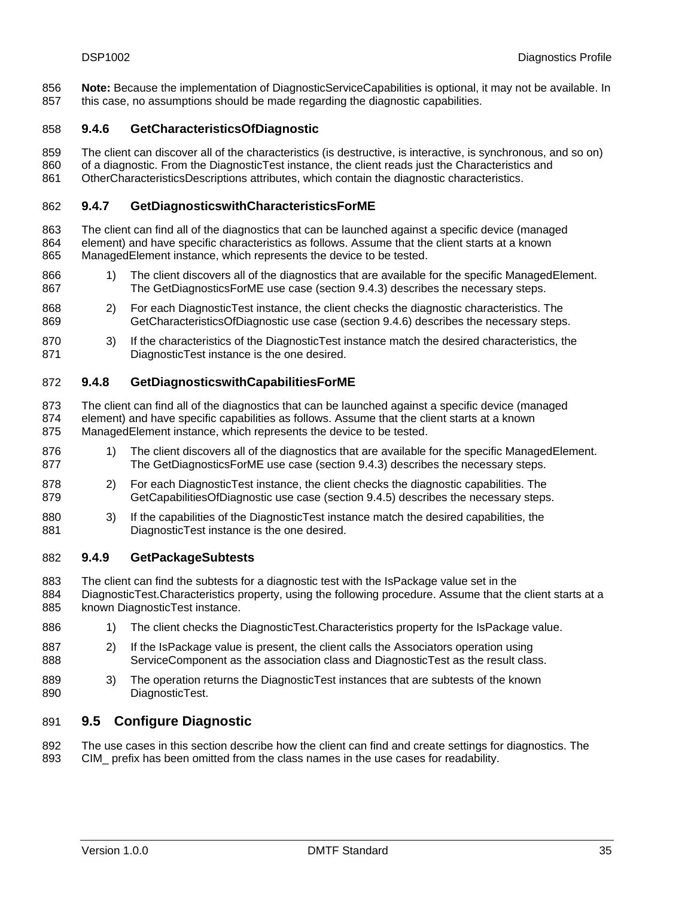<span id="page-34-0"></span>856 **Note:** Because the implementation of DiagnosticServiceCapabilities is optional, it may not be available. In 857 this case, no assumptions should be made regarding the diagnostic capabilities.

#### <span id="page-34-1"></span>858 **9.4.6 GetCharacteristicsOfDiagnostic**

859 The client can discover all of the characteristics (is destructive, is interactive, is synchronous, and so on) 860 of a diagnostic. From the DiagnosticTest instance, the client reads just the Characteristics and 861 OtherCharacteristicsDescriptions attributes, which contain the diagnostic characteristics.

# <span id="page-34-2"></span>862 **9.4.7 GetDiagnosticswithCharacteristicsForME**

863 The client can find all of the diagnostics that can be launched against a specific device (managed 864 element) and have specific characteristics as follows. Assume that the client starts at a known 865 ManagedElement instance, which represents the device to be tested.

- 866 1) The client discovers all of the diagnostics that are available for the specific ManagedElement. 867 The GetDiagnosticsForME use case (section [9.4.3\)](#page-33-4) describes the necessary steps.
- 868 2) For each DiagnosticTest instance, the client checks the diagnostic characteristics. The 869 GetCharacteristicsOfDiagnostic use case (section [9.4.6](#page-34-1)) describes the necessary steps.
- 870 3) If the characteristics of the DiagnosticTest instance match the desired characteristics, the 871 DiagnosticTest instance is the one desired.

#### <span id="page-34-3"></span>872 **9.4.8 GetDiagnosticswithCapabilitiesForME**

873 The client can find all of the diagnostics that can be launched against a specific device (managed 874 element) and have specific capabilities as follows. Assume that the client starts at a known 875 ManagedElement instance, which represents the device to be tested.

- 876 1) The client discovers all of the diagnostics that are available for the specific ManagedElement. 877 The GetDiagnosticsForME use case (section [9.4.3\)](#page-33-4) describes the necessary steps.
- 878 2) For each DiagnosticTest instance, the client checks the diagnostic capabilities. The 879 GetCapabilitiesOfDiagnostic use case (section [9.4.5\)](#page-33-6) describes the necessary steps.
- 880 3) If the capabilities of the DiagnosticTest instance match the desired capabilities, the 881 DiagnosticTest instance is the one desired.

#### <span id="page-34-4"></span>882 **9.4.9 GetPackageSubtests**

883 The client can find the subtests for a diagnostic test with the IsPackage value set in the

884 DiagnosticTest.Characteristics property, using the following procedure. Assume that the client starts at a 885 known DiagnosticTest instance.

- 886 1) The client checks the DiagnosticTest.Characteristics property for the IsPackage value.
- 887 2) If the IsPackage value is present, the client calls the Associators operation using 888 ServiceComponent as the association class and DiagnosticTest as the result class.
- 889 3) The operation returns the DiagnosticTest instances that are subtests of the known 890 DiagnosticTest.

#### <span id="page-34-5"></span>891 **9.5 Configure Diagnostic**

892 The use cases in this section describe how the client can find and create settings for diagnostics. The 893 CIM\_ prefix has been omitted from the class names in the use cases for readability.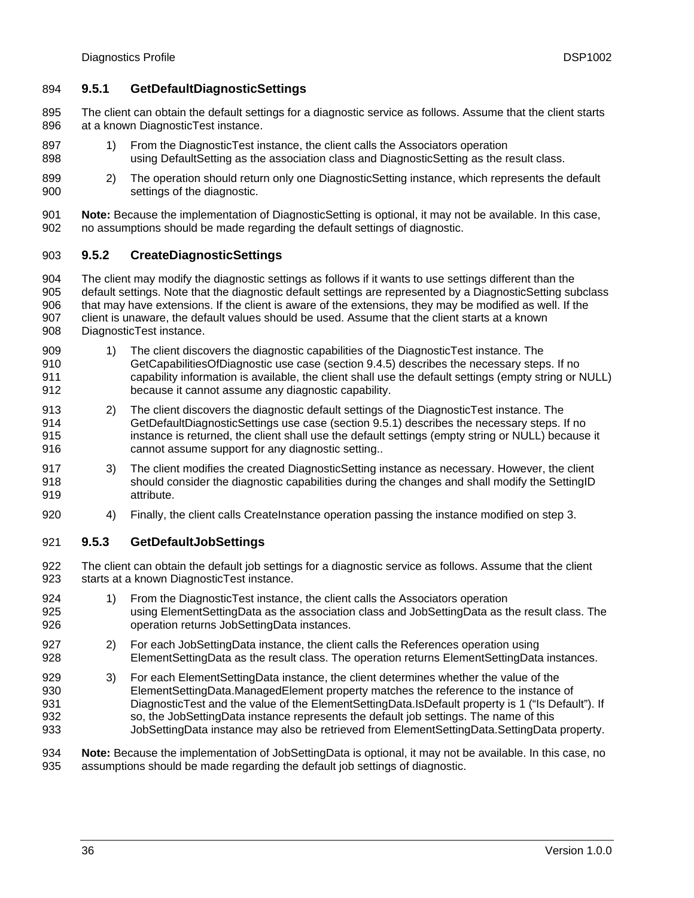#### <span id="page-35-1"></span><span id="page-35-0"></span>894 **9.5.1 GetDefaultDiagnosticSettings**

- 895 The client can obtain the default settings for a diagnostic service as follows. Assume that the client starts 896 at a known DiagnosticTest instance.
- 897 1) From the DiagnosticTest instance, the client calls the Associators operation 898 using DefaultSetting as the association class and DiagnosticSetting as the result class.
- 899 2) The operation should return only one DiagnosticSetting instance, which represents the default 900 settings of the diagnostic.
- 901 **Note:** Because the implementation of DiagnosticSetting is optional, it may not be available. In this case, 902 no assumptions should be made regarding the default settings of diagnostic.

#### <span id="page-35-2"></span>903 **9.5.2 CreateDiagnosticSettings**

904 The client may modify the diagnostic settings as follows if it wants to use settings different than the 905 default settings. Note that the diagnostic default settings are represented by a DiagnosticSetting subclass 906 that may have extensions. If the client is aware of the extensions, they may be modified as well. If the 907 client is unaware, the default values should be used. Assume that the client starts at a known 908 DiagnosticTest instance.

- 909 1) The client discovers the diagnostic capabilities of the DiagnosticTest instance. The 910 GetCapabilitiesOfDiagnostic use case (section [9.4.5\)](#page-33-6) describes the necessary steps. If no 911 capability information is available, the client shall use the default settings (empty string or NULL) 912 because it cannot assume any diagnostic capability.
- 913 2) The client discovers the diagnostic default settings of the DiagnosticTest instance. The 914 GetDefaultDiagnosticSettings use case (section [9.5.1](#page-35-1)) describes the necessary steps. If no 915 instance is returned, the client shall use the default settings (empty string or NULL) because it 916 cannot assume support for any diagnostic setting..
- 917 3) The client modifies the created DiagnosticSetting instance as necessary. However, the client 918 should consider the diagnostic capabilities during the changes and shall modify the SettingID 919 attribute.
- 920 4) Finally, the client calls CreateInstance operation passing the instance modified on step 3.

#### <span id="page-35-3"></span>921 **9.5.3 GetDefaultJobSettings**

- 922 The client can obtain the default job settings for a diagnostic service as follows. Assume that the client 923 starts at a known DiagnosticTest instance.
- 924 1) From the DiagnosticTest instance, the client calls the Associators operation 925 using ElementSettingData as the association class and JobSettingData as the result class. The 926 operation returns JobSettingData instances.
- 927 2) For each JobSettingData instance, the client calls the References operation using 928 ElementSettingData as the result class. The operation returns ElementSettingData instances.
- 929 3) For each ElementSettingData instance, the client determines whether the value of the 930 ElementSettingData.ManagedElement property matches the reference to the instance of 931 DiagnosticTest and the value of the ElementSettingData.IsDefault property is 1 ("Is Default"). If 932 so, the JobSettingData instance represents the default job settings. The name of this 933 JobSettingData instance may also be retrieved from ElementSettingData.SettingData property.

934 **Note:** Because the implementation of JobSettingData is optional, it may not be available. In this case, no 935 assumptions should be made regarding the default job settings of diagnostic.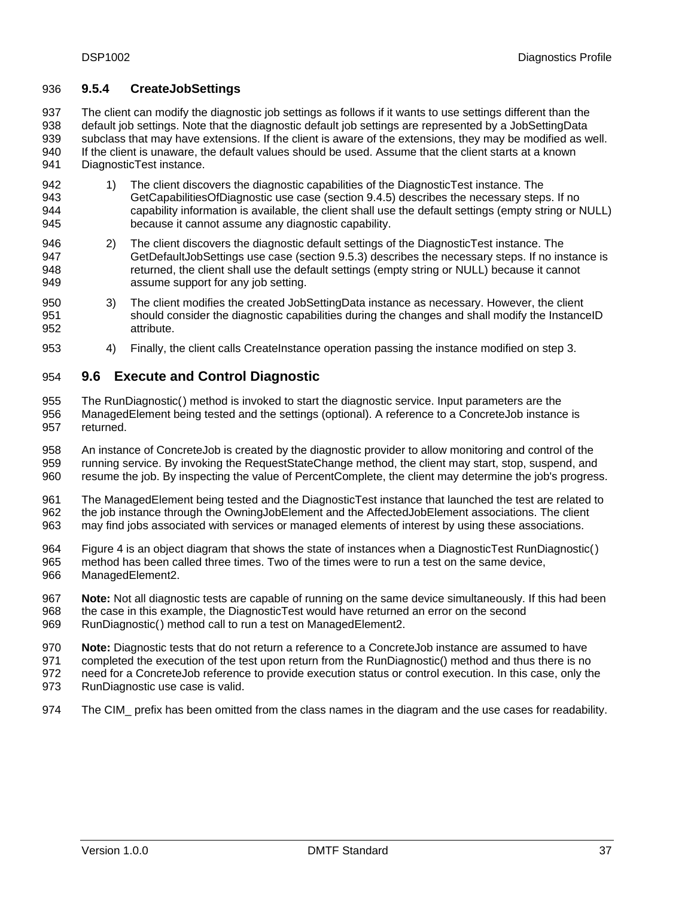#### <span id="page-36-1"></span><span id="page-36-0"></span>936 **9.5.4 CreateJobSettings**

937 The client can modify the diagnostic job settings as follows if it wants to use settings different than the 938 default job settings. Note that the diagnostic default job settings are represented by a JobSettingData 939 subclass that may have extensions. If the client is aware of the extensions, they may be modified as well. 940 If the client is unaware, the default values should be used. Assume that the client starts at a known 941 DiagnosticTest instance.

- 942 1) The client discovers the diagnostic capabilities of the DiagnosticTest instance. The 943 GetCapabilitiesOfDiagnostic use case (section [9.4.5\)](#page-33-6) describes the necessary steps. If no 944 capability information is available, the client shall use the default settings (empty string or NULL) 945 because it cannot assume any diagnostic capability.
- 946 2) The client discovers the diagnostic default settings of the DiagnosticTest instance. The 947 GetDefaultJobSettings use case (section [9.5.3\)](#page-35-3) describes the necessary steps. If no instance is 948 returned, the client shall use the default settings (empty string or NULL) because it cannot 949 assume support for any job setting.
- 950 3) The client modifies the created JobSettingData instance as necessary. However, the client 951 should consider the diagnostic capabilities during the changes and shall modify the InstanceID 952 attribute.
- 953 4) Finally, the client calls CreateInstance operation passing the instance modified on step 3.

#### <span id="page-36-2"></span>954 **9.6 Execute and Control Diagnostic**

955 The RunDiagnostic() method is invoked to start the diagnostic service. Input parameters are the 956 ManagedElement being tested and the settings (optional). A reference to a ConcreteJob instance is 957 returned.

958 An instance of ConcreteJob is created by the diagnostic provider to allow monitoring and control of the 959 running service. By invoking the RequestStateChange method, the client may start, stop, suspend, and 960 resume the job. By inspecting the value of PercentComplete, the client may determine the job's progress.

961 The ManagedElement being tested and the DiagnosticTest instance that launched the test are related to 962 the job instance through the OwningJobElement and the AffectedJobElement associations. The client 963 may find jobs associated with services or managed elements of interest by using these associations.

- 964 [Figure 4](#page-37-3) is an object diagram that shows the state of instances when a DiagnosticTest RunDiagnostic() 965 method has been called three times. Two of the times were to run a test on the same device, 966 ManagedElement2.
- 967 **Note:** Not all diagnostic tests are capable of running on the same device simultaneously. If this had been 968 the case in this example, the DiagnosticTest would have returned an error on the second
- 969 RunDiagnostic() method call to run a test on ManagedElement2.
- 970 **Note:** Diagnostic tests that do not return a reference to a ConcreteJob instance are assumed to have
- 971 completed the execution of the test upon return from the RunDiagnostic() method and thus there is no
- 972 need for a ConcreteJob reference to provide execution status or control execution. In this case, only the
- 973 RunDiagnostic use case is valid.
- 974 The CIM\_ prefix has been omitted from the class names in the diagram and the use cases for readability.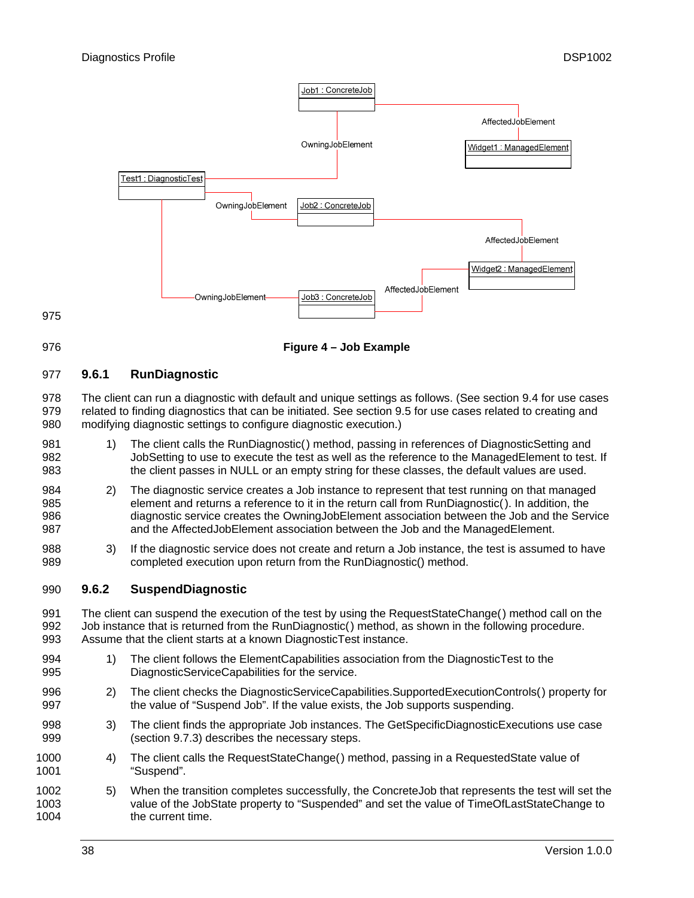<span id="page-37-0"></span>

<span id="page-37-3"></span>

976 **Figure 4 – Job Example** 

#### <span id="page-37-1"></span>977 **9.6.1 RunDiagnostic**

978 The client can run a diagnostic with default and unique settings as follows. (See section [9.4](#page-33-1) for use cases 979 related to finding diagnostics that can be initiated. See section [9.5](#page-34-5) for use cases related to creating and 980 modifying diagnostic settings to configure diagnostic execution.)

- 981 1) The client calls the RunDiagnostic() method, passing in references of DiagnosticSetting and 982 JobSetting to use to execute the test as well as the reference to the ManagedElement to test. If 983 the client passes in NULL or an empty string for these classes, the default values are used.
- 984 2) The diagnostic service creates a Job instance to represent that test running on that managed 985 element and returns a reference to it in the return call from RunDiagnostic(). In addition, the 986 diagnostic service creates the OwningJobElement association between the Job and the Service 987 **and the AffectedJobElement association between the Job and the ManagedElement.**
- 988 3) If the diagnostic service does not create and return a Job instance, the test is assumed to have 989 completed execution upon return from the RunDiagnostic() method.

#### <span id="page-37-2"></span>990 **9.6.2 SuspendDiagnostic**

991 The client can suspend the execution of the test by using the RequestStateChange() method call on the 992 Job instance that is returned from the RunDiagnostic() method, as shown in the following procedure. 993 Assume that the client starts at a known DiagnosticTest instance.

- 994 1) The client follows the ElementCapabilities association from the DiagnosticTest to the 995 DiagnosticServiceCapabilities for the service.
- 996 2) The client checks the DiagnosticServiceCapabilities.SupportedExecutionControls() property for 997 the value of "Suspend Job". If the value exists, the Job supports suspending.
- 998 3) The client finds the appropriate Job instances. The GetSpecificDiagnosticExecutions use case 999 (section [9.7.3](#page-39-4)) describes the necessary steps.
- 1000 4) The client calls the RequestStateChange() method, passing in a RequestedState value of 1001 "Suspend".
- 1002 5) When the transition completes successfully, the ConcreteJob that represents the test will set the 1003 value of the JobState property to "Suspended" and set the value of TimeOfLastStateChange to 1004 the current time.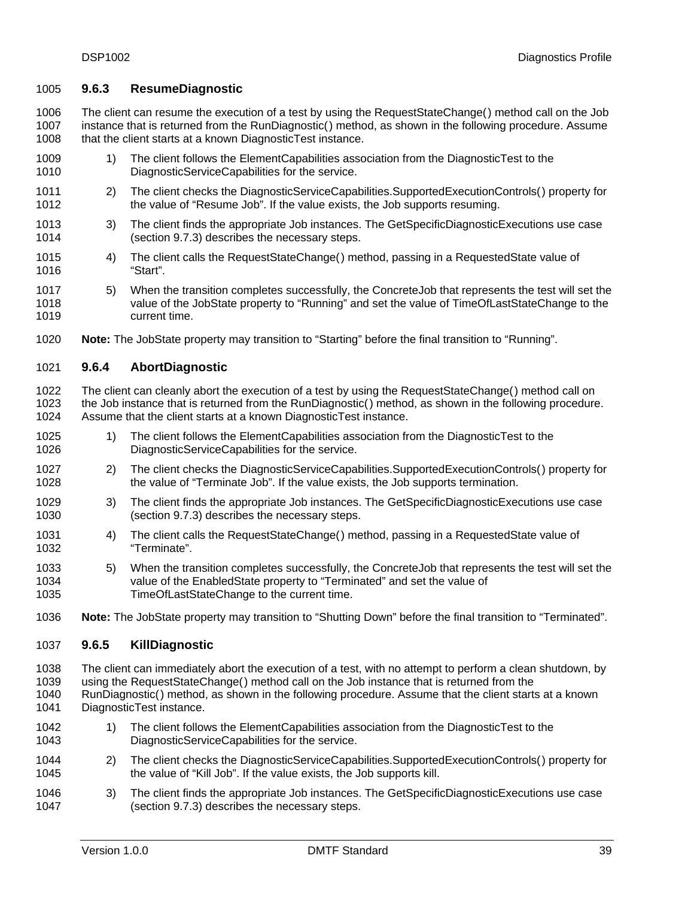#### <span id="page-38-1"></span><span id="page-38-0"></span>1005 **9.6.3 ResumeDiagnostic**

1006 The client can resume the execution of a test by using the RequestStateChange() method call on the Job 1007 instance that is returned from the RunDiagnostic() method, as shown in the following procedure. Assume 1008 that the client starts at a known DiagnosticTest instance.

- 1009 1009 1) The client follows the ElementCapabilities association from the DiagnosticTest to the 1010 DiagnosticServiceCapabilities for the service.
- 1011 2) The client checks the DiagnosticServiceCapabilities.SupportedExecutionControls() property for 1012 the value of "Resume Job". If the value exists, the Job supports resuming.
- 1013 3) The client finds the appropriate Job instances. The GetSpecificDiagnosticExecutions use case 1014 (section [9.7.3](#page-39-4)) describes the necessary steps.
- 1015 4) The client calls the RequestStateChange() method, passing in a RequestedState value of 1016 "Start".
- 1017 5) When the transition completes successfully, the ConcreteJob that represents the test will set the 1018 value of the JobState property to "Running" and set the value of TimeOfLastStateChange to the 1019 current time.
- 1020 **Note:** The JobState property may transition to "Starting" before the final transition to "Running".

#### <span id="page-38-2"></span>1021 **9.6.4 AbortDiagnostic**

1022 The client can cleanly abort the execution of a test by using the RequestStateChange() method call on 1023 the Job instance that is returned from the RunDiagnostic() method, as shown in the following procedure. 1024 Assume that the client starts at a known DiagnosticTest instance.

- 1025 1) The client follows the ElementCapabilities association from the DiagnosticTest to the 1026 DiagnosticServiceCapabilities for the service.
- 1027 2) The client checks the DiagnosticServiceCapabilities.SupportedExecutionControls() property for 1028 the value of "Terminate Job". If the value exists, the Job supports termination.
- 1029 3) The client finds the appropriate Job instances. The GetSpecificDiagnosticExecutions use case 1030 (section [9.7.3](#page-39-4)) describes the necessary steps.
- 1031 4) The client calls the RequestStateChange() method, passing in a RequestedState value of 1032 "Terminate".
- 1033 5) When the transition completes successfully, the ConcreteJob that represents the test will set the 1034 value of the EnabledState property to "Terminated" and set the value of 1035 TimeOfLastStateChange to the current time.
- 1036 **Note:** The JobState property may transition to "Shutting Down" before the final transition to "Terminated".

#### <span id="page-38-3"></span>1037 **9.6.5 KillDiagnostic**

- 1038 The client can immediately abort the execution of a test, with no attempt to perform a clean shutdown, by
- 1039 using the RequestStateChange() method call on the Job instance that is returned from the
- 1040 RunDiagnostic() method, as shown in the following procedure. Assume that the client starts at a known 1041 DiagnosticTest instance.
- 1042 1042 100 10 10 10 10 10 The client follows the ElementCapabilities association from the DiagnosticTest to the 1043 DiagnosticServiceCapabilities for the service.
- 1044 2) The client checks the DiagnosticServiceCapabilities.SupportedExecutionControls() property for<br>1045 the value of "Kill Job". If the value exists, the Job supports kill. the value of "Kill Job". If the value exists, the Job supports kill.
- 1046 3) The client finds the appropriate Job instances. The GetSpecificDiagnosticExecutions use case 1047 (section [9.7.3](#page-39-4)) describes the necessary steps.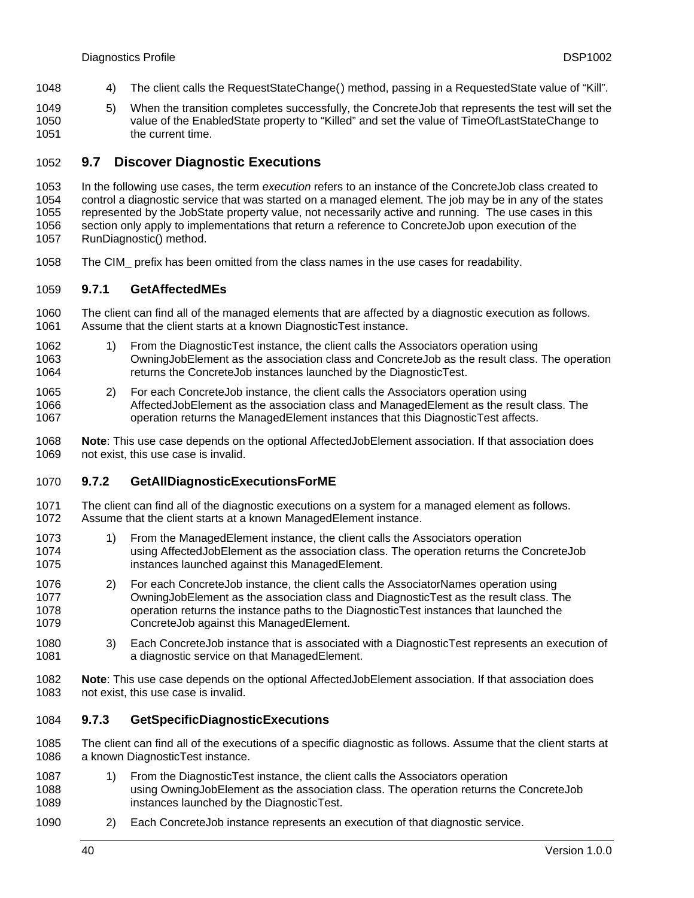- <span id="page-39-0"></span>1048 4) The client calls the RequestStateChange() method, passing in a RequestedState value of "Kill".
- 1049 5) When the transition completes successfully, the ConcreteJob that represents the test will set the 1050 value of the EnabledState property to "Killed" and set the value of TimeOfLastStateChange to 1051 the current time.

#### <span id="page-39-1"></span>1052 **9.7 Discover Diagnostic Executions**

1053 In the following use cases, the term *execution* refers to an instance of the ConcreteJob class created to control a diagnostic service that was started on a managed element. The job may be in any of the states 1055 represented by the JobState property value, not necessarily active and running. The use cases in this 1056 section only apply to implementations that return a reference to ConcreteJob upon execution of the 1057 RunDiagnostic() method.

1058 The CIM\_ prefix has been omitted from the class names in the use cases for readability.

#### <span id="page-39-2"></span>1059 **9.7.1 GetAffectedMEs**

1060 The client can find all of the managed elements that are affected by a diagnostic execution as follows. 1061 Assume that the client starts at a known DiagnosticTest instance.

- 1062 1) From the DiagnosticTest instance, the client calls the Associators operation using 1063 OwningJobElement as the association class and ConcreteJob as the result class. The operation 1064 returns the ConcreteJob instances launched by the DiagnosticTest.
- 1065 2) For each ConcreteJob instance, the client calls the Associators operation using 1066 **AffectedJobElement as the association class and ManagedElement as the result class. The 1067**<br>1067 **Convertion cettion on ManagedElement instances that this DiagnosticTest affects.** operation returns the ManagedElement instances that this DiagnosticTest affects.

1068 **Note**: This use case depends on the optional AffectedJobElement association. If that association does 1069 not exist, this use case is invalid.

#### <span id="page-39-3"></span>1070 **9.7.2 GetAllDiagnosticExecutionsForME**

1071 The client can find all of the diagnostic executions on a system for a managed element as follows. 1072 Assume that the client starts at a known ManagedElement instance.

- 1073 1) From the ManagedElement instance, the client calls the Associators operation 1074 using AffectedJobElement as the association class. The operation returns the ConcreteJob 1075 instances launched against this ManagedElement.
- 1076 2) For each ConcreteJob instance, the client calls the AssociatorNames operation using 1077 OwningJobElement as the association class and DiagnosticTest as the result class. The 1078 operation returns the instance paths to the DiagnosticTest instances that launched the 1079 ConcreteJob against this ManagedElement.
- 1080 3) Each ConcreteJob instance that is associated with a DiagnosticTest represents an execution of 1081 a diagnostic service on that ManagedElement.
- 1082 **Note**: This use case depends on the optional AffectedJobElement association. If that association does not exist, this use case is invalid.

#### <span id="page-39-4"></span>1084 **9.7.3 GetSpecificDiagnosticExecutions**

1085 The client can find all of the executions of a specific diagnostic as follows. Assume that the client starts at 1086 a known DiagnosticTest instance.

- 1087 1) From the DiagnosticTest instance, the client calls the Associators operation 1088 using OwningJobElement as the association class. The operation returns the ConcreteJob 1089 instances launched by the DiagnosticTest.
- 1090 2) Each ConcreteJob instance represents an execution of that diagnostic service.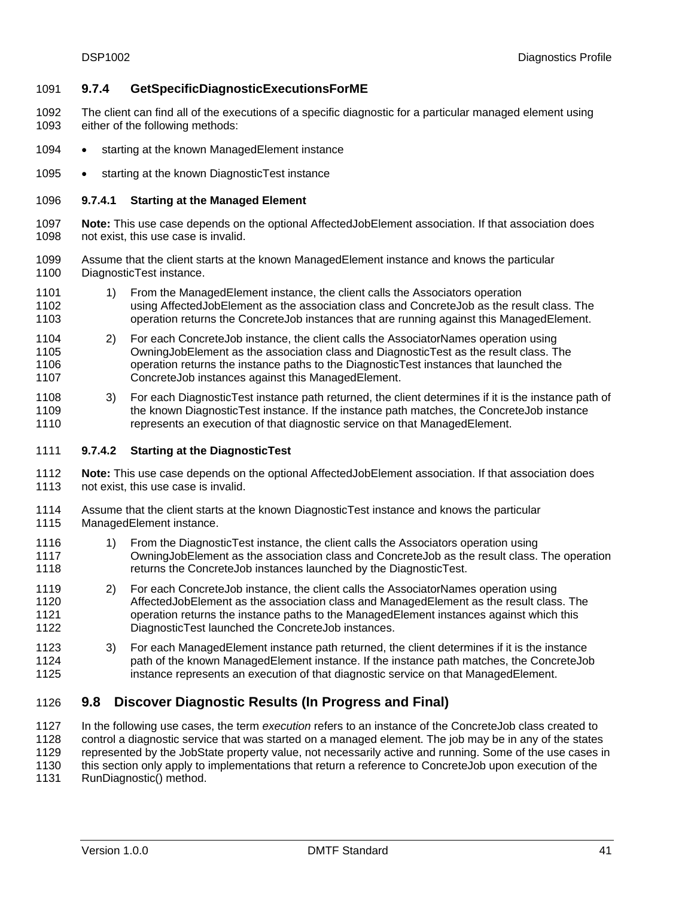#### <span id="page-40-1"></span><span id="page-40-0"></span>1091 **9.7.4 GetSpecificDiagnosticExecutionsForME**

- 1092 The client can find all of the executions of a specific diagnostic for a particular managed element using 1093 either of the following methods:
- 1094 starting at the known ManagedElement instance
- 1095 starting at the known DiagnosticTest instance

#### 1096 **9.7.4.1 Starting at the Managed Element**

- 1097 **Note:** This use case depends on the optional AffectedJobElement association. If that association does 1098 not exist, this use case is invalid.
- 1099 Assume that the client starts at the known ManagedElement instance and knows the particular 1100 DiagnosticTest instance.
- 1101 1) From the ManagedElement instance, the client calls the Associators operation 1102 using AffectedJobElement as the association class and ConcreteJob as the result class. The 1103 operation returns the ConcreteJob instances that are running against this ManagedElement.
- 1104 2) For each ConcreteJob instance, the client calls the AssociatorNames operation using 1105 OwningJobElement as the association class and DiagnosticTest as the result class. The 1106 operation returns the instance paths to the DiagnosticTest instances that launched the 1107 ConcreteJob instances against this ManagedElement.
- 1108 3) For each DiagnosticTest instance path returned, the client determines if it is the instance path of 1109 the known DiagnosticTest instance. If the instance path matches, the ConcreteJob instance 1110 represents an execution of that diagnostic service on that ManagedElement.
- 1111 **9.7.4.2 Starting at the DiagnosticTest**
- 1112 **Note:** This use case depends on the optional AffectedJobElement association. If that association does not exist, this use case is invalid.
- 1114 Assume that the client starts at the known DiagnosticTest instance and knows the particular 1115 ManagedElement instance.
- 1116 1116 1) From the DiagnosticTest instance, the client calls the Associators operation using 1117 OwningJobElement as the association class and ConcreteJob as the result class. The operation 1118 returns the ConcreteJob instances launched by the DiagnosticTest.
- 1119 2) For each ConcreteJob instance, the client calls the AssociatorNames operation using 1120 AffectedJobElement as the association class and ManagedElement as the result class. The 1121 operation returns the instance paths to the ManagedElement instances against which this 1122 DiagnosticTest launched the ConcreteJob instances.
- 1123 3) For each ManagedElement instance path returned, the client determines if it is the instance 1124 path of the known ManagedElement instance. If the instance path matches, the ConcreteJob 1125 instance represents an execution of that diagnostic service on that ManagedElement.

#### <span id="page-40-2"></span>1126 **9.8 Discover Diagnostic Results (In Progress and Final)**

1127 In the following use cases, the term *execution* refers to an instance of the ConcreteJob class created to 1128 control a diagnostic service that was started on a managed element. The job may be in any of the states 1129 represented by the JobState property value, not necessarily active and running. Some of the use cases in 1130 this section only apply to implementations that return a reference to ConcreteJob upon execution of the 1131 RunDiagnostic() method.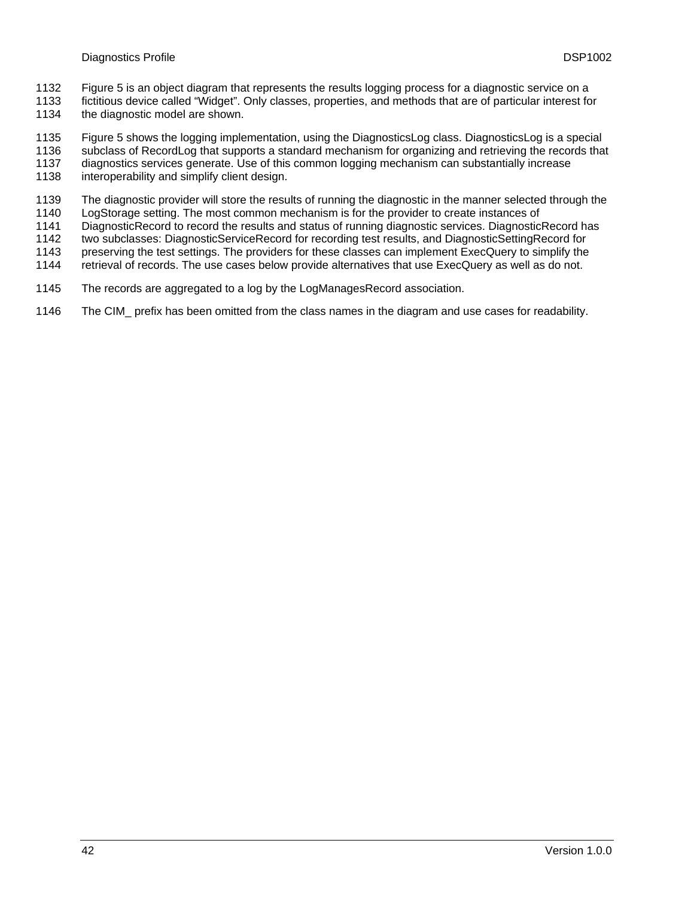- 1132 [Figure 5](#page-42-2) is an object diagram that represents the results logging process for a diagnostic service on a
- 1133 fictitious device called "Widget". Only classes, properties, and methods that are of particular interest for<br>1134 the diagnostic model are shown. the diagnostic model are shown.
- 1135 [Figure 5](#page-42-2) shows the logging implementation, using the DiagnosticsLog class. DiagnosticsLog is a special
- 1136 subclass of RecordLog that supports a standard mechanism for organizing and retrieving the records that
- 1137 diagnostics services generate. Use of this common logging mechanism can substantially increase 1138 interoperability and simplify client design.
- 
- 1139 The diagnostic provider will store the results of running the diagnostic in the manner selected through the 1140 LogStorage setting. The most common mechanism is for the provider to create instances of
- 1141 DiagnosticRecord to record the results and status of running diagnostic services. DiagnosticRecord has
- 1142 two subclasses: DiagnosticServiceRecord for recording test results, and DiagnosticSettingRecord for
- 1143 preserving the test settings. The providers for these classes can implement ExecQuery to simplify the
- 1144 retrieval of records. The use cases below provide alternatives that use ExecQuery as well as do not.
- 1145 The records are aggregated to a log by the LogManagesRecord association.
- 1146 The CIM\_ prefix has been omitted from the class names in the diagram and use cases for readability.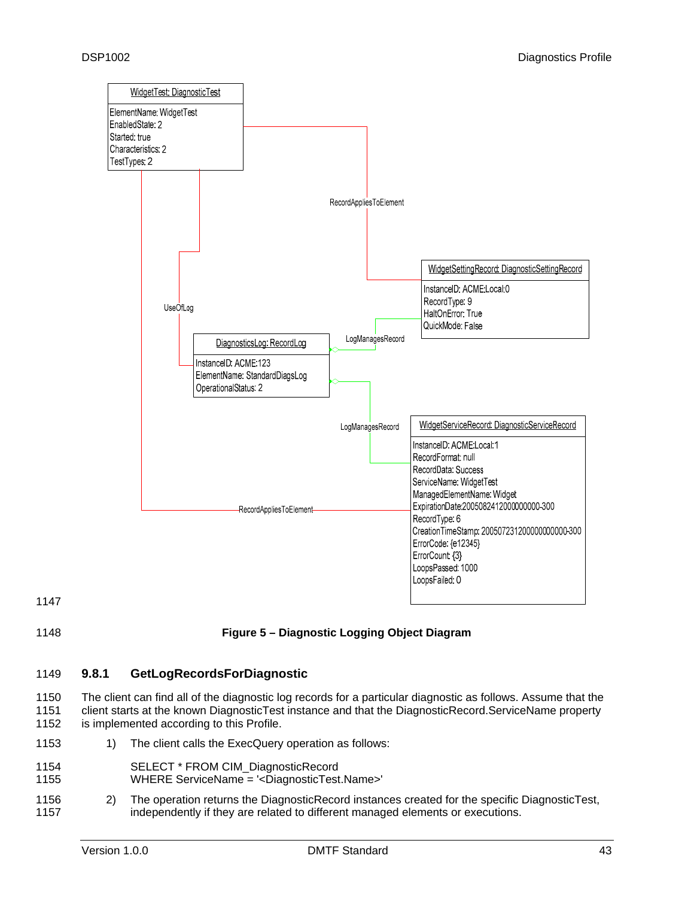<span id="page-42-0"></span>

#### <span id="page-42-2"></span>1148 **Figure 5 – Diagnostic Logging Object Diagram**

#### <span id="page-42-1"></span>1149 **9.8.1 GetLogRecordsForDiagnostic**

1150 The client can find all of the diagnostic log records for a particular diagnostic as follows. Assume that the<br>1151 Client starts at the known DiagnosticTest instance and that the DiagnosticRecord.ServiceName property 1151 client starts at the known DiagnosticTest instance and that the DiagnosticRecord.ServiceName property<br>1152 is implemented according to this Profile. is implemented according to this Profile.

- 1153 10 1) The client calls the ExecQuery operation as follows:
- 1154 SELECT \* FROM CIM\_DiagnosticRecord
- 1155 WHERE ServiceName = '<DiagnosticTest.Name>'
- 1156 2) The operation returns the DiagnosticRecord instances created for the specific DiagnosticTest, 1157 independently if they are related to different managed elements or executions.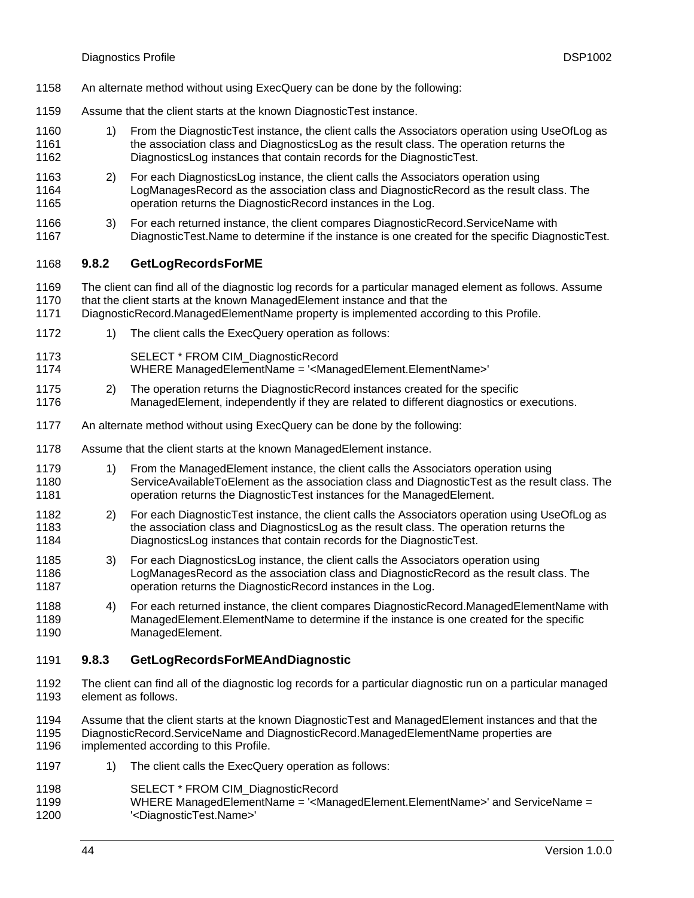- <span id="page-43-0"></span>1158 An alternate method without using ExecQuery can be done by the following:
- 1159 Assume that the client starts at the known DiagnosticTest instance.
- 1160 1) From the DiagnosticTest instance, the client calls the Associators operation using UseOfLog as 1161 the association class and DiagnosticsLog as the result class. The operation returns the 1162 DiagnosticsLog instances that contain records for the DiagnosticTest.
- 1163 2) For each DiagnosticsLog instance, the client calls the Associators operation using 1164 LogManagesRecord as the association class and DiagnosticRecord as the result class. The 1165 operation returns the DiagnosticRecord instances in the Log.
- 1166 3) For each returned instance, the client compares DiagnosticRecord.ServiceName with 1167 DiagnosticTest.Name to determine if the instance is one created for the specific DiagnosticTest.

#### <span id="page-43-1"></span>1168 **9.8.2 GetLogRecordsForME**

- 1169 The client can find all of the diagnostic log records for a particular managed element as follows. Assume
- 1170 that the client starts at the known ManagedElement instance and that the<br>1171 DiagnosticRecord.ManagedElementName property is implemented accord DiagnosticRecord.ManagedElementName property is implemented according to this Profile.
- 1172 1) The client calls the ExecQuery operation as follows:
- 1173 **SELECT \* FROM CIM DiagnosticRecord**
- 1174 WHERE ManagedElementName = '<ManagedElement.ElementName>'
- 1175 2) The operation returns the DiagnosticRecord instances created for the specific 1176 ManagedElement, independently if they are related to different diagnostics or executions.
- 1177 An alternate method without using ExecQuery can be done by the following:
- 1178 Assume that the client starts at the known ManagedElement instance.
- 1179 1) From the ManagedElement instance, the client calls the Associators operation using 1180 ServiceAvailableToElement as the association class and DiagnosticTest as the result class. The 1181 operation returns the DiagnosticTest instances for the ManagedElement.
- 1182 2) For each DiagnosticTest instance, the client calls the Associators operation using UseOfLog as 1183 the association class and DiagnosticsLog as the result class. The operation returns the 1184 DiagnosticsLog instances that contain records for the DiagnosticTest.
- 1185 3) For each DiagnosticsLog instance, the client calls the Associators operation using<br>1186 LogManagesRecord as the association class and DiagnosticRecord as the result c LogManagesRecord as the association class and DiagnosticRecord as the result class. The 1187 operation returns the DiagnosticRecord instances in the Log.
- 1188 4) For each returned instance, the client compares DiagnosticRecord.ManagedElementName with 1189 ManagedElement.ElementName to determine if the instance is one created for the specific 1190 ManagedElement.

#### <span id="page-43-2"></span>1191 **9.8.3 GetLogRecordsForMEAndDiagnostic**

- 1192 The client can find all of the diagnostic log records for a particular diagnostic run on a particular managed 1193 element as follows.
- 1194 Assume that the client starts at the known DiagnosticTest and ManagedElement instances and that the 1195 DiagnosticRecord.ServiceName and DiagnosticRecord.ManagedElementName properties are
- 1196 implemented according to this Profile.
- 1197 10 1) The client calls the ExecQuery operation as follows:
- 1198 SELECT \* FROM CIM\_DiagnosticRecord
- 1199 WHERE ManagedElementName = '<ManagedElement.ElementName>' and ServiceName = 1200 '<DiagnosticTest.Name>'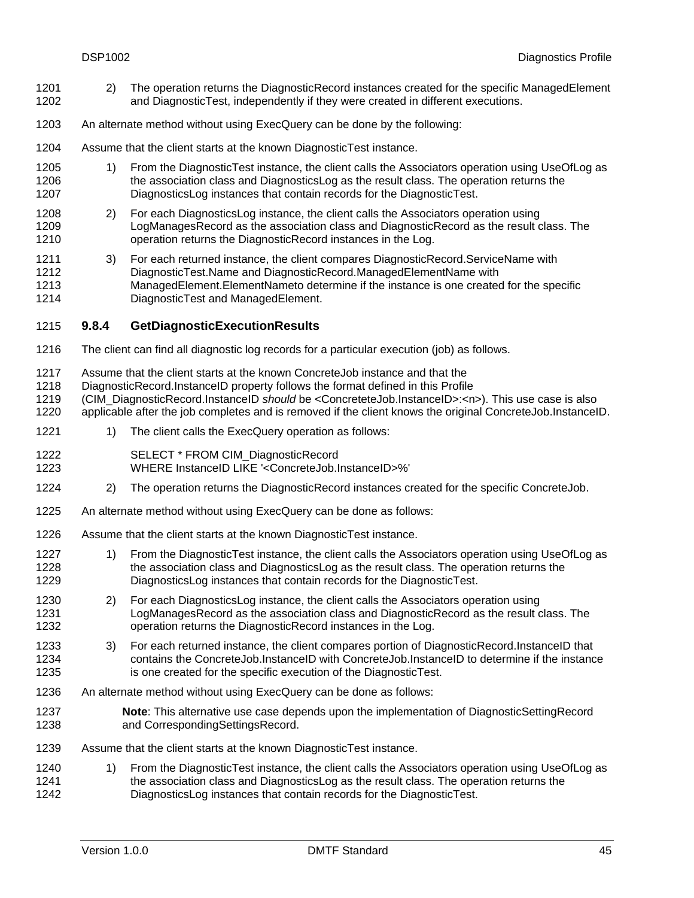- <span id="page-44-0"></span>1201 2) The operation returns the DiagnosticRecord instances created for the specific ManagedElement 1202 and DiagnosticTest, independently if they were created in different executions.
- 1203 An alternate method without using ExecQuery can be done by the following:
- 1204 Assume that the client starts at the known DiagnosticTest instance.
- 1205 1) From the DiagnosticTest instance, the client calls the Associators operation using UseOfLog as 1206 the association class and DiagnosticsLog as the result class. The operation returns the the association class and DiagnosticsLog as the result class. The operation returns the 1207 DiagnosticsLog instances that contain records for the DiagnosticTest.
- 1208 2) For each DiagnosticsLog instance, the client calls the Associators operation using<br>1209 1209 LogManagesRecord as the association class and DiagnosticRecord as the result c LogManagesRecord as the association class and DiagnosticRecord as the result class. The 1210 operation returns the DiagnosticRecord instances in the Log.
- 1211 3) For each returned instance, the client compares DiagnosticRecord.ServiceName with 1212 DiagnosticTest.Name and DiagnosticRecord.ManagedElementName with 1213 ManagedElement.ElementNameto determine if the instance is one created for the specific 1214 DiagnosticTest and ManagedElement.
- <span id="page-44-1"></span>1215 **9.8.4 GetDiagnosticExecutionResults**
- 1216 The client can find all diagnostic log records for a particular execution (job) as follows.
- 1217 Assume that the client starts at the known ConcreteJob instance and that the
- 1218 DiagnosticRecord.InstanceID property follows the format defined in this Profile
- 1219 (CIM\_DiagnosticRecord.InstanceID *should* be <ConcreteteJob.InstanceID>:<n>). This use case is also
- applicable after the job completes and is removed if the client knows the original ConcreteJob.InstanceID.
- 1221 1) The client calls the ExecQuery operation as follows:
- 1222 SELECT \* FROM CIM\_DiagnosticRecord
- 1223 WHERE InstanceID LIKE '<ConcreteJob.InstanceID>%'
- 1224 2) The operation returns the DiagnosticRecord instances created for the specific ConcreteJob.
- 1225 An alternate method without using ExecQuery can be done as follows:
- 1226 Assume that the client starts at the known DiagnosticTest instance.
- 1227 1) From the DiagnosticTest instance, the client calls the Associators operation using UseOfLog as the association class and DiagnosticsLog as the result class. The operation returns the the association class and DiagnosticsLog as the result class. The operation returns the 1229 DiagnosticsLog instances that contain records for the DiagnosticTest.
- 1230 2) For each DiagnosticsLog instance, the client calls the Associators operation using 1231 LogManagesRecord as the association class and DiagnosticRecord as the result class. The 1232 operation returns the DiagnosticRecord instances in the Log.
- 1233 3) For each returned instance, the client compares portion of DiagnosticRecord.InstanceID that 1234 contains the ConcreteJob.InstanceID with ConcreteJob.InstanceID to determine if the instance 1235 is one created for the specific execution of the DiagnosticTest.
- 1236 An alternate method without using ExecQuery can be done as follows:
- 1237 **Note**: This alternative use case depends upon the implementation of DiagnosticSettingRecord 1238 and CorrespondingSettingsRecord.
- 1239 Assume that the client starts at the known DiagnosticTest instance.
- 1240 1) From the DiagnosticTest instance, the client calls the Associators operation using UseOfLog as 1241 the association class and DiagnosticsLog as the result class. The operation returns the 1242 DiagnosticsLog instances that contain records for the DiagnosticTest.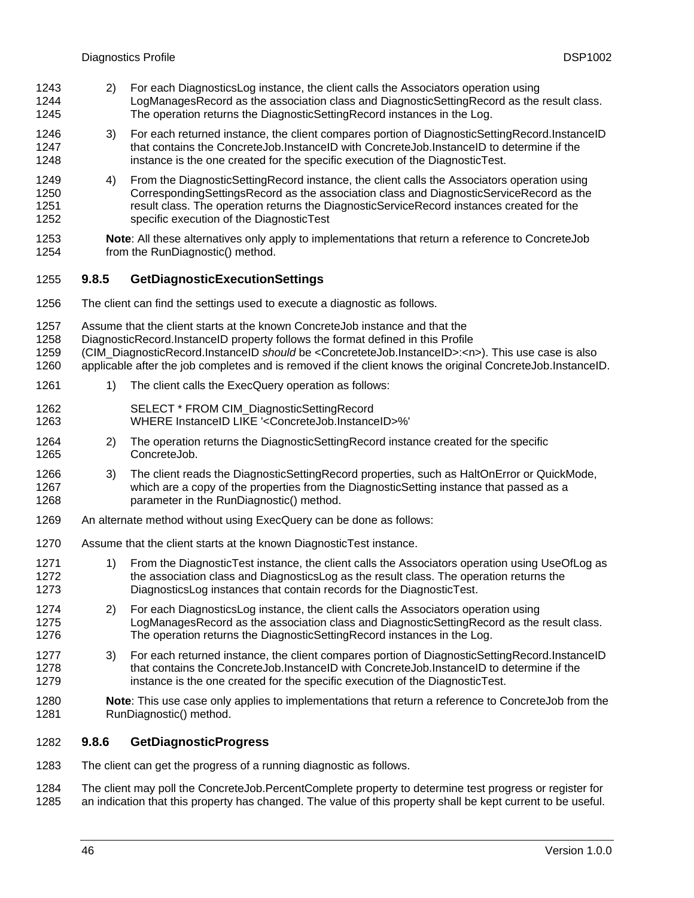- <span id="page-45-0"></span>1243 2) For each DiagnosticsLog instance, the client calls the Associators operation using 1244 LogManagesRecord as the association class and DiagnosticSettingRecord as the result class. 1245 The operation returns the DiagnosticSettingRecord instances in the Log.
- 1246 3) For each returned instance, the client compares portion of DiagnosticSettingRecord.InstanceID 1247 that contains the ConcreteJob.InstanceID with ConcreteJob.InstanceID to determine if the 1248 instance is the one created for the specific execution of the DiagnosticTest.
- 1249 4) From the DiagnosticSettingRecord instance, the client calls the Associators operation using 1250 CorrespondingSettingsRecord as the association class and DiagnosticServiceRecord as the 1251 result class. The operation returns the DiagnosticServiceRecord instances created for the 1252 specific execution of the DiagnosticTest
- 1253 **Note**: All these alternatives only apply to implementations that return a reference to ConcreteJob 1254 from the RunDiagnostic() method.

#### <span id="page-45-1"></span>1255 **9.8.5 GetDiagnosticExecutionSettings**

- 1256 The client can find the settings used to execute a diagnostic as follows.
- 1257 Assume that the client starts at the known ConcreteJob instance and that the
- 1258 DiagnosticRecord.InstanceID property follows the format defined in this Profile<br>1259 (CIM DiagnosticRecord.InstanceID should be <ConcreteteJob.InstanceID>:<n
- 1259 (CIM\_DiagnosticRecord.InstanceID *should* be <ConcreteteJob.InstanceID>:<n>). This use case is also
- 1260 applicable after the job completes and is removed if the client knows the original ConcreteJob.InstanceID.
- 1261 10 1) The client calls the ExecQuery operation as follows:
- 1262 SELECT \* FROM CIM\_DiagnosticSettingRecord
- 1263 WHERE InstanceID LIKE '<ConcreteJob.InstanceID>%'
- 1264 2) The operation returns the DiagnosticSettingRecord instance created for the specific 1265 ConcreteJob.
- 1266 3) The client reads the DiagnosticSettingRecord properties, such as HaltOnError or QuickMode, 1267 which are a copy of the properties from the DiagnosticSetting instance that passed as a 1268 parameter in the RunDiagnostic() method.
- 1269 An alternate method without using ExecQuery can be done as follows:
- 1270 Assume that the client starts at the known DiagnosticTest instance.
- 1271 1) From the DiagnosticTest instance, the client calls the Associators operation using UseOfLog as 1272 the association class and DiagnosticsLog as the result class. The operation returns the 1273 DiagnosticsLog instances that contain records for the DiagnosticTest.
- 1274 2) For each DiagnosticsLog instance, the client calls the Associators operation using 1275 LogManagesRecord as the association class and DiagnosticSettingRecord as the result class. 1276 The operation returns the DiagnosticSettingRecord instances in the Log.
- 1277 3) For each returned instance, the client compares portion of DiagnosticSettingRecord.InstanceID 1278 that contains the ConcreteJob.InstanceID with ConcreteJob.InstanceID to determine if the<br>1279 instance is the one created for the specific execution of the DiagnosticTest. instance is the one created for the specific execution of the DiagnosticTest.
- 1280 **Note**: This use case only applies to implementations that return a reference to ConcreteJob from the 1281 RunDiagnostic() method.

#### <span id="page-45-2"></span>1282 **9.8.6 GetDiagnosticProgress**

- 1283 The client can get the progress of a running diagnostic as follows.
- 1284 The client may poll the ConcreteJob.PercentComplete property to determine test progress or register for 1285 an indication that this property has changed. The value of this property shall be kept current to be useful.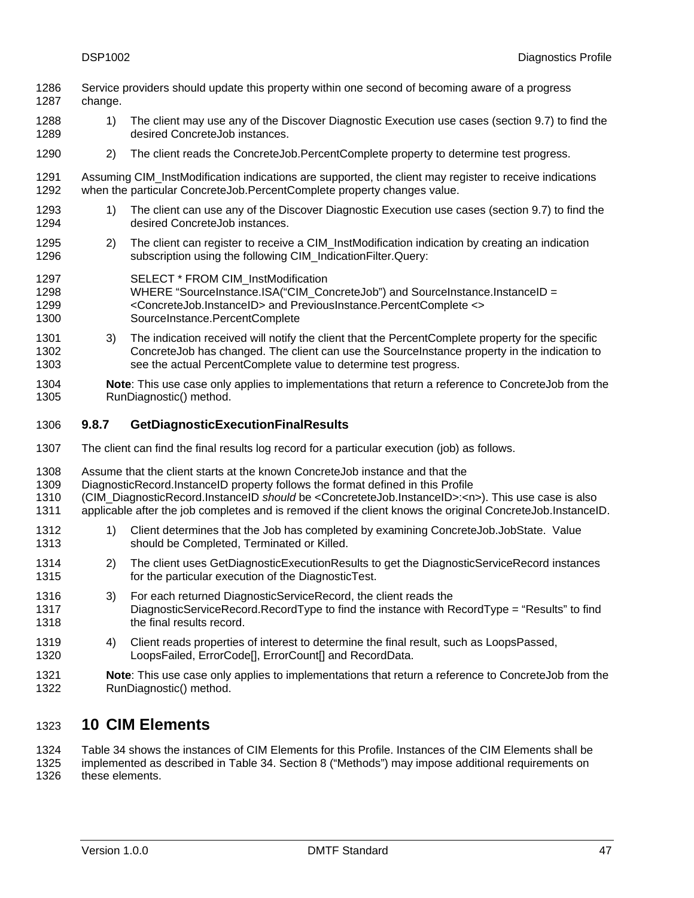- <span id="page-46-0"></span>1286 Service providers should update this property within one second of becoming aware of a progress 1287 change.
- 1288 1) The client may use any of the Discover Diagnostic Execution use cases (section [9.7\)](#page-39-1) to find the 1289 desired ConcreteJob instances.
- 1290 2) The client reads the ConcreteJob.PercentComplete property to determine test progress.
- 1291 Assuming CIM\_InstModification indications are supported, the client may register to receive indications 1292 when the particular ConcreteJob.PercentComplete property changes value.
- 1293 1) The client can use any of the Discover Diagnostic Execution use cases (section [9.7](#page-39-1)) to find the 1294 desired ConcreteJob instances.
- 1295 2) The client can register to receive a CIM\_InstModification indication by creating an indication 1296 subscription using the following CIM\_IndicationFilter.Query:
- 1297 **SELECT** \* FROM CIM\_InstModification
- 1298 WHERE "SourceInstance.ISA("CIM\_ConcreteJob") and SourceInstance.InstanceID = 1299 <ConcreteJob.InstanceID> and PreviousInstance.PercentComplete <> 1300 SourceInstance.PercentComplete
- 1301 3) The indication received will notify the client that the PercentComplete property for the specific 1302 ConcreteJob has changed. The client can use the SourceInstance property in the indication to 1303 see the actual PercentComplete value to determine test progress.
- 1304 **Note**: This use case only applies to implementations that return a reference to ConcreteJob from the 1305 RunDiagnostic() method.
- <span id="page-46-1"></span>1306 **9.8.7 GetDiagnosticExecutionFinalResults**
- 1307 The client can find the final results log record for a particular execution (job) as follows.
- 1308 Assume that the client starts at the known ConcreteJob instance and that the
- 1309 DiagnosticRecord.InstanceID property follows the format defined in this Profile
- 1310 (CIM\_DiagnosticRecord.InstanceID *should* be <ConcreteteJob.InstanceID>:<n>). This use case is also
- 1311 applicable after the job completes and is removed if the client knows the original ConcreteJob.InstanceID.
- 1312 1) Client determines that the Job has completed by examining ConcreteJob.JobState. Value 1313 should be Completed, Terminated or Killed.
- 1314 2) The client uses GetDiagnosticExecutionResults to get the DiagnosticServiceRecord instances 1315 **for the particular execution of the DiagnosticTest.**
- 1316 3) For each returned DiagnosticServiceRecord, the client reads the 1317 DiagnosticServiceRecord.RecordType to find the instance with RecordType = "Results" to find 1318 the final results record.
- 1319 4) Client reads properties of interest to determine the final result, such as LoopsPassed, 1320 LoopsFailed, ErrorCode[], ErrorCount[] and RecordData.
- 1321 **Note**: This use case only applies to implementations that return a reference to ConcreteJob from the 1322 RunDiagnostic() method.

# <span id="page-46-2"></span>1323 **10 CIM Elements**

1324 [Table 34](#page-47-0) shows the instances of CIM Elements for this Profile. Instances of the CIM Elements shall be 1325 implemented as described in [Table 34](#page-47-0). Section [8](#page-18-1) ("Methods") may impose additional requirements on 1326 these elements.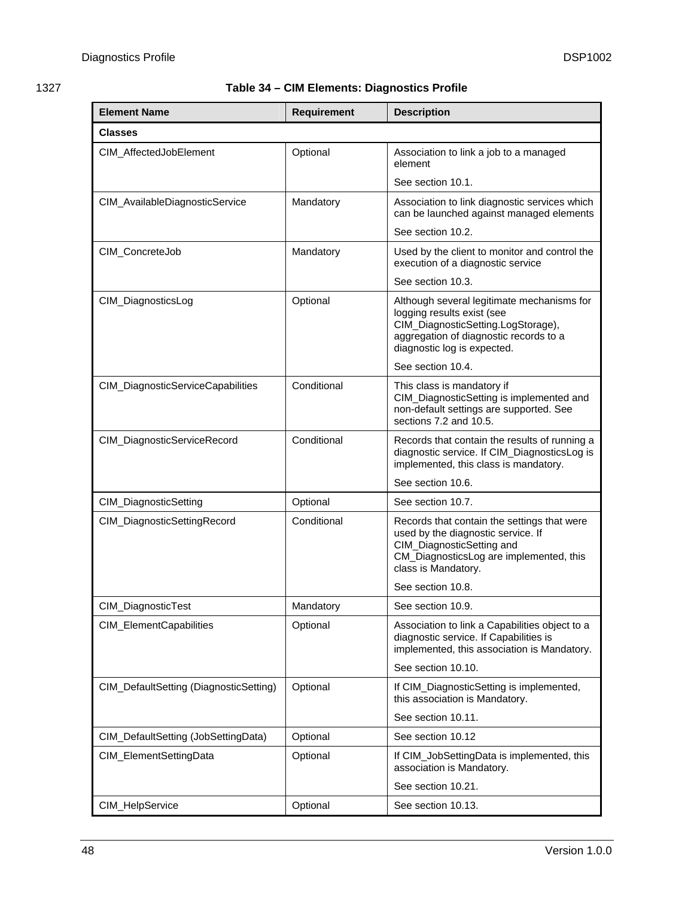#### <span id="page-47-0"></span>1327 **Table 34 – CIM Elements: Diagnostics Profile**

| <b>Element Name</b>                    | <b>Requirement</b> | <b>Description</b>                                                                                                                                                                      |  |
|----------------------------------------|--------------------|-----------------------------------------------------------------------------------------------------------------------------------------------------------------------------------------|--|
| <b>Classes</b>                         |                    |                                                                                                                                                                                         |  |
| CIM_AffectedJobElement                 | Optional           | Association to link a job to a managed<br>element                                                                                                                                       |  |
|                                        |                    | See section 10.1.                                                                                                                                                                       |  |
| CIM_AvailableDiagnosticService         | Mandatory          | Association to link diagnostic services which<br>can be launched against managed elements                                                                                               |  |
|                                        |                    | See section 10.2.                                                                                                                                                                       |  |
| CIM_ConcreteJob                        | Mandatory          | Used by the client to monitor and control the<br>execution of a diagnostic service                                                                                                      |  |
|                                        |                    | See section 10.3.                                                                                                                                                                       |  |
| CIM_DiagnosticsLog                     | Optional           | Although several legitimate mechanisms for<br>logging results exist (see<br>CIM_DiagnosticSetting.LogStorage),<br>aggregation of diagnostic records to a<br>diagnostic log is expected. |  |
|                                        |                    | See section 10.4.                                                                                                                                                                       |  |
| CIM_DiagnosticServiceCapabilities      | Conditional        | This class is mandatory if<br>CIM_DiagnosticSetting is implemented and<br>non-default settings are supported. See<br>sections 7.2 and 10.5.                                             |  |
| CIM_DiagnosticServiceRecord            | Conditional        | Records that contain the results of running a<br>diagnostic service. If CIM_DiagnosticsLog is<br>implemented, this class is mandatory.                                                  |  |
|                                        |                    | See section 10.6.                                                                                                                                                                       |  |
| CIM_DiagnosticSetting                  | Optional           | See section 10.7.                                                                                                                                                                       |  |
| CIM_DiagnosticSettingRecord            | Conditional        | Records that contain the settings that were<br>used by the diagnostic service. If<br>CIM_DiagnosticSetting and<br>CM_DiagnosticsLog are implemented, this<br>class is Mandatory.        |  |
|                                        |                    | See section 10.8.                                                                                                                                                                       |  |
| CIM_DiagnosticTest                     | Mandatory          | See section 10.9.                                                                                                                                                                       |  |
| CIM_ElementCapabilities                | Optional           | Association to link a Capabilities object to a<br>diagnostic service. If Capabilities is<br>implemented, this association is Mandatory.                                                 |  |
|                                        |                    | See section 10.10.                                                                                                                                                                      |  |
| CIM_DefaultSetting (DiagnosticSetting) | Optional           | If CIM_DiagnosticSetting is implemented,<br>this association is Mandatory.                                                                                                              |  |
|                                        |                    | See section 10.11.                                                                                                                                                                      |  |
| CIM_DefaultSetting (JobSettingData)    | Optional           | See section 10.12                                                                                                                                                                       |  |
| CIM_ElementSettingData                 | Optional           | If CIM_JobSettingData is implemented, this<br>association is Mandatory.                                                                                                                 |  |
|                                        |                    | See section 10.21.                                                                                                                                                                      |  |
| CIM_HelpService                        | Optional           | See section 10.13.                                                                                                                                                                      |  |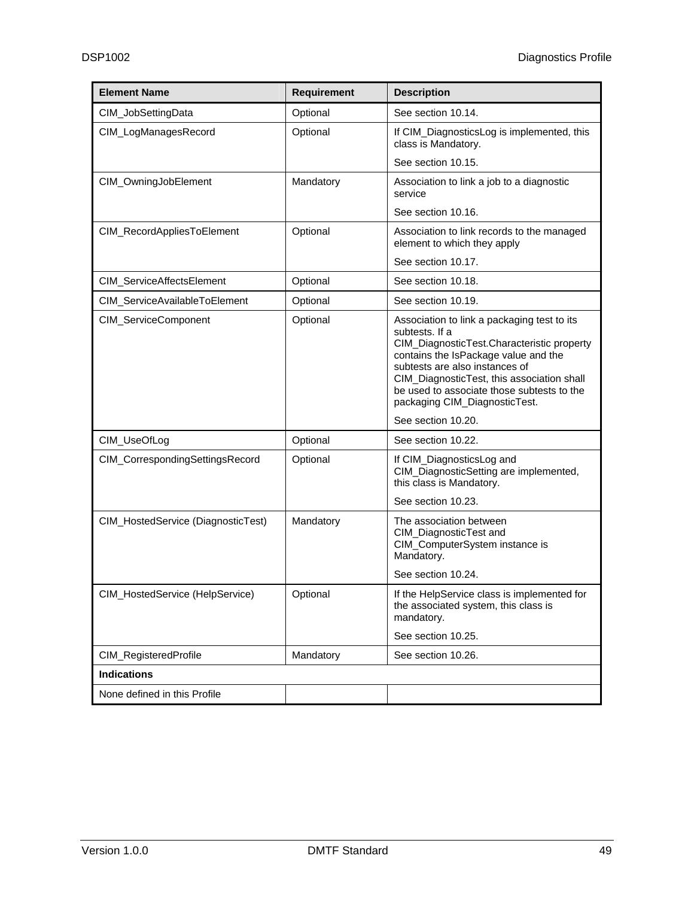| <b>Element Name</b>                | <b>Requirement</b> | <b>Description</b>                                                                                                                                                                                                                                                                                                                       |
|------------------------------------|--------------------|------------------------------------------------------------------------------------------------------------------------------------------------------------------------------------------------------------------------------------------------------------------------------------------------------------------------------------------|
| CIM_JobSettingData                 | Optional           | See section 10.14.                                                                                                                                                                                                                                                                                                                       |
| CIM_LogManagesRecord               | Optional           | If CIM_DiagnosticsLog is implemented, this<br>class is Mandatory.                                                                                                                                                                                                                                                                        |
|                                    |                    | See section 10.15.                                                                                                                                                                                                                                                                                                                       |
| CIM_OwningJobElement               | Mandatory          | Association to link a job to a diagnostic<br>service                                                                                                                                                                                                                                                                                     |
|                                    |                    | See section 10.16.                                                                                                                                                                                                                                                                                                                       |
| CIM_RecordAppliesToElement         | Optional           | Association to link records to the managed<br>element to which they apply                                                                                                                                                                                                                                                                |
|                                    |                    | See section 10.17.                                                                                                                                                                                                                                                                                                                       |
| CIM_ServiceAffectsElement          | Optional           | See section 10.18.                                                                                                                                                                                                                                                                                                                       |
| CIM ServiceAvailableToElement      | Optional           | See section 10.19.                                                                                                                                                                                                                                                                                                                       |
| CIM_ServiceComponent               | Optional           | Association to link a packaging test to its<br>subtests. If a<br>CIM_DiagnosticTest.Characteristic property<br>contains the IsPackage value and the<br>subtests are also instances of<br>CIM_DiagnosticTest, this association shall<br>be used to associate those subtests to the<br>packaging CIM_DiagnosticTest.<br>See section 10.20. |
| CIM_UseOfLog                       | Optional           | See section 10.22.                                                                                                                                                                                                                                                                                                                       |
| CIM_CorrespondingSettingsRecord    | Optional           | If CIM_DiagnosticsLog and<br>CIM_DiagnosticSetting are implemented,<br>this class is Mandatory.<br>See section 10.23.                                                                                                                                                                                                                    |
|                                    |                    |                                                                                                                                                                                                                                                                                                                                          |
| CIM_HostedService (DiagnosticTest) | Mandatory          | The association between<br>CIM_DiagnosticTest and<br>CIM_ComputerSystem instance is<br>Mandatory.                                                                                                                                                                                                                                        |
|                                    |                    | See section 10.24.                                                                                                                                                                                                                                                                                                                       |
| CIM_HostedService (HelpService)    | Optional           | If the HelpService class is implemented for<br>the associated system, this class is<br>mandatory.                                                                                                                                                                                                                                        |
|                                    |                    | See section 10.25.                                                                                                                                                                                                                                                                                                                       |
| CIM_RegisteredProfile              | Mandatory          | See section 10.26.                                                                                                                                                                                                                                                                                                                       |
| <b>Indications</b>                 |                    |                                                                                                                                                                                                                                                                                                                                          |
| None defined in this Profile       |                    |                                                                                                                                                                                                                                                                                                                                          |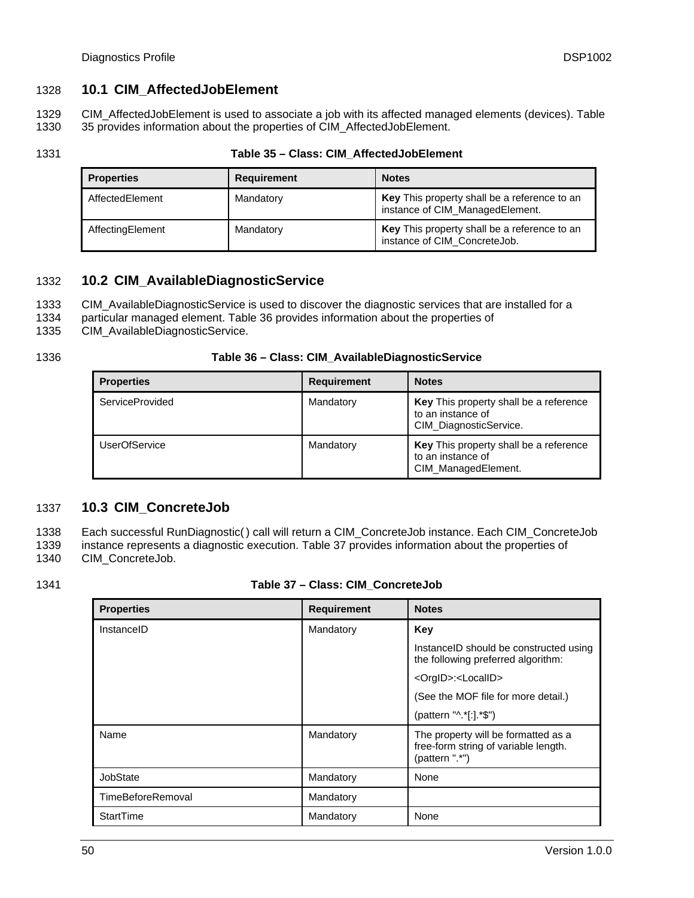#### <span id="page-49-1"></span><span id="page-49-0"></span>1328 **10.1 CIM\_AffectedJobElement**

[1329 CIM\\_AffectedJobElement is used to associate a job with its affected managed elements \(devices\). Table](#page-49-4) 1330 35 provides information about the properties of CIM AffectedJobElement. 35 provides information about the properties of CIM\_AffectedJobElement.

#### <span id="page-49-4"></span>1331 **Table 35 – Class: CIM\_AffectedJobElement**

| <b>Properties</b> | <b>Requirement</b> | <b>Notes</b>                                                                    |
|-------------------|--------------------|---------------------------------------------------------------------------------|
| AffectedElement   | Mandatory          | Key This property shall be a reference to an<br>instance of CIM_ManagedElement. |
| AffectingElement  | Mandatory          | Key This property shall be a reference to an<br>instance of CIM_ConcreteJob.    |

#### <span id="page-49-2"></span>1332 **10.2 CIM\_AvailableDiagnosticService**

- 1333 CIM\_AvailableDiagnosticService is used to discover the diagnostic services that are installed for a
- 1334 particular managed element. [Table 36](#page-49-5) provides information about the properties of
- 1335 CIM\_AvailableDiagnosticService.
- 

<span id="page-49-5"></span>

| 1336 | Table 36 - Class: CIM_AvailableDiagnosticService |
|------|--------------------------------------------------|
|------|--------------------------------------------------|

| <b>Properties</b>      | <b>Requirement</b> | <b>Notes</b>                                                                          |
|------------------------|--------------------|---------------------------------------------------------------------------------------|
| <b>ServiceProvided</b> | Mandatory          | Key This property shall be a reference<br>to an instance of<br>CIM_DiagnosticService. |
| <b>UserOfService</b>   | Mandatory          | Key This property shall be a reference<br>to an instance of<br>CIM_ManagedElement.    |

#### <span id="page-49-3"></span>1337 **10.3 CIM\_ConcreteJob**

1338 Each successful RunDiagnostic( ) call will return a CIM\_ConcreteJob instance. Each CIM\_ConcreteJob 1339 instance represents a diagnostic execution. [Table 37](#page-49-6) provides information about the properties of CIM\_ConcreteJob.

#### <span id="page-49-6"></span>1341 **Table 37 – Class: CIM\_ConcreteJob**

| <b>Properties</b> | <b>Requirement</b> | <b>Notes</b>                                                                                  |
|-------------------|--------------------|-----------------------------------------------------------------------------------------------|
| InstanceID        | Mandatory          | Key                                                                                           |
|                   |                    | Instance ID should be constructed using<br>the following preferred algorithm:                 |
|                   |                    | <orgid>:<localid></localid></orgid>                                                           |
|                   |                    | (See the MOF file for more detail.)                                                           |
|                   |                    | (pattern "^ *[:] *\$")                                                                        |
| Name              | Mandatory          | The property will be formatted as a<br>free-form string of variable length.<br>(pattern ".*") |
| JobState          | Mandatory          | None                                                                                          |
| TimeBeforeRemoval | Mandatory          |                                                                                               |
| StartTime         | Mandatory          | None                                                                                          |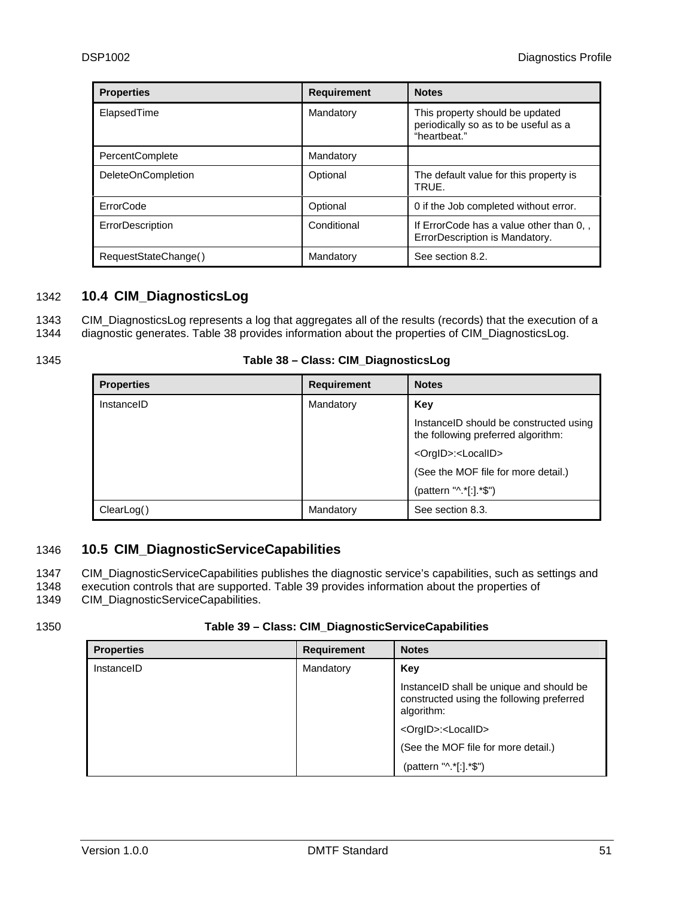<span id="page-50-0"></span>

| <b>Properties</b>         | <b>Requirement</b> | <b>Notes</b>                                                                            |
|---------------------------|--------------------|-----------------------------------------------------------------------------------------|
| ElapsedTime               | Mandatory          | This property should be updated<br>periodically so as to be useful as a<br>"heartbeat." |
| <b>PercentComplete</b>    | Mandatory          |                                                                                         |
| <b>DeleteOnCompletion</b> | Optional           | The default value for this property is<br>TRUE.                                         |
| ErrorCode                 | Optional           | 0 if the Job completed without error.                                                   |
| ErrorDescription          | Conditional        | If ErrorCode has a value other than 0,,<br>ErrorDescription is Mandatory.               |
| RequestStateChange()      | Mandatory          | See section 8.2.                                                                        |

#### <span id="page-50-1"></span>1342 **10.4 CIM\_DiagnosticsLog**

1343 CIM\_DiagnosticsLog represents a log that aggregates all of the results (records) that the execution of a<br>1344 diagnostic generates. Table 38 provides information about the properties of CIM DiagnosticsLog. diagnostic generates. [Table 38](#page-50-3) provides information about the properties of CIM\_DiagnosticsLog.

<span id="page-50-3"></span>

| 1345 | Table 38 - Class: CIM_DiagnosticsLog |
|------|--------------------------------------|
|------|--------------------------------------|

| <b>Properties</b> | <b>Requirement</b> | <b>Notes</b>                                                                  |
|-------------------|--------------------|-------------------------------------------------------------------------------|
| InstanceID        | Mandatory          | Kev                                                                           |
|                   |                    | Instance ID should be constructed using<br>the following preferred algorithm: |
|                   |                    | <orgid>:<localid></localid></orgid>                                           |
|                   |                    | (See the MOF file for more detail.)                                           |
|                   |                    | (pattern "^.*[:].*\$")                                                        |
| ClearLog()        | Mandatory          | See section 8.3.                                                              |

#### <span id="page-50-2"></span>1346 **10.5 CIM\_DiagnosticServiceCapabilities**

1347 CIM\_DiagnosticServiceCapabilities publishes the diagnostic service's capabilities, such as settings and

1348 execution controls that are supported. [Table 39](#page-50-4) provides information about the properties of 1349 CIM DiagnosticServiceCapabilities.

CIM\_DiagnosticServiceCapabilities.

#### <span id="page-50-4"></span>1350 **Table 39 – Class: CIM\_DiagnosticServiceCapabilities**

| <b>Properties</b> | <b>Requirement</b> | <b>Notes</b>                                                                                         |
|-------------------|--------------------|------------------------------------------------------------------------------------------------------|
| InstanceID        | Mandatory          | Key                                                                                                  |
|                   |                    | Instance ID shall be unique and should be<br>constructed using the following preferred<br>algorithm: |
|                   |                    | <orgid>:<localid></localid></orgid>                                                                  |
|                   |                    | (See the MOF file for more detail.)                                                                  |
|                   |                    | (pattern "^.*[:].*\$")                                                                               |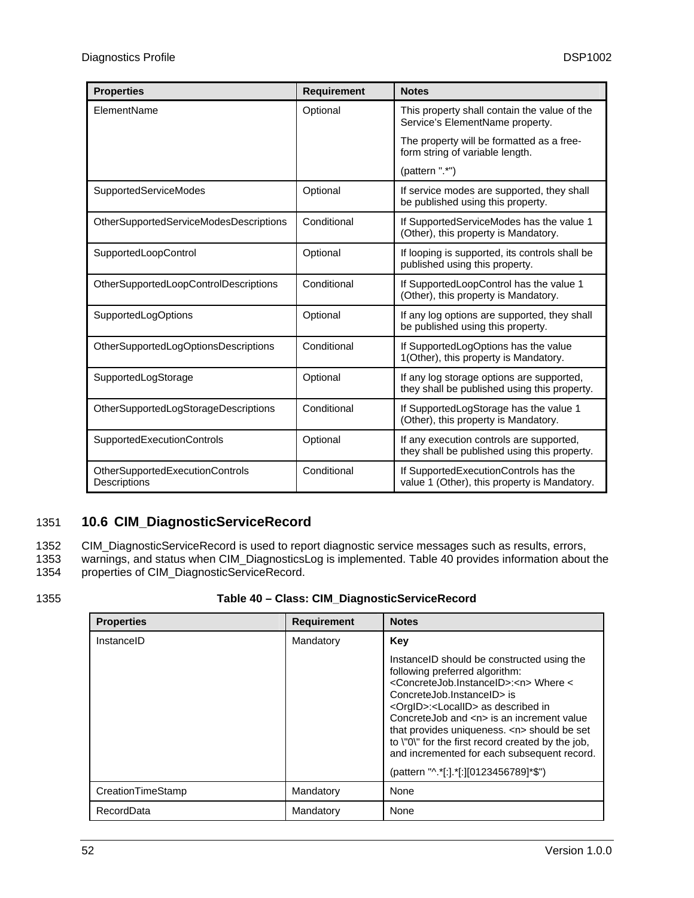<span id="page-51-0"></span>

| <b>Properties</b>                               | <b>Requirement</b> | <b>Notes</b>                                                                              |
|-------------------------------------------------|--------------------|-------------------------------------------------------------------------------------------|
| ElementName                                     | Optional           | This property shall contain the value of the<br>Service's ElementName property.           |
|                                                 |                    | The property will be formatted as a free-<br>form string of variable length.              |
|                                                 |                    | (pattern ".*")                                                                            |
| <b>SupportedServiceModes</b>                    | Optional           | If service modes are supported, they shall<br>be published using this property.           |
| OtherSupportedServiceModesDescriptions          | Conditional        | If SupportedServiceModes has the value 1<br>(Other), this property is Mandatory.          |
| SupportedLoopControl                            | Optional           | If looping is supported, its controls shall be<br>published using this property.          |
| OtherSupportedLoopControlDescriptions           | Conditional        | If SupportedLoopControl has the value 1<br>(Other), this property is Mandatory.           |
| <b>SupportedLogOptions</b>                      | Optional           | If any log options are supported, they shall<br>be published using this property.         |
| OtherSupportedLogOptionsDescriptions            | Conditional        | If SupportedLogOptions has the value<br>1(Other), this property is Mandatory.             |
| SupportedLogStorage                             | Optional           | If any log storage options are supported,<br>they shall be published using this property. |
| OtherSupportedLogStorageDescriptions            | Conditional        | If SupportedLogStorage has the value 1<br>(Other), this property is Mandatory.            |
| SupportedExecutionControls                      | Optional           | If any execution controls are supported,<br>they shall be published using this property.  |
| OtherSupportedExecutionControls<br>Descriptions | Conditional        | If SupportedExecutionControls has the<br>value 1 (Other), this property is Mandatory.     |

# <span id="page-51-1"></span>1351 **10.6 CIM\_DiagnosticServiceRecord**

1352 CIM\_DiagnosticServiceRecord is used to report diagnostic service messages such as results, errors, 1353 varnings, and status when CIM DiagnosticsLog is implemented. Table 40 provides information about warnings, and status when CIM\_DiagnosticsLog is implemented. [Table 40](#page-51-2) provides information about the

1354 properties of CIM\_DiagnosticServiceRecord.

<span id="page-51-2"></span>1355 **Table 40 – Class: CIM\_DiagnosticServiceRecord** 

| <b>Properties</b> | <b>Requirement</b> | <b>Notes</b>                                                                                                                                                                                                                                                                                                                                                                                                                                                                                             |
|-------------------|--------------------|----------------------------------------------------------------------------------------------------------------------------------------------------------------------------------------------------------------------------------------------------------------------------------------------------------------------------------------------------------------------------------------------------------------------------------------------------------------------------------------------------------|
| InstanceID        | Mandatory          | Key                                                                                                                                                                                                                                                                                                                                                                                                                                                                                                      |
|                   |                    | Instance ID should be constructed using the<br>following preferred algorithm:<br><concretejob.instanceid>:<n>Where &lt;<br/>Concrete Job Instance ID &gt; is<br/><orgid>:<localid> as described in<br/>ConcreteJob and <n> is an increment value<br/>that provides uniqueness. <n> should be set<br/>to \"0\" for the first record created by the job,<br/>and incremented for each subsequent record.<br/>(pattern "^.*[:].*[:][0123456789]*\$")</n></n></localid></orgid></n></concretejob.instanceid> |
| CreationTimeStamp | Mandatory          | None                                                                                                                                                                                                                                                                                                                                                                                                                                                                                                     |
| RecordData        | Mandatory          | None                                                                                                                                                                                                                                                                                                                                                                                                                                                                                                     |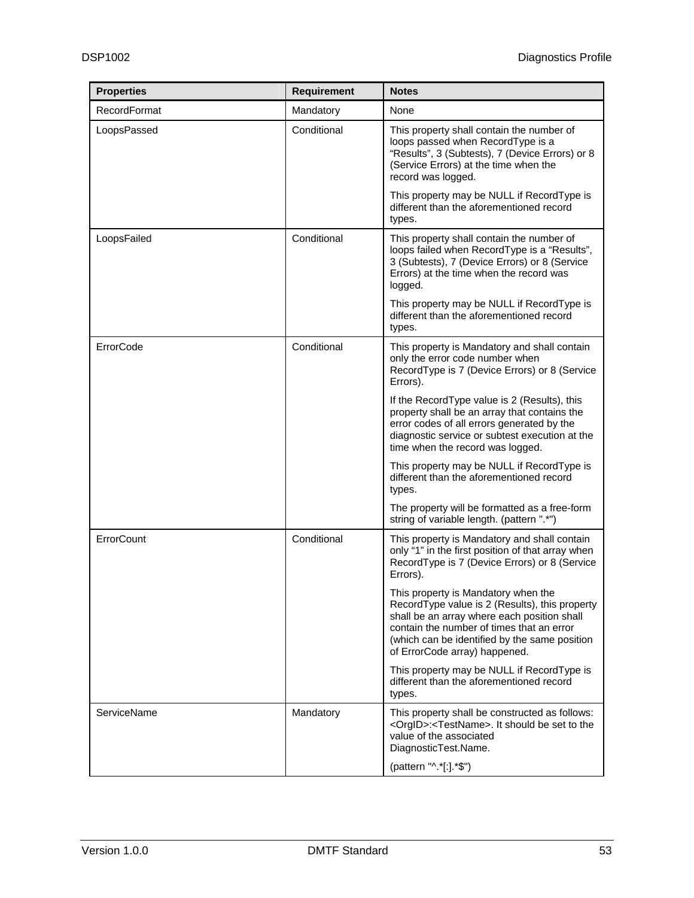| <b>Properties</b> | <b>Requirement</b> | <b>Notes</b>                                                                                                                                                                                                                                                        |
|-------------------|--------------------|---------------------------------------------------------------------------------------------------------------------------------------------------------------------------------------------------------------------------------------------------------------------|
| RecordFormat      | Mandatory          | None                                                                                                                                                                                                                                                                |
| LoopsPassed       | Conditional        | This property shall contain the number of<br>loops passed when RecordType is a<br>"Results", 3 (Subtests), 7 (Device Errors) or 8<br>(Service Errors) at the time when the<br>record was logged.                                                                    |
|                   |                    | This property may be NULL if RecordType is<br>different than the aforementioned record<br>types.                                                                                                                                                                    |
| LoopsFailed       | Conditional        | This property shall contain the number of<br>loops failed when RecordType is a "Results",<br>3 (Subtests), 7 (Device Errors) or 8 (Service<br>Errors) at the time when the record was<br>logged.                                                                    |
|                   |                    | This property may be NULL if RecordType is<br>different than the aforementioned record<br>types.                                                                                                                                                                    |
| ErrorCode         | Conditional        | This property is Mandatory and shall contain<br>only the error code number when<br>RecordType is 7 (Device Errors) or 8 (Service<br>Errors).                                                                                                                        |
|                   |                    | If the RecordType value is 2 (Results), this<br>property shall be an array that contains the<br>error codes of all errors generated by the<br>diagnostic service or subtest execution at the<br>time when the record was logged.                                    |
|                   |                    | This property may be NULL if RecordType is<br>different than the aforementioned record<br>types.                                                                                                                                                                    |
|                   |                    | The property will be formatted as a free-form<br>string of variable length. (pattern ".*")                                                                                                                                                                          |
| ErrorCount        | Conditional        | This property is Mandatory and shall contain<br>only "1" in the first position of that array when<br>RecordType is 7 (Device Errors) or 8 (Service<br>Errors).                                                                                                      |
|                   |                    | This property is Mandatory when the<br>RecordType value is 2 (Results), this property<br>shall be an array where each position shall<br>contain the number of times that an error<br>(which can be identified by the same position<br>of ErrorCode array) happened. |
|                   |                    | This property may be NULL if RecordType is<br>different than the aforementioned record<br>types.                                                                                                                                                                    |
| ServiceName       | Mandatory          | This property shall be constructed as follows:<br><orgid>:<testname>. It should be set to the<br/>value of the associated<br/>DiagnosticTest.Name.</testname></orgid>                                                                                               |
|                   |                    | (pattern "^.*[:].*\$")                                                                                                                                                                                                                                              |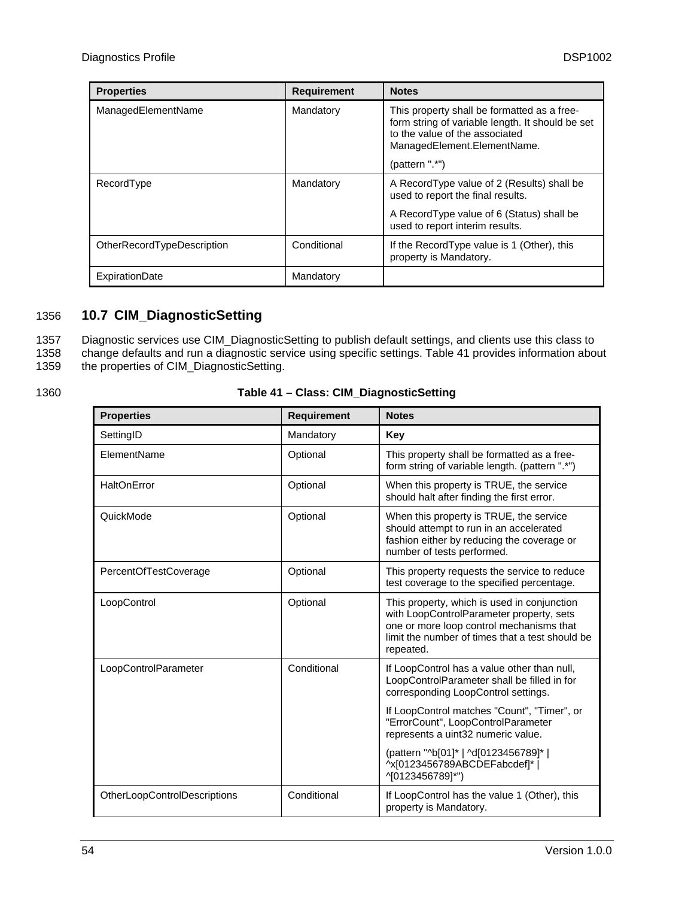<span id="page-53-0"></span>

| <b>Properties</b>          | <b>Requirement</b> | <b>Notes</b>                                                                                                                                                                               |
|----------------------------|--------------------|--------------------------------------------------------------------------------------------------------------------------------------------------------------------------------------------|
| ManagedElementName         | Mandatory          | This property shall be formatted as a free-<br>form string of variable length. It should be set<br>to the value of the associated<br>ManagedElement.ElementName.<br>(pattern ". $\cdot$ ") |
| RecordType                 | Mandatory          | A Record Type value of 2 (Results) shall be<br>used to report the final results.                                                                                                           |
|                            |                    | A RecordType value of 6 (Status) shall be<br>used to report interim results.                                                                                                               |
| OtherRecordTypeDescription | Conditional        | If the RecordType value is 1 (Other), this<br>property is Mandatory.                                                                                                                       |
| ExpirationDate             | Mandatory          |                                                                                                                                                                                            |

# <span id="page-53-1"></span>1356 **10.7 CIM\_DiagnosticSetting**

1357 Diagnostic services use CIM\_DiagnosticSetting to publish default settings, and clients use this class to 1358 change defaults and run a diagnostic service using specific settings. [Table 41](#page-53-2) provides information about 1359 the properties of CIM\_DiagnosticSetting.

#### <span id="page-53-2"></span>1360 **Table 41 – Class: CIM\_DiagnosticSetting**

| <b>Properties</b>            | <b>Requirement</b> | <b>Notes</b>                                                                                                                                                                                        |
|------------------------------|--------------------|-----------------------------------------------------------------------------------------------------------------------------------------------------------------------------------------------------|
| SettingID                    | Mandatory          | Key                                                                                                                                                                                                 |
| ElementName                  | Optional           | This property shall be formatted as a free-<br>form string of variable length. (pattern ".*")                                                                                                       |
| HaltOnError                  | Optional           | When this property is TRUE, the service<br>should halt after finding the first error.                                                                                                               |
| QuickMode                    | Optional           | When this property is TRUE, the service<br>should attempt to run in an accelerated<br>fashion either by reducing the coverage or<br>number of tests performed.                                      |
| PercentOfTestCoverage        | Optional           | This property requests the service to reduce<br>test coverage to the specified percentage.                                                                                                          |
| LoopControl                  | Optional           | This property, which is used in conjunction<br>with LoopControlParameter property, sets<br>one or more loop control mechanisms that<br>limit the number of times that a test should be<br>repeated. |
| LoopControlParameter         | Conditional        | If LoopControl has a value other than null,<br>LoopControlParameter shall be filled in for<br>corresponding LoopControl settings.                                                                   |
|                              |                    | If LoopControl matches "Count", "Timer", or<br>"ErrorCount", LoopControlParameter<br>represents a uint32 numeric value.                                                                             |
|                              |                    | (pattern "^b[01]*   ^d[0123456789]*  <br>^x[0123456789ABCDEFabcdef]*  <br>^[0123456789]*")                                                                                                          |
| OtherLoopControlDescriptions | Conditional        | If LoopControl has the value 1 (Other), this<br>property is Mandatory.                                                                                                                              |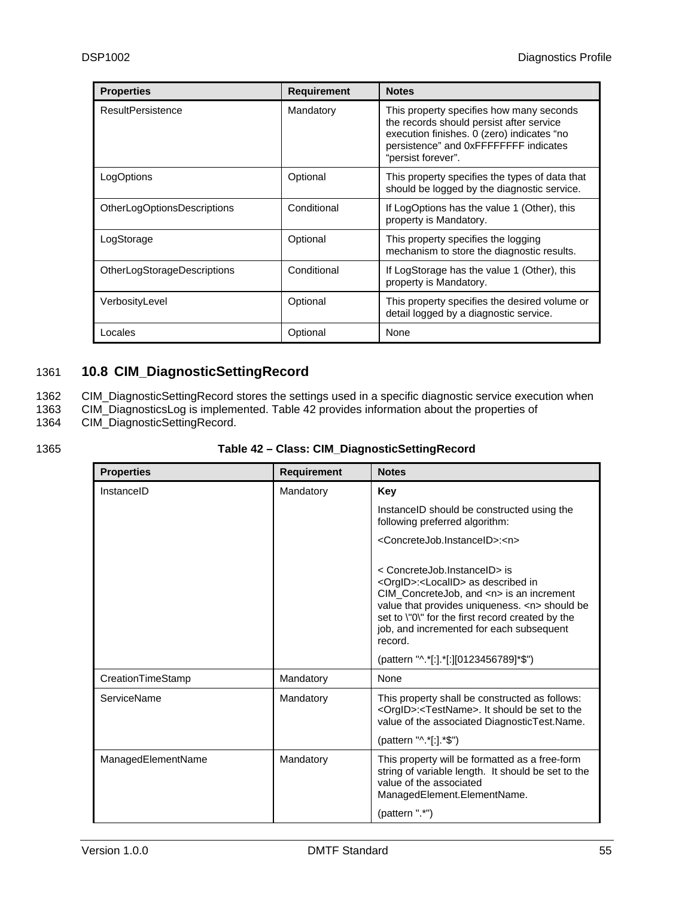<span id="page-54-0"></span>

| <b>Properties</b>                  | <b>Requirement</b> | <b>Notes</b>                                                                                                                                                                                      |
|------------------------------------|--------------------|---------------------------------------------------------------------------------------------------------------------------------------------------------------------------------------------------|
| ResultPersistence                  | Mandatory          | This property specifies how many seconds<br>the records should persist after service<br>execution finishes. 0 (zero) indicates "no<br>persistence" and 0xFFFFFFFF indicates<br>"persist forever". |
| LogOptions                         | Optional           | This property specifies the types of data that<br>should be logged by the diagnostic service.                                                                                                     |
| OtherLogOptionsDescriptions        | Conditional        | If LogOptions has the value 1 (Other), this<br>property is Mandatory.                                                                                                                             |
| LogStorage                         | Optional           | This property specifies the logging<br>mechanism to store the diagnostic results.                                                                                                                 |
| <b>OtherLogStorageDescriptions</b> | Conditional        | If LogStorage has the value 1 (Other), this<br>property is Mandatory.                                                                                                                             |
| VerbosityLevel                     | Optional           | This property specifies the desired volume or<br>detail logged by a diagnostic service.                                                                                                           |
| Locales                            | Optional           | None                                                                                                                                                                                              |

# <span id="page-54-1"></span>1361 **10.8 CIM\_DiagnosticSettingRecord**

1362 CIM\_DiagnosticSettingRecord stores the settings used in a specific diagnostic service execution when 1363 CIM\_DiagnosticsLog is implemented. [Table 42](#page-54-2) provides information about the properties of

1364 CIM\_DiagnosticSettingRecord.

#### <span id="page-54-2"></span>1365 **Table 42 – Class: CIM\_DiagnosticSettingRecord**

| <b>Properties</b>  | <b>Requirement</b> | <b>Notes</b>                                                                                                                                                                                                                                                                                               |
|--------------------|--------------------|------------------------------------------------------------------------------------------------------------------------------------------------------------------------------------------------------------------------------------------------------------------------------------------------------------|
| InstanceID         | Mandatory          | Key                                                                                                                                                                                                                                                                                                        |
|                    |                    | Instance ID should be constructed using the<br>following preferred algorithm:                                                                                                                                                                                                                              |
|                    |                    | <concretejob.instanceid>:<n></n></concretejob.instanceid>                                                                                                                                                                                                                                                  |
|                    |                    | < Concrete Job Instance ID> is<br><orgid>:<localid> as described in<br/>CIM_ConcreteJob, and <n> is an increment<br/>value that provides uniqueness. <n> should be<br/>set to \"0\" for the first record created by the<br/>job, and incremented for each subsequent<br/>record.</n></n></localid></orgid> |
|                    |                    | (pattern "^.*[:].*[:][0123456789]*\$")                                                                                                                                                                                                                                                                     |
| CreationTimeStamp  | Mandatory          | None                                                                                                                                                                                                                                                                                                       |
| ServiceName        | Mandatory          | This property shall be constructed as follows:<br><orgid>:<testname>. It should be set to the<br/>value of the associated DiagnosticTest.Name.</testname></orgid>                                                                                                                                          |
|                    |                    | (pattern "^.*[:].*\$")                                                                                                                                                                                                                                                                                     |
| ManagedElementName | Mandatory          | This property will be formatted as a free-form<br>string of variable length. It should be set to the<br>value of the associated<br>ManagedElement.ElementName.                                                                                                                                             |
|                    |                    | (pattern ".*")                                                                                                                                                                                                                                                                                             |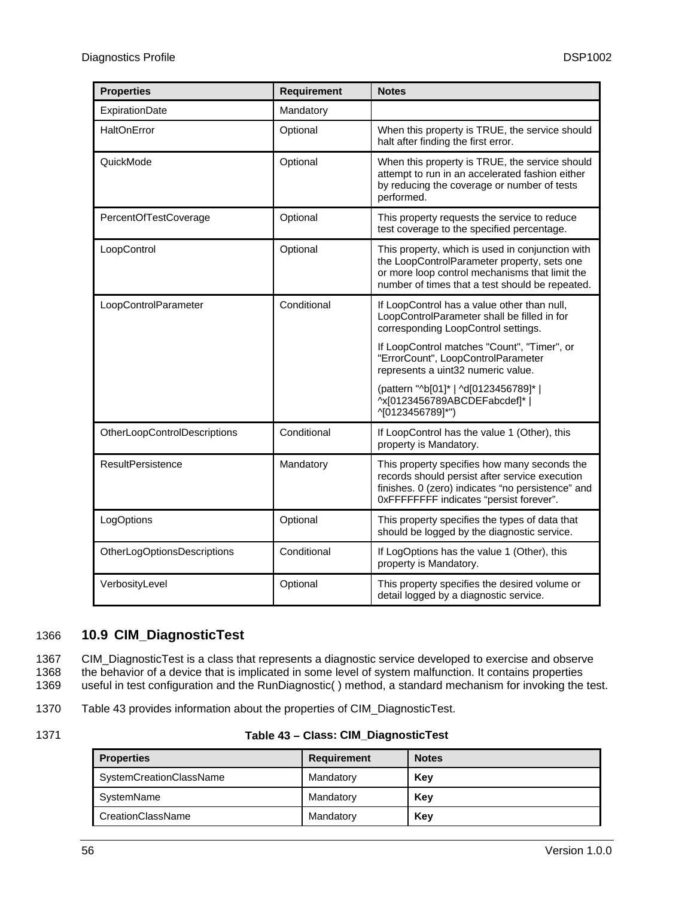<span id="page-55-0"></span>

| <b>Properties</b>            | <b>Requirement</b> | <b>Notes</b>                                                                                                                                                                                         |
|------------------------------|--------------------|------------------------------------------------------------------------------------------------------------------------------------------------------------------------------------------------------|
| ExpirationDate               | Mandatory          |                                                                                                                                                                                                      |
| HaltOnError                  | Optional           | When this property is TRUE, the service should<br>halt after finding the first error.                                                                                                                |
| QuickMode                    | Optional           | When this property is TRUE, the service should<br>attempt to run in an accelerated fashion either<br>by reducing the coverage or number of tests<br>performed.                                       |
| PercentOfTestCoverage        | Optional           | This property requests the service to reduce<br>test coverage to the specified percentage.                                                                                                           |
| LoopControl                  | Optional           | This property, which is used in conjunction with<br>the LoopControlParameter property, sets one<br>or more loop control mechanisms that limit the<br>number of times that a test should be repeated. |
| LoopControlParameter         | Conditional        | If LoopControl has a value other than null,<br>LoopControlParameter shall be filled in for<br>corresponding LoopControl settings.                                                                    |
|                              |                    | If LoopControl matches "Count", "Timer", or<br>"ErrorCount", LoopControlParameter<br>represents a uint32 numeric value.                                                                              |
|                              |                    | (pattern "^b[01]*   ^d[0123456789]*  <br>^x[0123456789ABCDEFabcdef]*  <br>^[0123456789]*")                                                                                                           |
| OtherLoopControlDescriptions | Conditional        | If LoopControl has the value 1 (Other), this<br>property is Mandatory.                                                                                                                               |
| <b>ResultPersistence</b>     | Mandatory          | This property specifies how many seconds the<br>records should persist after service execution<br>finishes. 0 (zero) indicates "no persistence" and<br>0xFFFFFFFF indicates "persist forever".       |
| LogOptions                   | Optional           | This property specifies the types of data that<br>should be logged by the diagnostic service.                                                                                                        |
| OtherLogOptionsDescriptions  | Conditional        | If LogOptions has the value 1 (Other), this<br>property is Mandatory.                                                                                                                                |
| VerbosityLevel               | Optional           | This property specifies the desired volume or<br>detail logged by a diagnostic service.                                                                                                              |

# <span id="page-55-1"></span>1366 **10.9 CIM\_DiagnosticTest**

1367 CIM\_DiagnosticTest is a class that represents a diagnostic service developed to exercise and observe 1368 the behavior of a device that is implicated in some level of system malfunction. It contains properties 1369 useful in test configuration and the RunDiagnostic( ) method, a standard mechanism for invoking the test.

- 1370 [Table 43](#page-55-2) provides information about the properties of CIM\_DiagnosticTest.
- 

#### <span id="page-55-2"></span>1371 **Table 43 – Class: CIM\_DiagnosticTest**

| <b>Properties</b>        | <b>Requirement</b> | <b>Notes</b> |
|--------------------------|--------------------|--------------|
| SystemCreationClassName  | Mandatory          | Kev          |
| SystemName               | Mandatory          | Kev          |
| <b>CreationClassName</b> | Mandatory          | Key          |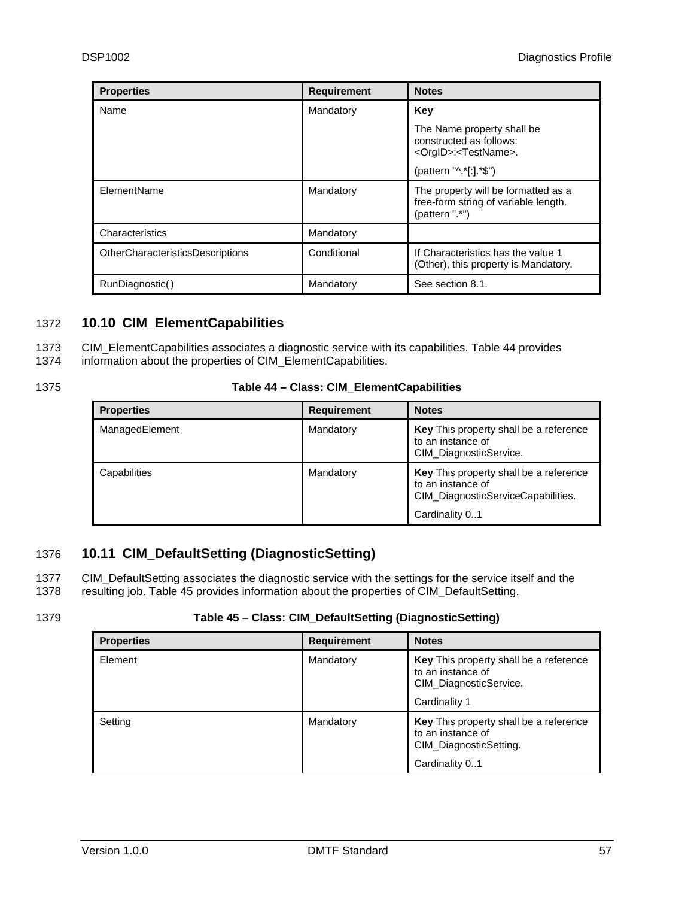<span id="page-56-0"></span>

| <b>Properties</b>                       | <b>Requirement</b> | <b>Notes</b>                                                                                                               |
|-----------------------------------------|--------------------|----------------------------------------------------------------------------------------------------------------------------|
| Name                                    | Mandatory          | Key                                                                                                                        |
|                                         |                    | The Name property shall be<br>constructed as follows:<br><orgid>:<testname>.<br/>(pattern "^.*[:].*\$")</testname></orgid> |
| ElementName                             | Mandatory          | The property will be formatted as a<br>free-form string of variable length.<br>(pattern ".*")                              |
| Characteristics                         | Mandatory          |                                                                                                                            |
| <b>OtherCharacteristicsDescriptions</b> | Conditional        | If Characteristics has the value 1<br>(Other), this property is Mandatory.                                                 |
| RunDiagnostic()                         | Mandatory          | See section 8.1.                                                                                                           |

#### <span id="page-56-1"></span>1372 **10.10 CIM\_ElementCapabilities**

1373 CIM\_ElementCapabilities associates a diagnostic service with its capabilities. [Table 44](#page-56-3) provides

1374 information about the properties of CIM\_ElementCapabilities.

#### <span id="page-56-3"></span>1375 **Table 44 – Class: CIM\_ElementCapabilities**

| <b>Properties</b> | <b>Requirement</b> | <b>Notes</b>                                                                                                        |
|-------------------|--------------------|---------------------------------------------------------------------------------------------------------------------|
| ManagedElement    | Mandatory          | Key This property shall be a reference<br>to an instance of<br>CIM_DiagnosticService.                               |
| Capabilities      | Mandatory          | Key This property shall be a reference<br>to an instance of<br>CIM_DiagnosticServiceCapabilities.<br>Cardinality 01 |

# <span id="page-56-2"></span>1376 **10.11 CIM\_DefaultSetting (DiagnosticSetting)**

1377 CIM\_DefaultSetting associates the diagnostic service with the settings for the service itself and the 1378 resulting job. [Table 45](#page-56-4) provides information about the properties of CIM\_DefaultSetting.

#### <span id="page-56-4"></span>1379 **Table 45 – Class: CIM\_DefaultSetting (DiagnosticSetting)**

| <b>Properties</b> | <b>Requirement</b> | <b>Notes</b>                                                                                            |
|-------------------|--------------------|---------------------------------------------------------------------------------------------------------|
| Element           | Mandatory          | Key This property shall be a reference<br>to an instance of<br>CIM_DiagnosticService.<br>Cardinality 1  |
| Setting           | Mandatory          | Key This property shall be a reference<br>to an instance of<br>CIM_DiagnosticSetting.<br>Cardinality 01 |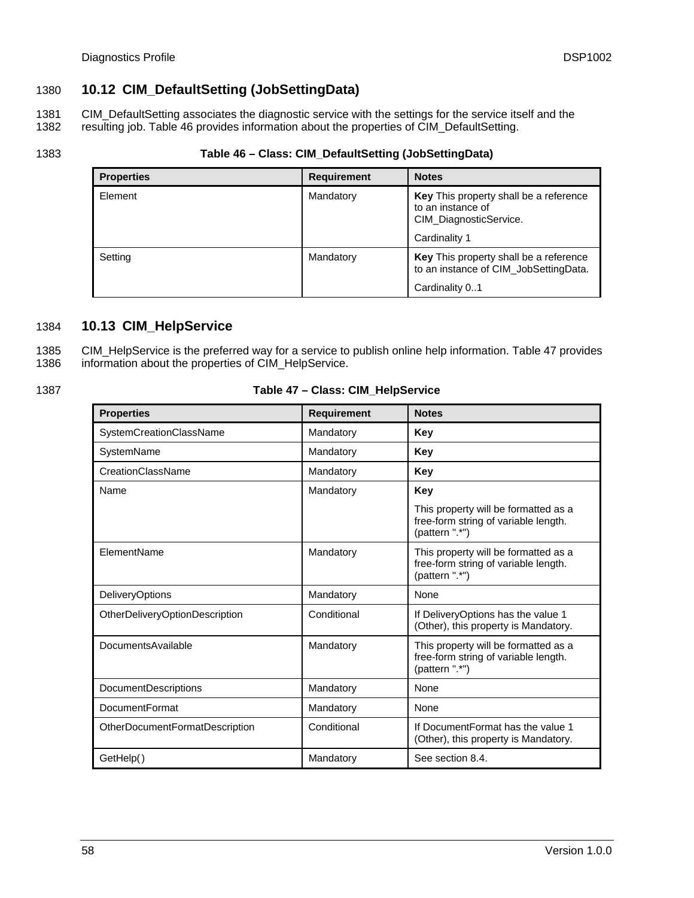# <span id="page-57-1"></span><span id="page-57-0"></span>1380 **10.12 CIM\_DefaultSetting (JobSettingData)**

1381 CIM\_DefaultSetting associates the diagnostic service with the settings for the service itself and the 1382 resulting job. Table 46 provides information about the properties of CIM DefaultSetting. resulting job. [Table 46](#page-57-3) provides information about the properties of CIM\_DefaultSetting.

#### <span id="page-57-3"></span>1383 **Table 46 – Class: CIM\_DefaultSetting (JobSettingData)**

| <b>Properties</b> | <b>Requirement</b> | <b>Notes</b>                                                                                             |
|-------------------|--------------------|----------------------------------------------------------------------------------------------------------|
| Element           | Mandatory          | Key This property shall be a reference<br>to an instance of<br>CIM_DiagnosticService.<br>Cardinality 1   |
| Setting           | Mandatory          | <b>Key</b> This property shall be a reference<br>to an instance of CIM_JobSettingData.<br>Cardinality 01 |

# <span id="page-57-2"></span>1384 **10.13 CIM\_HelpService**

1385 CIM\_HelpService is the preferred way for a service to publish online help information. [Table 47](#page-57-4) provides 1386 information about the properties of CIM HelpService. information about the properties of CIM\_HelpService.

#### <span id="page-57-4"></span>1387 **Table 47 – Class: CIM\_HelpService**

| <b>Properties</b>              | <b>Requirement</b> | <b>Notes</b>                                                                                   |
|--------------------------------|--------------------|------------------------------------------------------------------------------------------------|
| SystemCreationClassName        | Mandatory          | Key                                                                                            |
| SystemName                     | Mandatory          | Key                                                                                            |
| CreationClassName              | Mandatory          | Key                                                                                            |
| Name                           | Mandatory          | Key                                                                                            |
|                                |                    | This property will be formatted as a<br>free-form string of variable length.<br>(pattern ".*") |
| ElementName                    | Mandatory          | This property will be formatted as a<br>free-form string of variable length.<br>(pattern ".*") |
| <b>DeliveryOptions</b>         | Mandatory          | None                                                                                           |
| OtherDeliveryOptionDescription | Conditional        | If DeliveryOptions has the value 1<br>(Other), this property is Mandatory.                     |
| DocumentsAvailable             | Mandatory          | This property will be formatted as a<br>free-form string of variable length.<br>(pattern ".*") |
| <b>DocumentDescriptions</b>    | Mandatory          | None                                                                                           |
| <b>DocumentFormat</b>          | Mandatory          | None                                                                                           |
| OtherDocumentFormatDescription | Conditional        | If DocumentFormat has the value 1<br>(Other), this property is Mandatory.                      |
| GetHelp()                      | Mandatory          | See section 8.4.                                                                               |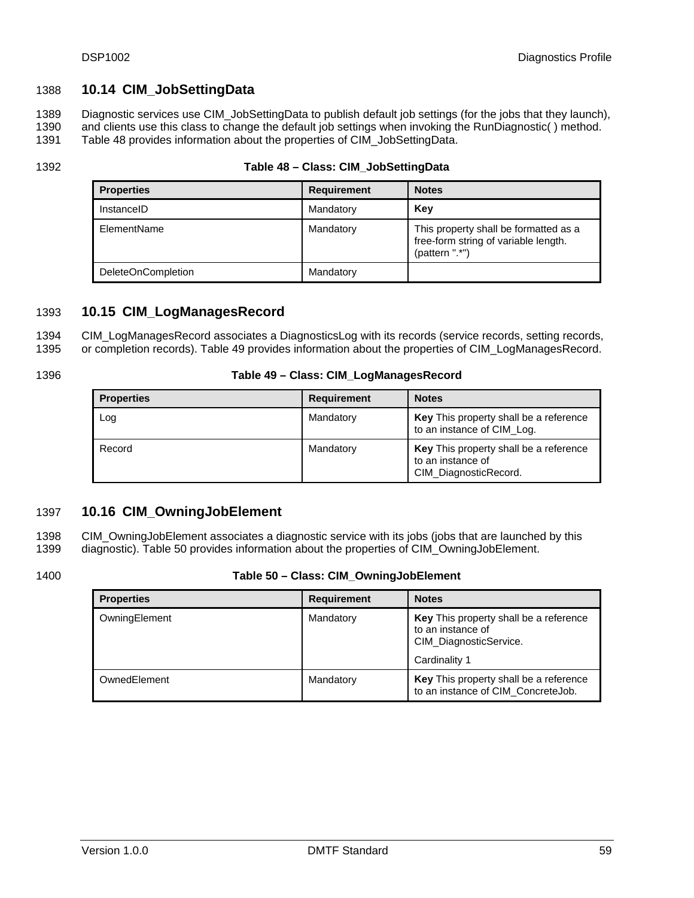#### <span id="page-58-1"></span><span id="page-58-0"></span>1388 **10.14 CIM\_JobSettingData**

1389 Diagnostic services use CIM\_JobSettingData to publish default job settings (for the jobs that they launch), 1390 and clients use this class to change the default job settings when invoking the RunDiagnostic() method.<br>1391 Table 48 provides information about the properties of CIM JobSettingData.

[Table 48](#page-58-4) provides information about the properties of CIM\_JobSettingData.

#### <span id="page-58-4"></span>1392 **Table 48 – Class: CIM\_JobSettingData**

| <b>Properties</b>         | <b>Requirement</b> | <b>Notes</b>                                                                                    |
|---------------------------|--------------------|-------------------------------------------------------------------------------------------------|
| InstanceID                | Mandatory          | Kev                                                                                             |
| ElementName               | Mandatory          | This property shall be formatted as a<br>free-form string of variable length.<br>(pattern ".*") |
| <b>DeleteOnCompletion</b> | Mandatory          |                                                                                                 |

#### <span id="page-58-2"></span>1393 **10.15 CIM\_LogManagesRecord**

1394 CIM\_LogManagesRecord associates a DiagnosticsLog with its records (service records, setting records, 1395 or completion records). Table 49 provides information about the properties of CIM LogManagesRecord. or completion records). [Table 49](#page-58-5) provides information about the properties of CIM\_LogManagesRecord.

#### <span id="page-58-5"></span>1396 **Table 49 – Class: CIM\_LogManagesRecord**

| <b>Properties</b> | <b>Requirement</b> | <b>Notes</b>                                                                         |
|-------------------|--------------------|--------------------------------------------------------------------------------------|
| Log               | Mandatory          | <b>Key</b> This property shall be a reference<br>to an instance of CIM_Log.          |
| Record            | Mandatory          | Key This property shall be a reference<br>to an instance of<br>CIM_DiagnosticRecord. |

#### <span id="page-58-3"></span>1397 **10.16 CIM\_OwningJobElement**

1398 CIM\_OwningJobElement associates a diagnostic service with its jobs (jobs that are launched by this 1399 diagnostic). Table 50 provides information about the properties of CIM OwningJobElement. diagnostic). [Table 50](#page-58-6) provides information about the properties of CIM\_OwningJobElement.

#### <span id="page-58-6"></span>1400 **Table 50 – Class: CIM\_OwningJobElement**

| <b>Properties</b> | <b>Requirement</b> | <b>Notes</b>                                                                                           |
|-------------------|--------------------|--------------------------------------------------------------------------------------------------------|
| OwningElement     | Mandatory          | Key This property shall be a reference<br>to an instance of<br>CIM_DiagnosticService.<br>Cardinality 1 |
|                   |                    |                                                                                                        |
| OwnedElement      | Mandatory          | Key This property shall be a reference<br>to an instance of CIM_ConcreteJob.                           |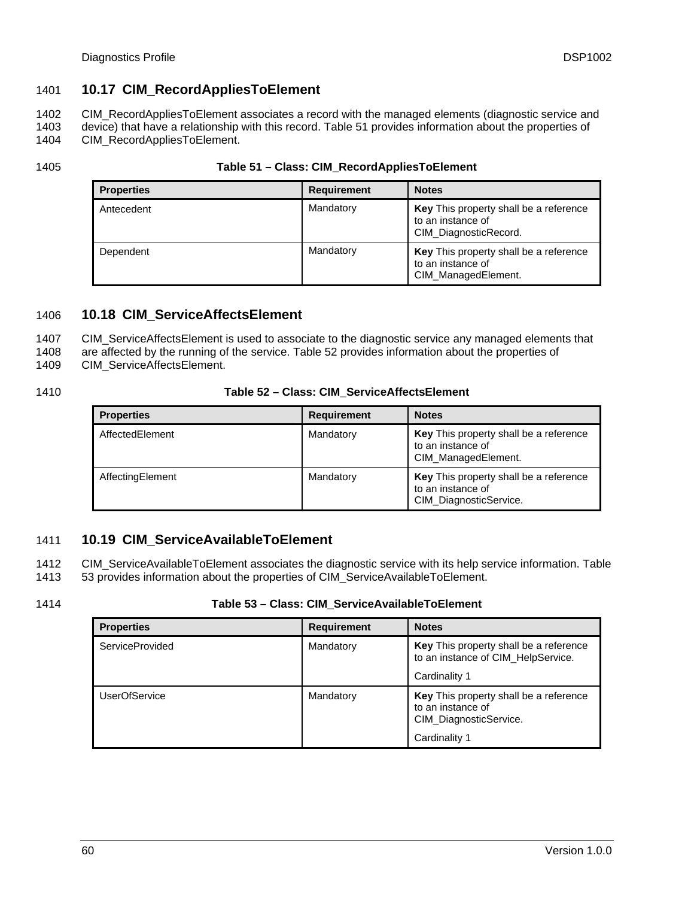#### <span id="page-59-1"></span><span id="page-59-0"></span>1401 **10.17 CIM\_RecordAppliesToElement**

1402 CIM\_RecordAppliesToElement associates a record with the managed elements (diagnostic service and 1403 device) that have a relationship with this record. Table 51 provides information about the properties of 1403 device) that have a relationship with this record. [Table 51](#page-59-4) provides information about the properties of 1404 CIM RecordAppliesToElement.

CIM\_RecordAppliesToElement.

<span id="page-59-4"></span>

| 1405 | Table 51 - Class: CIM_RecordAppliesToElement |
|------|----------------------------------------------|
|------|----------------------------------------------|

| <b>Properties</b> | <b>Requirement</b> | <b>Notes</b>                                                                         |
|-------------------|--------------------|--------------------------------------------------------------------------------------|
| Antecedent        | Mandatory          | Key This property shall be a reference<br>to an instance of<br>CIM_DiagnosticRecord. |
| Dependent         | Mandatory          | Key This property shall be a reference<br>to an instance of<br>CIM_ManagedElement.   |

#### <span id="page-59-2"></span>1406 **10.18 CIM\_ServiceAffectsElement**

1407 CIM\_ServiceAffectsElement is used to associate to the diagnostic service any managed elements that

1408 are affected by the running of the service. [Table 52](#page-59-5) provides information about the properties of

1409 CIM ServiceAffectsElement.

#### <span id="page-59-5"></span>1410 **Table 52 – Class: CIM\_ServiceAffectsElement**

| <b>Properties</b> | <b>Requirement</b> | <b>Notes</b>                                                                              |
|-------------------|--------------------|-------------------------------------------------------------------------------------------|
| AffectedElement   | Mandatory          | <b>Key</b> This property shall be a reference<br>to an instance of<br>CIM_ManagedElement. |
| AffectingElement  | Mandatory          | Key This property shall be a reference<br>to an instance of<br>CIM_DiagnosticService.     |

#### <span id="page-59-3"></span>1411 **10.19 CIM\_ServiceAvailableToElement**

[1412 CIM\\_ServiceAvailableToElement associates the diagnostic service with its help service information. Table](#page-59-6)  1413 53 provides information about the properties of CIM\_ServiceAvailableToElement.

#### <span id="page-59-6"></span>1414 **Table 53 – Class: CIM\_ServiceAvailableToElement**

| <b>Properties</b>      | <b>Requirement</b> | <b>Notes</b>                                                                                           |
|------------------------|--------------------|--------------------------------------------------------------------------------------------------------|
| <b>ServiceProvided</b> | Mandatory          | Key This property shall be a reference<br>to an instance of CIM_HelpService.<br>Cardinality 1          |
| <b>UserOfService</b>   | Mandatory          | Key This property shall be a reference<br>to an instance of<br>CIM_DiagnosticService.<br>Cardinality 1 |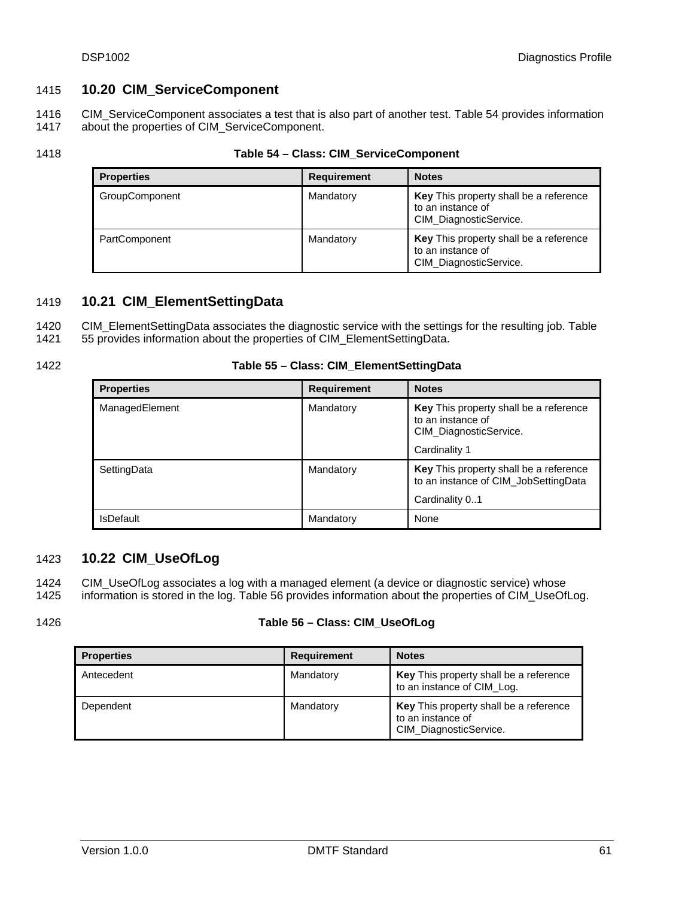#### <span id="page-60-1"></span><span id="page-60-0"></span>1415 **10.20 CIM\_ServiceComponent**

1416 CIM\_ServiceComponent associates a test that is also part of another test. [Table 54](#page-60-4) provides information<br>1417 about the properties of CIM ServiceComponent. about the properties of CIM\_ServiceComponent.

#### <span id="page-60-4"></span>1418 **Table 54 – Class: CIM\_ServiceComponent**

| <b>Properties</b> | <b>Requirement</b> | <b>Notes</b>                                                                          |
|-------------------|--------------------|---------------------------------------------------------------------------------------|
| GroupComponent    | Mandatory          | Key This property shall be a reference<br>to an instance of<br>CIM_DiagnosticService. |
| PartComponent     | Mandatory          | Key This property shall be a reference<br>to an instance of<br>CIM_DiagnosticService. |

#### <span id="page-60-2"></span>1419 **10.21 CIM\_ElementSettingData**

1420 CIM ElementSettingData associates the diagnostic service with the settings for the resulting job. Table

1421 55 provides information about the properties of CIM\_ElementSettingData.

#### <span id="page-60-5"></span>1422 **Table 55 – Class: CIM\_ElementSettingData**

| <b>Properties</b> | <b>Requirement</b> | <b>Notes</b>                                                                                           |
|-------------------|--------------------|--------------------------------------------------------------------------------------------------------|
| ManagedElement    | Mandatory          | Key This property shall be a reference<br>to an instance of<br>CIM_DiagnosticService.<br>Cardinality 1 |
| SettingData       | Mandatory          | Key This property shall be a reference<br>to an instance of CIM_JobSettingData<br>Cardinality 01       |
| <b>IsDefault</b>  | Mandatory          | None                                                                                                   |

#### <span id="page-60-3"></span>1423 **10.22 CIM\_UseOfLog**

1424 CIM UseOfLog associates a log with a managed element (a device or diagnostic service) whose 1425 information is stored in the log. [Table 56](#page-60-6) provides information about the properties of CIM\_UseOfLog.

#### <span id="page-60-6"></span>1426 **Table 56 – Class: CIM\_UseOfLog**

| <b>Properties</b> | <b>Requirement</b> | <b>Notes</b>                                                                                 |
|-------------------|--------------------|----------------------------------------------------------------------------------------------|
| Antecedent        | Mandatory          | Key This property shall be a reference<br>to an instance of CIM_Log.                         |
| Dependent         | Mandatory          | <b>Key</b> This property shall be a reference<br>to an instance of<br>CIM_DiagnosticService. |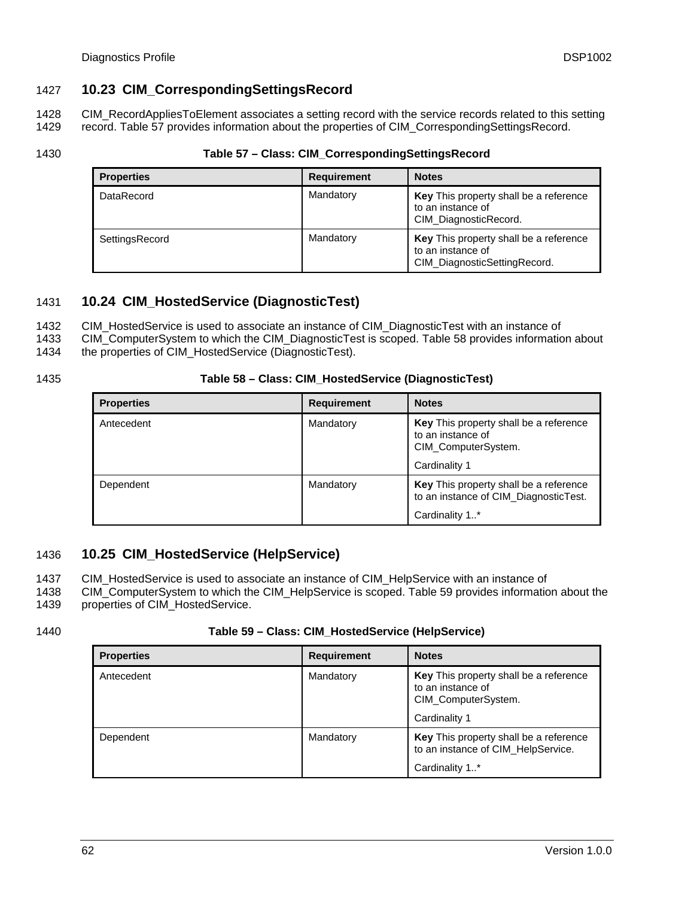#### <span id="page-61-1"></span><span id="page-61-0"></span>1427 **10.23 CIM\_CorrespondingSettingsRecord**

1428 CIM\_RecordAppliesToElement associates a setting record with the service records related to this setting 1429 record. Table 57 provides information about the properties of CIM CorrespondingSettingsRecord. record. [Table 57](#page-61-4) provides information about the properties of CIM\_CorrespondingSettingsRecord.

#### <span id="page-61-4"></span>1430 **Table 57 – Class: CIM\_CorrespondingSettingsRecord**

| <b>Properties</b> | <b>Requirement</b> | <b>Notes</b>                                                                                |
|-------------------|--------------------|---------------------------------------------------------------------------------------------|
| DataRecord        | Mandatory          | <b>Key</b> This property shall be a reference<br>to an instance of<br>CIM_DiagnosticRecord. |
| SettingsRecord    | Mandatory          | Key This property shall be a reference<br>to an instance of<br>CIM_DiagnosticSettingRecord. |

#### <span id="page-61-2"></span>1431 **10.24 CIM\_HostedService (DiagnosticTest)**

1432 CIM\_HostedService is used to associate an instance of CIM\_DiagnosticTest with an instance of

1433 CIM ComputerSystem to which the CIM DiagnosticTest is scoped. [Table 58](#page-61-5) provides information about

1434 the properties of CIM\_HostedService (DiagnosticTest).

#### <span id="page-61-5"></span>1435 **Table 58 – Class: CIM\_HostedService (DiagnosticTest)**

| <b>Properties</b> | <b>Requirement</b> | <b>Notes</b>                                                                                        |
|-------------------|--------------------|-----------------------------------------------------------------------------------------------------|
| Antecedent        | Mandatory          | Key This property shall be a reference<br>to an instance of<br>CIM_ComputerSystem.<br>Cardinality 1 |
| Dependent         | Mandatory          | Key This property shall be a reference<br>to an instance of CIM_DiagnosticTest.<br>Cardinality 1*   |

#### <span id="page-61-3"></span>1436 **10.25 CIM\_HostedService (HelpService)**

1437 CIM\_HostedService is used to associate an instance of CIM\_HelpService with an instance of

1438 CIM\_ComputerSystem to which the CIM\_HelpService is scoped. [Table 59](#page-61-6) provides information about the properties of CIM\_HostedService.

#### <span id="page-61-6"></span>1440 **Table 59 – Class: CIM\_HostedService (HelpService)**

| <b>Properties</b> | <b>Requirement</b> | <b>Notes</b>                                                                                               |
|-------------------|--------------------|------------------------------------------------------------------------------------------------------------|
| Antecedent        | Mandatory          | <b>Key</b> This property shall be a reference<br>to an instance of<br>CIM ComputerSystem.<br>Cardinality 1 |
| Dependent         | Mandatory          | Key This property shall be a reference<br>to an instance of CIM_HelpService.<br>Cardinality 1*             |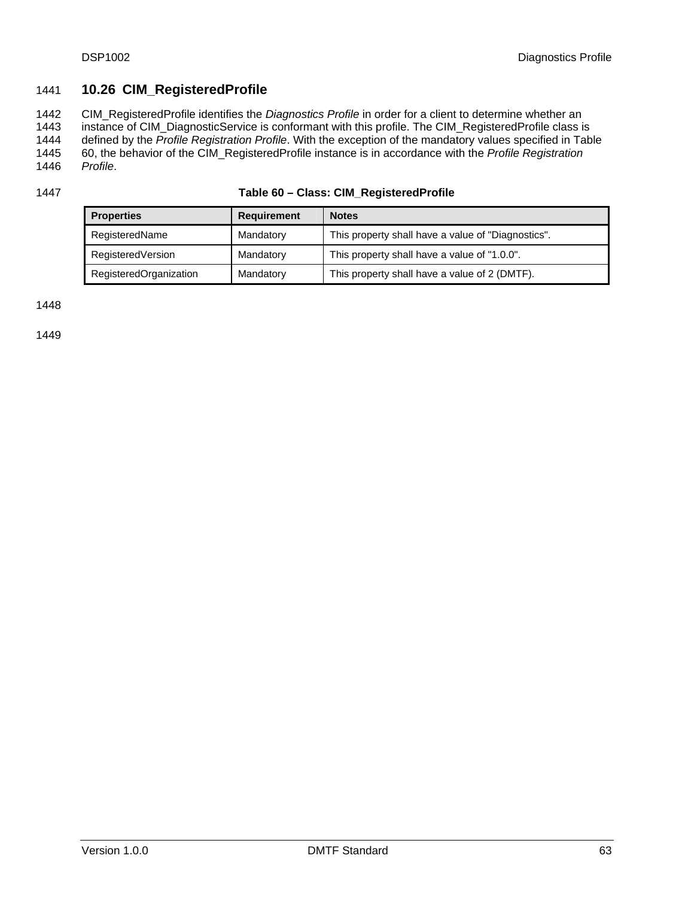# <span id="page-62-1"></span><span id="page-62-0"></span>1441 **10.26 CIM\_RegisteredProfile**

1442 CIM\_RegisteredProfile identifies the *Diagnostics Profile* in order for a client to determine whether an 1443 instance of CIM DiagnosticService is conformant with this profile. The CIM RegisteredProfile class in 1443 instance of CIM\_DiagnosticService is conformant with this profile. The CIM\_RegisteredProfile class is<br>1444 defined by the Profile Registration Profile. With the exception of the mandatory values specified in Tab 1444 defined by the *Profile Registration Profile*[. With the exception of the mandatory values specified in Table](#page-62-2)  1445 60, the behavior of the CIM\_RegisteredProfile instance is in accordance with the *Profile Registration*  Profile.

<span id="page-62-2"></span>

| Table 60 - Class: CIM_RegisteredProfile |
|-----------------------------------------|
|                                         |

| <b>Properties</b>      | Requirement | <b>Notes</b>                                       |
|------------------------|-------------|----------------------------------------------------|
| RegisteredName         | Mandatory   | This property shall have a value of "Diagnostics". |
| RegisteredVersion      | Mandatory   | This property shall have a value of "1.0.0".       |
| RegisteredOrganization | Mandatory   | This property shall have a value of 2 (DMTF).      |

1448

1449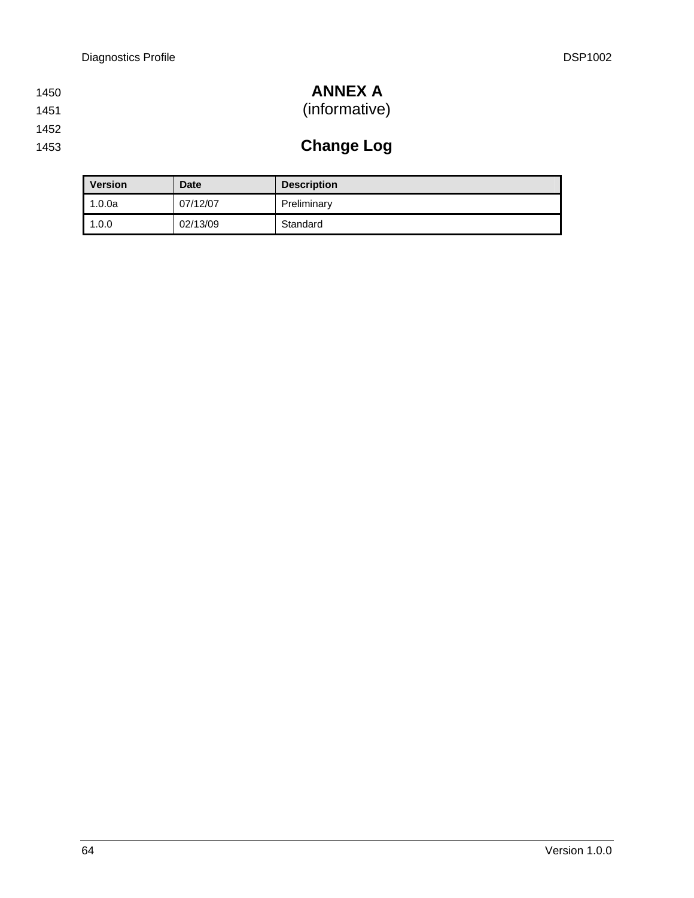| 1450 | <b>ANNEX A</b> |
|------|----------------|
| 1451 | (informative)  |

- 1452
- 
- 1453 **Change Log**

| <b>Version</b> | <b>Date</b> | <b>Description</b> |
|----------------|-------------|--------------------|
| 1.0.0a         | 07/12/07    | Preliminary        |
| 1.0.0          | 02/13/09    | Standard           |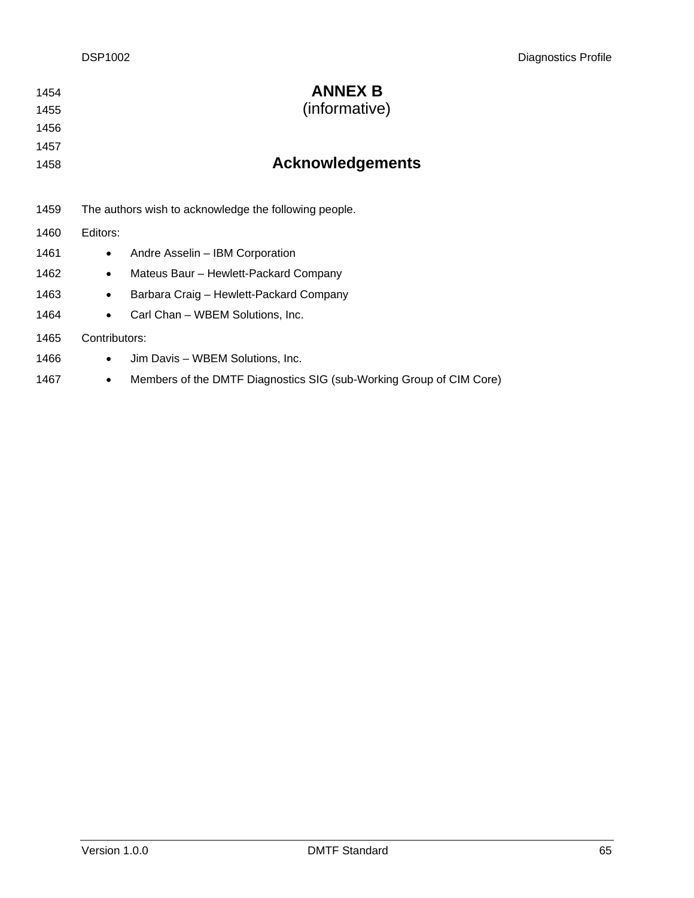| 1454 |               | <b>ANNEX B</b><br>(informative)                                     |
|------|---------------|---------------------------------------------------------------------|
| 1455 |               |                                                                     |
| 1456 |               |                                                                     |
| 1457 |               |                                                                     |
| 1458 |               | <b>Acknowledgements</b>                                             |
|      |               |                                                                     |
| 1459 |               | The authors wish to acknowledge the following people.               |
| 1460 | Editors:      |                                                                     |
| 1461 | ٠             | Andre Asselin - IBM Corporation                                     |
| 1462 | $\bullet$     | Mateus Baur - Hewlett-Packard Company                               |
| 1463 | $\bullet$     | Barbara Craig - Hewlett-Packard Company                             |
| 1464 | $\bullet$     | Carl Chan - WBEM Solutions, Inc.                                    |
| 1465 | Contributors: |                                                                     |
| 1466 | $\bullet$     | Jim Davis - WBEM Solutions, Inc.                                    |
| 1467 | ٠             | Members of the DMTF Diagnostics SIG (sub-Working Group of CIM Core) |